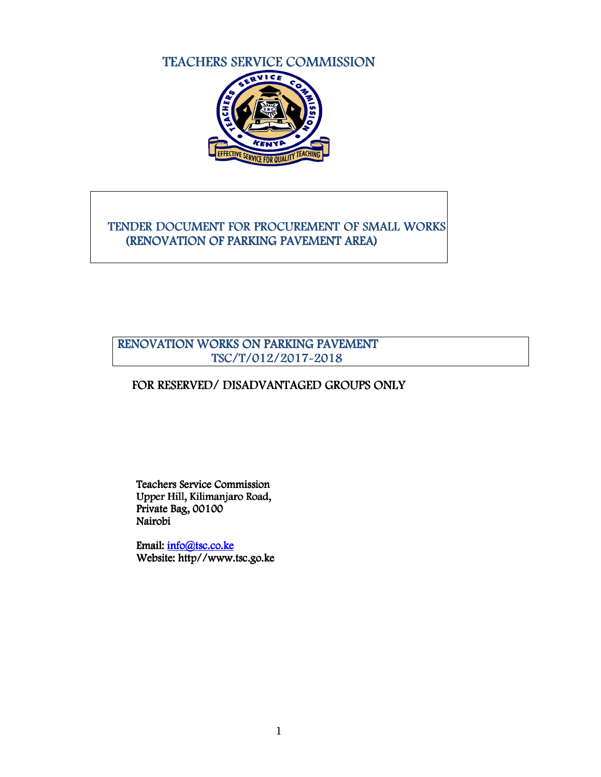# TEACHERS SERVICE COMMISSION



## TENDER DOCUMENT FOR PROCUREMENT OF SMALL WORKS (RENOVATION OF PARKING PAVEMENT AREA)

## RENOVATION WORKS ON PARKING PAVEMENT TSC/T/012/2017-2018

## FOR RESERVED/ DISADVANTAGED GROUPS ONLY

Teachers Service Commission Upper Hill, Kilimanjaro Road, Private Bag,  $00100$ Nairobi

Email: info@tsc.co.ke Website: http//www.tsc.go.ke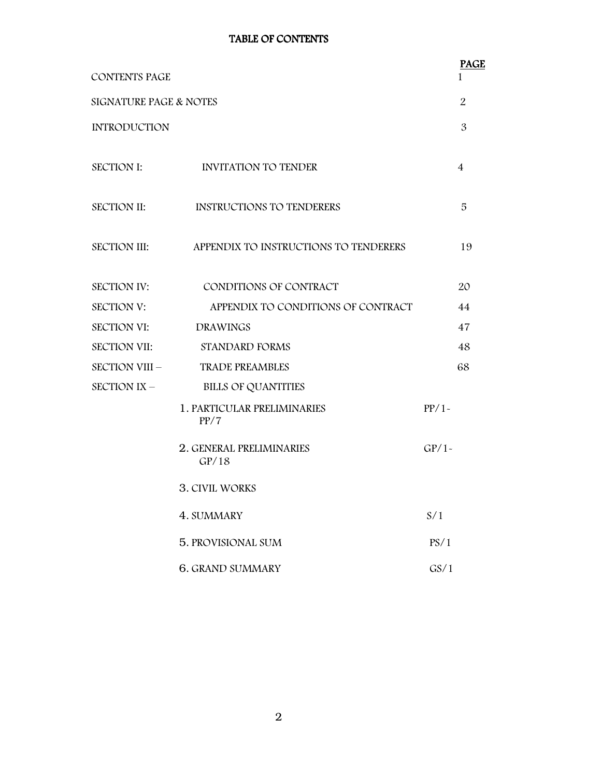## TABLE OF CONTENTS

| <b>CONTENTS PAGE</b>   |                                                    | <b>PAGE</b><br>1 |
|------------------------|----------------------------------------------------|------------------|
| SIGNATURE PAGE & NOTES |                                                    |                  |
| <b>INTRODUCTION</b>    |                                                    | $\mathfrak{B}$   |
| <b>SECTION I:</b>      | INVITATION TO TENDER                               | 4                |
| SECTION II:            | <b>INSTRUCTIONS TO TENDERERS</b>                   | 5                |
|                        | SECTION III: APPENDIX TO INSTRUCTIONS TO TENDERERS | 19               |
| <b>SECTION IV:</b>     | CONDITIONS OF CONTRACT                             | 20               |
| <b>SECTION V:</b>      | APPENDIX TO CONDITIONS OF CONTRACT                 | 44               |
| <b>SECTION VI:</b>     | <b>DRAWINGS</b>                                    | 47               |
| <b>SECTION VII:</b>    | STANDARD FORMS                                     | 48               |
|                        | SECTION VIII - TRADE PREAMBLES                     | 68               |
| SECTION IX –           | <b>BILLS OF QUANTITIES</b>                         |                  |
|                        | 1. PARTICULAR PRELIMINARIES<br>PP/7                | PP/1             |
|                        | 2. GENERAL PRELIMINARIES<br>GP/18                  | $GP/1-$          |
|                        | <b>3. CIVIL WORKS</b>                              |                  |
|                        | 4. SUMMARY                                         | S/1              |
|                        | 5. PROVISIONAL SUM                                 | PS/1             |
|                        | <b>6. GRAND SUMMARY</b>                            | GS/1             |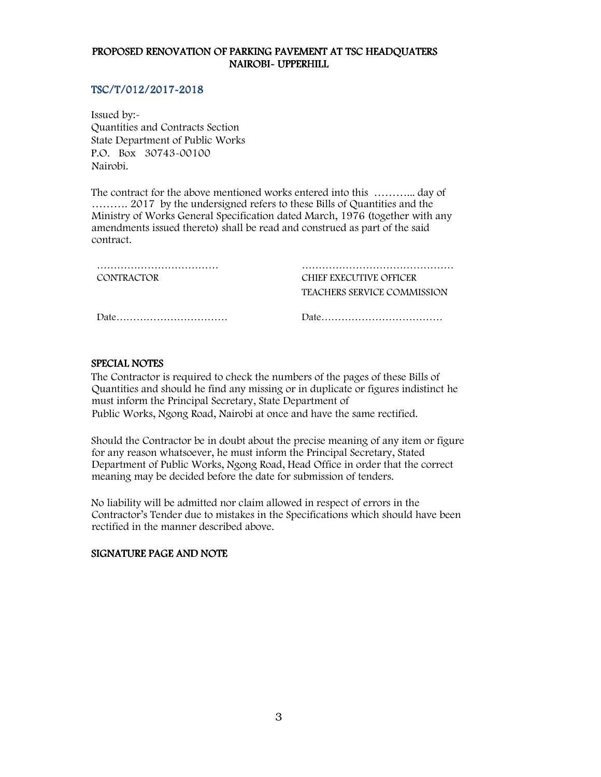#### PROPOSED RENOVATION OF PARKING PAVEMENT AT TSC HEADQUATERS NAIROBI- UPPERHILL

#### TSC/T/012/2017-2018

Issued by:- Quantities and Contracts Section State Department of Public Works P.O. Box 30743-00100 Nairobi.

The contract for the above mentioned works entered into this ………... day of ………. 2017 by the undersigned refers to these Bills of Quantities and the Ministry of Works General Specification dated March, 1976 (together with any amendments issued thereto) shall be read and construed as part of the said contract.

| <br><b>CONTRACTOR</b> | CHIEF EXECUTIVE OFFICER<br>TEACHERS SERVICE COMMISSION |
|-----------------------|--------------------------------------------------------|
|                       |                                                        |

#### SPECIAL NOTES

The Contractor is required to check the numbers of the pages of these Bills of Quantities and should he find any missing or in duplicate or figures indistinct he must inform the Principal Secretary, State Department of Public Works, Ngong Road, Nairobi at once and have the same rectified.

Should the Contractor be in doubt about the precise meaning of any item or figure for any reason whatsoever, he must inform the Principal Secretary, Stated Department of Public Works, Ngong Road, Head Office in order that the correct meaning may be decided before the date for submission of tenders.

No liability will be admitted nor claim allowed in respect of errors in the Contractor's Tender due to mistakes in the Specifications which should have been rectified in the manner described above.

#### SIGNATURE PAGE AND NOTE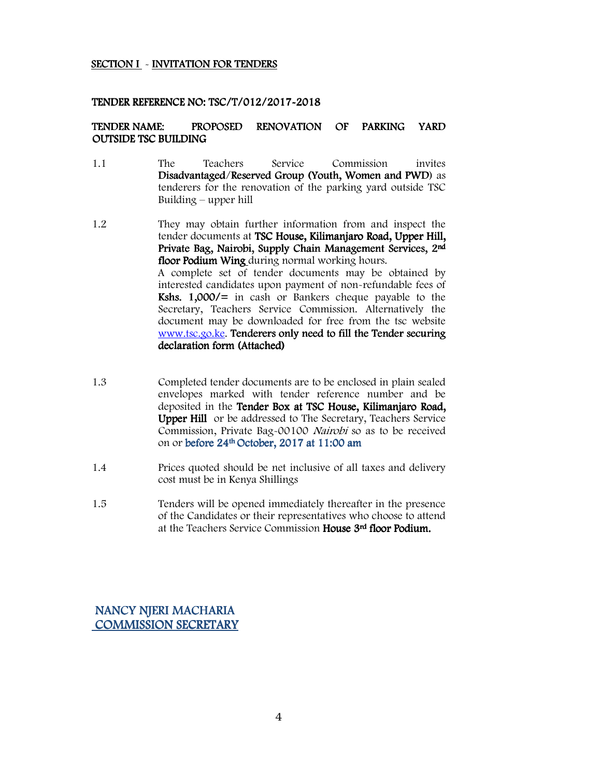#### SECTION I - INVITATION FOR TENDERS

#### TENDER REFERENCE NO: TSC/T/012/2017-2018

#### TENDER NAME: PROPOSED RENOVATION OF PARKING YARD **OUTSIDE TSC BUILDING**

- 1.1 The Teachers Service Commission invites Disadvantaged/Reserved Group (Youth, Women and PWD) as tenderers for the renovation of the parking yard outside TSC Building – upper hill
- 1.2 They may obtain further information from and inspect the tender documents at TSC House, Kilimanjaro Road, Upper Hill, Private Bag, Nairobi, Supply Chain Management Services, 2nd floor Podium Wing during normal working hours. A complete set of tender documents may be obtained by interested candidates upon payment of non-refundable fees of Kshs.  $1,000/=$  in cash or Bankers cheque payable to the Secretary, Teachers Service Commission. Alternatively the document may be downloaded for free from the tsc website www.tsc.go.ke. Tenderers only need to fill the Tender securing declaration form (Attached)
- 1.3 Completed tender documents are to be enclosed in plain sealed envelopes marked with tender reference number and be deposited in the Tender Box at TSC House, Kilimanjaro Road, Upper Hill or be addressed to The Secretary, Teachers Service Commission, Private Bag-00100 Nairobi so as to be received on or before 24<sup>th</sup> October, 2017 at 11:00 am
- 1.4 Prices quoted should be net inclusive of all taxes and delivery cost must be in Kenya Shillings
- 1.5 Tenders will be opened immediately thereafter in the presence of the Candidates or their representatives who choose to attend at the Teachers Service Commission House 3<sup>rd</sup> floor Podium.

## NANCY NJERI MACHARIA COMMISSION SECRETARY COMMISSION SECRETARY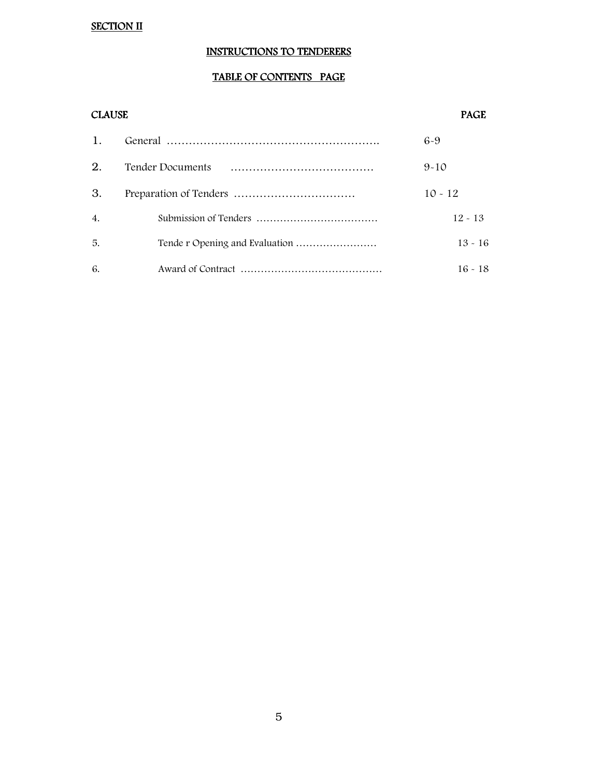# SECTION II

## INSTRUCTIONS TO TENDERERS

## TABLE OF CONTENTS PAGE

#### CLAUSE PAGE

| 1. |                         | $6-9$     |
|----|-------------------------|-----------|
| 2. | <b>Tender Documents</b> | $9 - 10$  |
| 3. |                         | $10 - 12$ |
| 4. |                         | $12 - 13$ |
| 5. |                         | $13 - 16$ |
| 6. |                         | $16 - 18$ |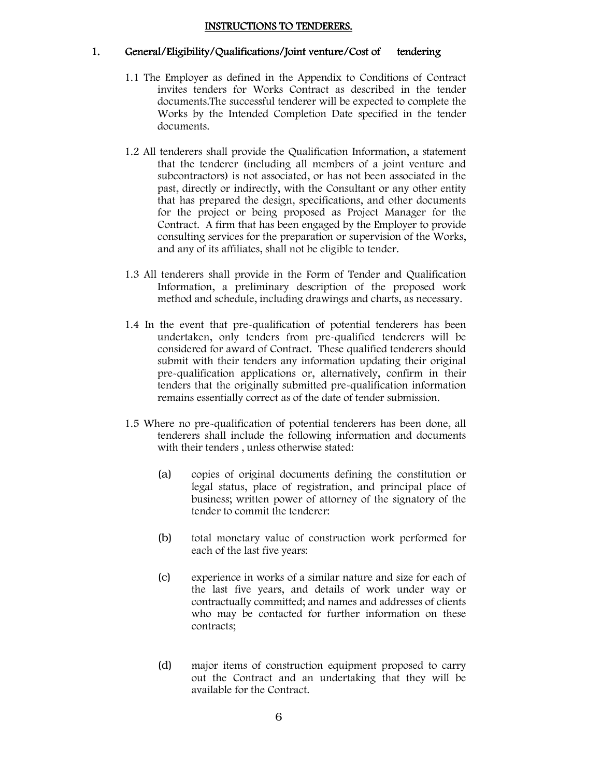#### INSTRUCTIONS TO TENDERERS.

#### 1. General/Eligibility/Qualifications/Joint venture/Cost of tendering

- 1.1 The Employer as defined in the Appendix to Conditions of Contract invites tenders for Works Contract as described in the tender documents.The successful tenderer will be expected to complete the Works by the Intended Completion Date specified in the tender documents.
- 1.2 All tenderers shall provide the Qualification Information, a statement that the tenderer (including all members of a joint venture and subcontractors) is not associated, or has not been associated in the past, directly or indirectly, with the Consultant or any other entity that has prepared the design, specifications, and other documents for the project or being proposed as Project Manager for the Contract. A firm that has been engaged by the Employer to provide consulting services for the preparation or supervision of the Works, and any of its affiliates, shall not be eligible to tender.
- 1.3 All tenderers shall provide in the Form of Tender and Qualification Information, a preliminary description of the proposed work method and schedule, including drawings and charts, as necessary.
- 1.4 In the event that pre-qualification of potential tenderers has been undertaken, only tenders from pre-qualified tenderers will be considered for award of Contract. These qualified tenderers should submit with their tenders any information updating their original pre-qualification applications or, alternatively, confirm in their tenders that the originally submitted pre-qualification information remains essentially correct as of the date of tender submission.
- 1.5 Where no pre-qualification of potential tenderers has been done, all tenderers shall include the following information and documents with their tenders , unless otherwise stated:
	- (a) copies of original documents defining the constitution or legal status, place of registration, and principal place of business; written power of attorney of the signatory of the tender to commit the tenderer:
	- (b) total monetary value of construction work performed for each of the last five years:
	- (c) experience in works of a similar nature and size for each of the last five years, and details of work under way or contractually committed; and names and addresses of clients who may be contacted for further information on these contracts;
	- (d) major items of construction equipment proposed to carry out the Contract and an undertaking that they will be available for the Contract.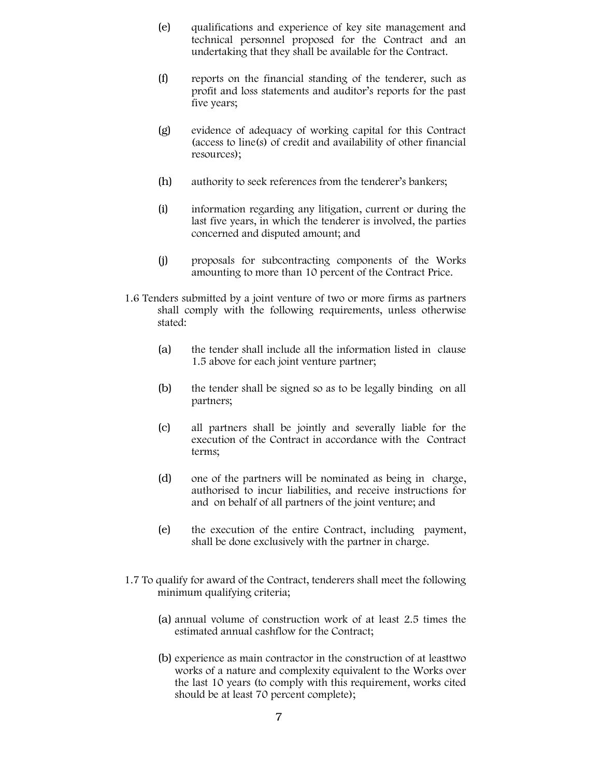- (e) qualifications and experience of key site management and technical personnel proposed for the Contract and an undertaking that they shall be available for the Contract.
- (f) reports on the financial standing of the tenderer, such as profit and loss statements and auditor's reports for the past five years;
- (g) evidence of adequacy of working capital for this Contract (access to line(s) of credit and availability of other financial resources);
- (h) authority to seek references from the tenderer's bankers;
- (i) information regarding any litigation, current or during the last five years, in which the tenderer is involved, the parties concerned and disputed amount; and
- (j) proposals for subcontracting components of the Works amounting to more than 10 percent of the Contract Price.
- 1.6 Tenders submitted by a joint venture of two or more firms as partners shall comply with the following requirements, unless otherwise stated:
	- (a) the tender shall include all the information listed in clause 1.5 above for each joint venture partner;
	- (b) the tender shall be signed so as to be legally binding on all partners;
	- (c) all partners shall be jointly and severally liable for the execution of the Contract in accordance with the Contract terms;
	- (d) one of the partners will be nominated as being in charge, authorised to incur liabilities, and receive instructions for and on behalf of all partners of the joint venture; and
	- (e) the execution of the entire Contract, including payment, shall be done exclusively with the partner in charge.
- 1.7 To qualify for award of the Contract, tenderers shall meet the following minimum qualifying criteria;
	- (a) annual volume of construction work of at least 2.5 times the estimated annual cashflow for the Contract;
	- (b) experience as main contractor in the construction of at leasttwo works of a nature and complexity equivalent to the Works over the last 10 years (to comply with this requirement, works cited should be at least 70 percent complete);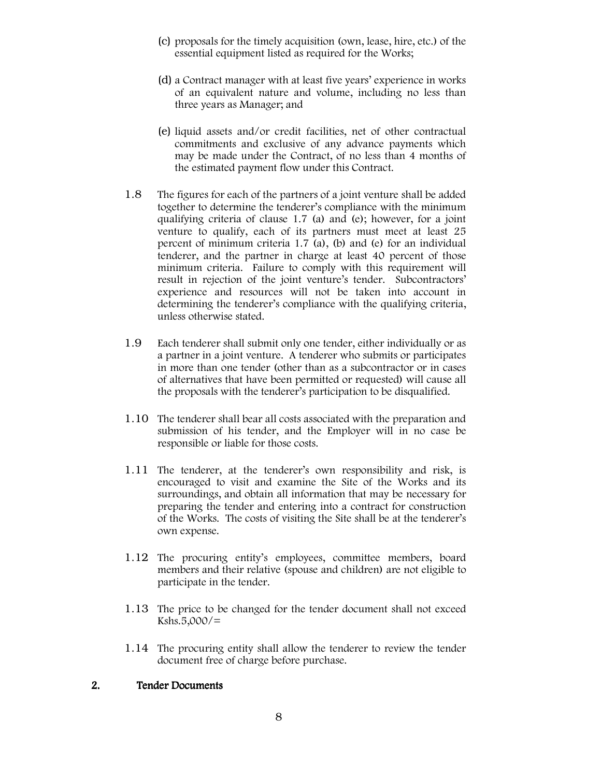- (c) proposals for the timely acquisition (own, lease, hire, etc.) of the essential equipment listed as required for the Works;
- (d) a Contract manager with at least five years' experience in works of an equivalent nature and volume, including no less than three years as Manager; and
- (e) liquid assets and/or credit facilities, net of other contractual commitments and exclusive of any advance payments which may be made under the Contract, of no less than 4 months of the estimated payment flow under this Contract.
- 1.8 The figures for each of the partners of a joint venture shall be added together to determine the tenderer's compliance with the minimum qualifying criteria of clause 1.7 (a) and (e); however, for a joint venture to qualify, each of its partners must meet at least 25 percent of minimum criteria 1.7 (a), (b) and (e) for an individual tenderer, and the partner in charge at least 40 percent of those minimum criteria. Failure to comply with this requirement will result in rejection of the joint venture's tender. Subcontractors' experience and resources will not be taken into account in determining the tenderer's compliance with the qualifying criteria, unless otherwise stated.
- 1.9 Each tenderer shall submit only one tender, either individually or as a partner in a joint venture. A tenderer who submits or participates in more than one tender (other than as a subcontractor or in cases of alternatives that have been permitted or requested) will cause all the proposals with the tenderer's participation to be disqualified.
- 1.10 The tenderer shall bear all costs associated with the preparation and submission of his tender, and the Employer will in no case be responsible or liable for those costs.
- 1.11 The tenderer, at the tenderer's own responsibility and risk, is encouraged to visit and examine the Site of the Works and its surroundings, and obtain all information that may be necessary for preparing the tender and entering into a contract for construction of the Works. The costs of visiting the Site shall be at the tenderer's own expense.
- 1.12 The procuring entity's employees, committee members, board members and their relative (spouse and children) are not eligible to participate in the tender.
- 1.13 The price to be changed for the tender document shall not exceed  $Kshs.5,000/=$
- 1.14 The procuring entity shall allow the tenderer to review the tender document free of charge before purchase.

#### 2. Tender Documents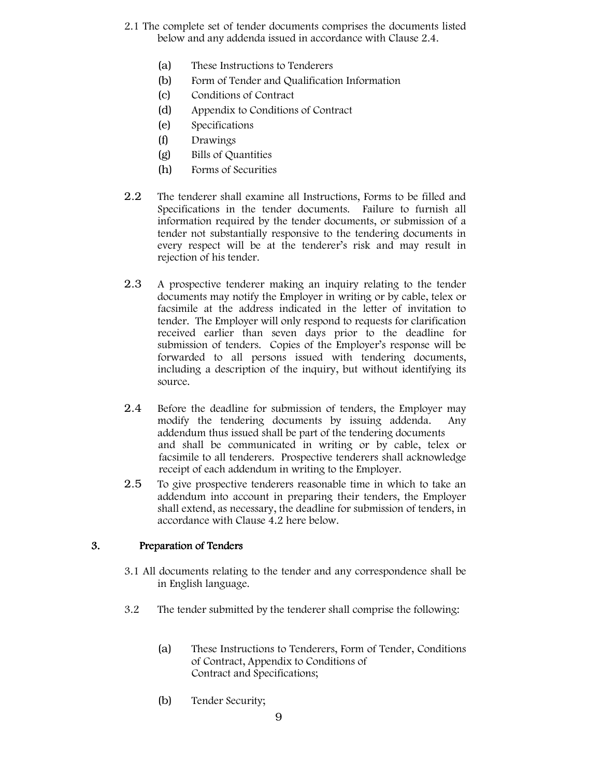- 2.1 The complete set of tender documents comprises the documents listed below and any addenda issued in accordance with Clause 2.4.
	- (a) These Instructions to Tenderers
	- (b) Form of Tender and Qualification Information
	- (c) Conditions of Contract
	- (d) Appendix to Conditions of Contract
	- (e) Specifications
	- (f) Drawings
	- (g) Bills of Quantities
	- (h) Forms of Securities
- 2.2 The tenderer shall examine all Instructions, Forms to be filled and Specifications in the tender documents. Failure to furnish all information required by the tender documents, or submission of a tender not substantially responsive to the tendering documents in every respect will be at the tenderer's risk and may result in rejection of his tender.
- 2.3 A prospective tenderer making an inquiry relating to the tender documents may notify the Employer in writing or by cable, telex or facsimile at the address indicated in the letter of invitation to tender. The Employer will only respond to requests for clarification received earlier than seven days prior to the deadline for submission of tenders. Copies of the Employer's response will be forwarded to all persons issued with tendering documents, including a description of the inquiry, but without identifying its source.
- 2.4 Before the deadline for submission of tenders, the Employer may modify the tendering documents by issuing addenda. Any addendum thus issued shall be part of the tendering documents and shall be communicated in writing or by cable, telex or facsimile to all tenderers. Prospective tenderers shall acknowledge receipt of each addendum in writing to the Employer.
- 2.5 To give prospective tenderers reasonable time in which to take an addendum into account in preparing their tenders, the Employer shall extend, as necessary, the deadline for submission of tenders, in accordance with Clause 4.2 here below.

## 3. Preparation of Tenders

- 3.1 All documents relating to the tender and any correspondence shall be in English language.
- 3.2 The tender submitted by the tenderer shall comprise the following:
	- (a) These Instructions to Tenderers, Form of Tender, Conditions of Contract, Appendix to Conditions of Contract and Specifications;
	- (b) Tender Security;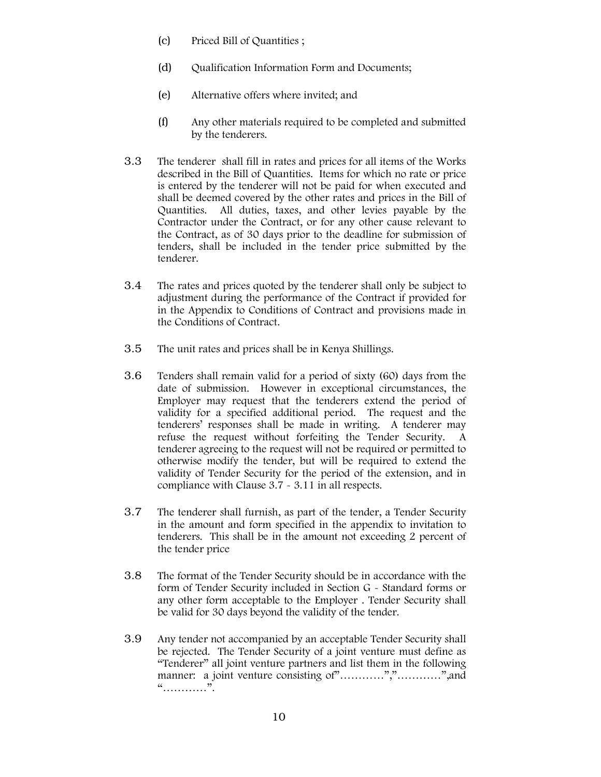- (c) Priced Bill of Quantities ;
- (d) Qualification Information Form and Documents;
- (e) Alternative offers where invited; and
- (f) Any other materials required to be completed and submitted by the tenderers.
- 3.3 The tenderer shall fill in rates and prices for all items of the Works described in the Bill of Quantities. Items for which no rate or price is entered by the tenderer will not be paid for when executed and shall be deemed covered by the other rates and prices in the Bill of Quantities. All duties, taxes, and other levies payable by the Contractor under the Contract, or for any other cause relevant to the Contract, as of 30 days prior to the deadline for submission of tenders, shall be included in the tender price submitted by the tenderer.
- 3.4 The rates and prices quoted by the tenderer shall only be subject to adjustment during the performance of the Contract if provided for in the Appendix to Conditions of Contract and provisions made in the Conditions of Contract.
- 3.5 The unit rates and prices shall be in Kenya Shillings.
- 3.6 Tenders shall remain valid for a period of sixty (60) days from the date of submission. However in exceptional circumstances, the Employer may request that the tenderers extend the period of validity for a specified additional period. The request and the tenderers' responses shall be made in writing. A tenderer may refuse the request without forfeiting the Tender Security. A tenderer agreeing to the request will not be required or permitted to otherwise modify the tender, but will be required to extend the validity of Tender Security for the period of the extension, and in compliance with Clause 3.7 - 3.11 in all respects.
- 3.7 The tenderer shall furnish, as part of the tender, a Tender Security in the amount and form specified in the appendix to invitation to tenderers. This shall be in the amount not exceeding 2 percent of the tender price
- 3.8 The format of the Tender Security should be in accordance with the form of Tender Security included in Section G - Standard forms or any other form acceptable to the Employer . Tender Security shall be valid for 30 days beyond the validity of the tender.
- 3.9 Any tender not accompanied by an acceptable Tender Security shall be rejected. The Tender Security of a joint venture must define as "Tenderer" all joint venture partners and list them in the following manner: a joint venture consisting of".............",",".............",",and "…………".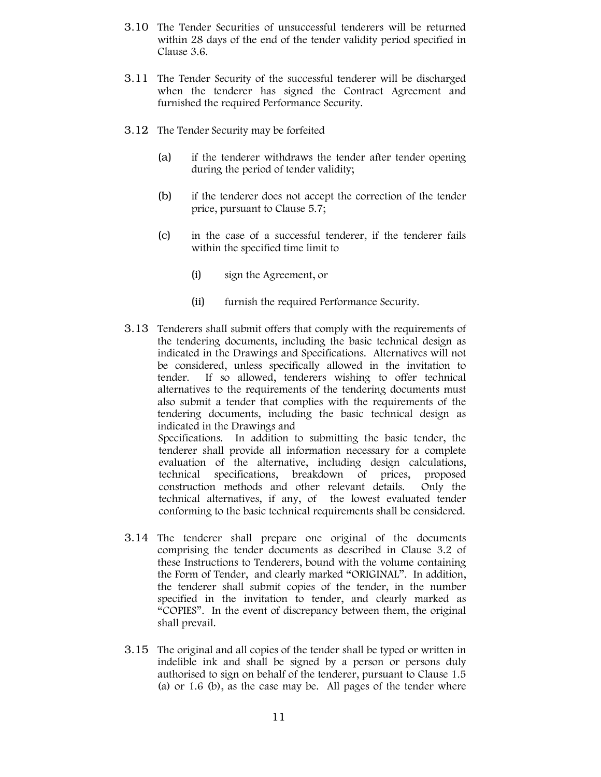- 3.10 The Tender Securities of unsuccessful tenderers will be returned within 28 days of the end of the tender validity period specified in Clause 3.6.
- 3.11 The Tender Security of the successful tenderer will be discharged when the tenderer has signed the Contract Agreement and furnished the required Performance Security.
- 3.12 The Tender Security may be forfeited
	- (a) if the tenderer withdraws the tender after tender opening during the period of tender validity;
	- (b) if the tenderer does not accept the correction of the tender price, pursuant to Clause 5.7;
	- (c) in the case of a successful tenderer, if the tenderer fails within the specified time limit to
		- (i) sign the Agreement, or
		- (ii) furnish the required Performance Security.
- 3.13 Tenderers shall submit offers that comply with the requirements of the tendering documents, including the basic technical design as indicated in the Drawings and Specifications. Alternatives will not be considered, unless specifically allowed in the invitation to tender. If so allowed, tenderers wishing to offer technical alternatives to the requirements of the tendering documents must also submit a tender that complies with the requirements of the tendering documents, including the basic technical design as indicated in the Drawings and Specifications. In addition to submitting the basic tender, the

tenderer shall provide all information necessary for a complete evaluation of the alternative, including design calculations, technical specifications, breakdown of prices, proposed construction methods and other relevant details. Only the technical alternatives, if any, of the lowest evaluated tender conforming to the basic technical requirements shall be considered.

- 3.14 The tenderer shall prepare one original of the documents comprising the tender documents as described in Clause 3.2 of these Instructions to Tenderers, bound with the volume containing the Form of Tender, and clearly marked "ORIGINAL". In addition, the tenderer shall submit copies of the tender, in the number specified in the invitation to tender, and clearly marked as "COPIES". In the event of discrepancy between them, the original shall prevail.
- 3.15 The original and all copies of the tender shall be typed or written in indelible ink and shall be signed by a person or persons duly authorised to sign on behalf of the tenderer, pursuant to Clause 1.5 (a) or 1.6 (b), as the case may be. All pages of the tender where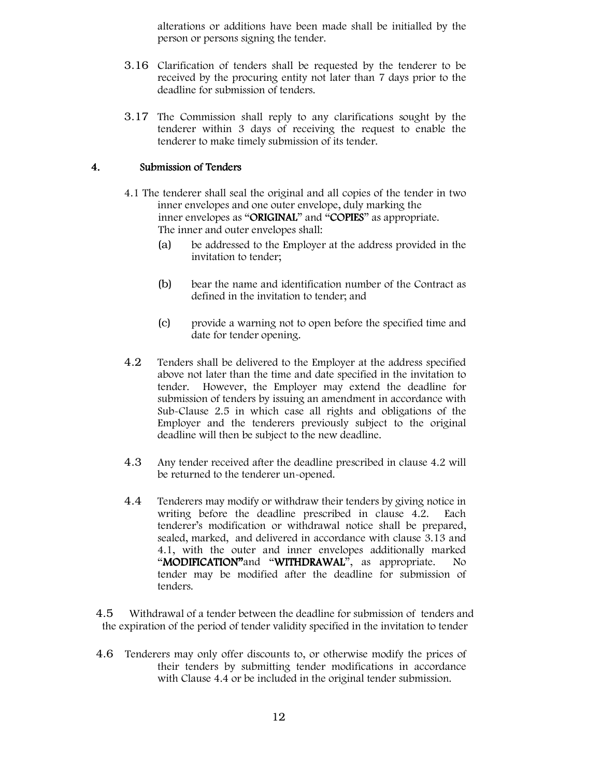alterations or additions have been made shall be initialled by the person or persons signing the tender.

- 3.16 Clarification of tenders shall be requested by the tenderer to be received by the procuring entity not later than 7 days prior to the deadline for submission of tenders.
- 3.17 The Commission shall reply to any clarifications sought by the tenderer within 3 days of receiving the request to enable the tenderer to make timely submission of its tender.

#### 4. Submission of Tenders

- 4.1 The tenderer shall seal the original and all copies of the tender in two inner envelopes and one outer envelope, duly marking the inner envelopes as "ORIGINAL" and "COPIES" as appropriate. The inner and outer envelopes shall:
	- (a) be addressed to the Employer at the address provided in the invitation to tender;
	- (b) bear the name and identification number of the Contract as defined in the invitation to tender; and
	- (c) provide a warning not to open before the specified time and date for tender opening.
- 4.2 Tenders shall be delivered to the Employer at the address specified above not later than the time and date specified in the invitation to tender. However, the Employer may extend the deadline for submission of tenders by issuing an amendment in accordance with Sub-Clause 2.5 in which case all rights and obligations of the Employer and the tenderers previously subject to the original deadline will then be subject to the new deadline.
- 4.3 Any tender received after the deadline prescribed in clause 4.2 will be returned to the tenderer un-opened.
- 4.4 Tenderers may modify or withdraw their tenders by giving notice in writing before the deadline prescribed in clause 4.2. Each tenderer's modification or withdrawal notice shall be prepared, sealed, marked, and delivered in accordance with clause 3.13 and 4.1, with the outer and inner envelopes additionally marked "MODIFICATION" and "WITHDRAWAL", as appropriate. No tender may be modified after the deadline for submission of tenders.

4.5 Withdrawal of a tender between the deadline for submission of tenders and the expiration of the period of tender validity specified in the invitation to tender

4.6 Tenderers may only offer discounts to, or otherwise modify the prices of their tenders by submitting tender modifications in accordance with Clause 4.4 or be included in the original tender submission.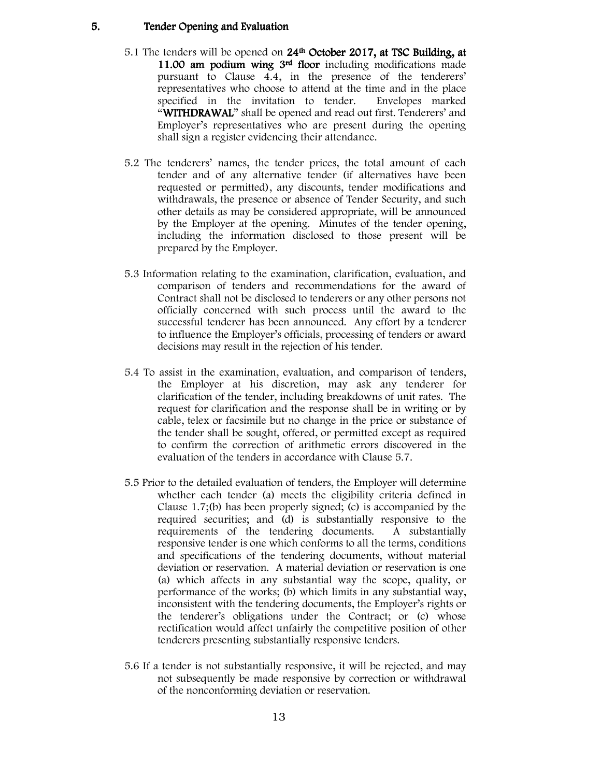#### 5. Tender Opening and Evaluation

- 5.1 The tenders will be opened on 24<sup>th</sup> October 2017, at TSC Building, at 11.00 am podium wing 3<sup>rd</sup> floor including modifications made pursuant to Clause 4.4, in the presence of the tenderers' representatives who choose to attend at the time and in the place specified in the invitation to tender. Envelopes marked "WITHDRAWAL" shall be opened and read out first. Tenderers' and Employer's representatives who are present during the opening shall sign a register evidencing their attendance.
- 5.2 The tenderers' names, the tender prices, the total amount of each tender and of any alternative tender (if alternatives have been requested or permitted), any discounts, tender modifications and withdrawals, the presence or absence of Tender Security, and such other details as may be considered appropriate, will be announced by the Employer at the opening. Minutes of the tender opening, including the information disclosed to those present will be prepared by the Employer.
- 5.3 Information relating to the examination, clarification, evaluation, and comparison of tenders and recommendations for the award of Contract shall not be disclosed to tenderers or any other persons not officially concerned with such process until the award to the successful tenderer has been announced. Any effort by a tenderer to influence the Employer's officials, processing of tenders or award decisions may result in the rejection of his tender.
- 5.4 To assist in the examination, evaluation, and comparison of tenders, the Employer at his discretion, may ask any tenderer for clarification of the tender, including breakdowns of unit rates. The request for clarification and the response shall be in writing or by cable, telex or facsimile but no change in the price or substance of the tender shall be sought, offered, or permitted except as required to confirm the correction of arithmetic errors discovered in the evaluation of the tenders in accordance with Clause 5.7.
- 5.5 Prior to the detailed evaluation of tenders, the Employer will determine whether each tender (a) meets the eligibility criteria defined in Clause 1.7;(b) has been properly signed; (c) is accompanied by the required securities; and (d) is substantially responsive to the requirements of the tendering documents. A substantially responsive tender is one which conforms to all the terms, conditions and specifications of the tendering documents, without material deviation or reservation. A material deviation or reservation is one (a) which affects in any substantial way the scope, quality, or performance of the works; (b) which limits in any substantial way, inconsistent with the tendering documents, the Employer's rights or the tenderer's obligations under the Contract; or (c) whose rectification would affect unfairly the competitive position of other tenderers presenting substantially responsive tenders.
- 5.6 If a tender is not substantially responsive, it will be rejected, and may not subsequently be made responsive by correction or withdrawal of the nonconforming deviation or reservation.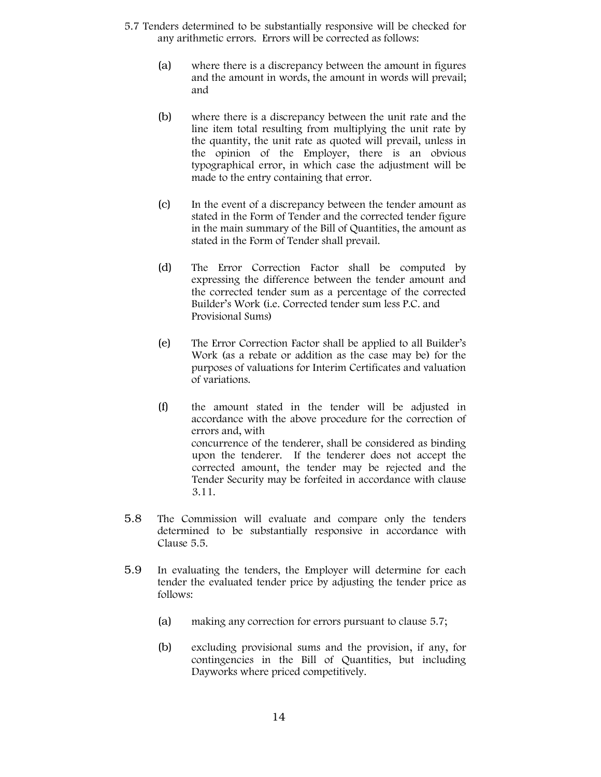- 5.7 Tenders determined to be substantially responsive will be checked for any arithmetic errors. Errors will be corrected as follows:
	- (a) where there is a discrepancy between the amount in figures and the amount in words, the amount in words will prevail; and
	- (b) where there is a discrepancy between the unit rate and the line item total resulting from multiplying the unit rate by the quantity, the unit rate as quoted will prevail, unless in the opinion of the Employer, there is an obvious typographical error, in which case the adjustment will be made to the entry containing that error.
	- (c) In the event of a discrepancy between the tender amount as stated in the Form of Tender and the corrected tender figure in the main summary of the Bill of Quantities, the amount as stated in the Form of Tender shall prevail.
	- (d) The Error Correction Factor shall be computed by expressing the difference between the tender amount and the corrected tender sum as a percentage of the corrected Builder's Work (i.e. Corrected tender sum less P.C. and Provisional Sums)
	- (e) The Error Correction Factor shall be applied to all Builder's Work (as a rebate or addition as the case may be) for the purposes of valuations for Interim Certificates and valuation of variations.
	- (f) the amount stated in the tender will be adjusted in accordance with the above procedure for the correction of errors and, with concurrence of the tenderer, shall be considered as binding upon the tenderer. If the tenderer does not accept the corrected amount, the tender may be rejected and the Tender Security may be forfeited in accordance with clause 3.11.
- 5.8 The Commission will evaluate and compare only the tenders determined to be substantially responsive in accordance with Clause 5.5.
- 5.9 In evaluating the tenders, the Employer will determine for each tender the evaluated tender price by adjusting the tender price as follows:
	- (a) making any correction for errors pursuant to clause 5.7;
	- (b) excluding provisional sums and the provision, if any, for contingencies in the Bill of Quantities, but including Dayworks where priced competitively.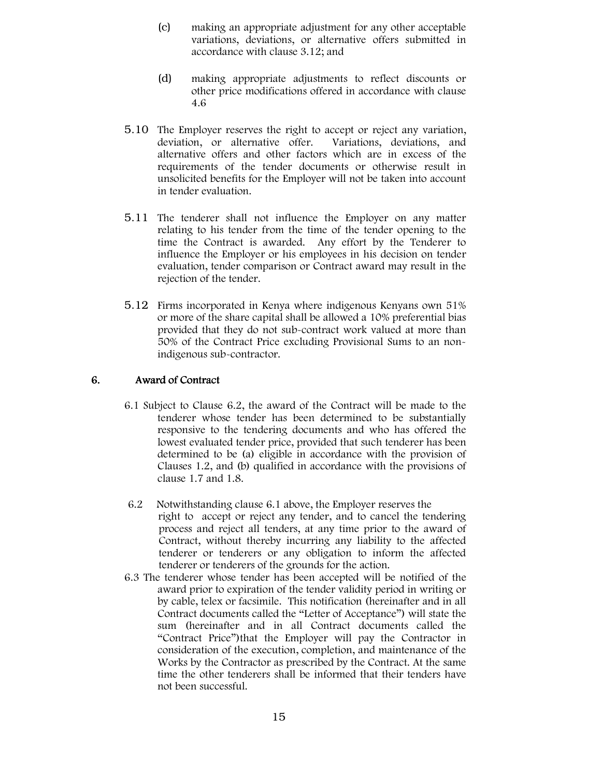- (c) making an appropriate adjustment for any other acceptable variations, deviations, or alternative offers submitted in accordance with clause 3.12; and
- (d) making appropriate adjustments to reflect discounts or other price modifications offered in accordance with clause 4.6
- 5.10 The Employer reserves the right to accept or reject any variation, deviation, or alternative offer. Variations, deviations, and alternative offers and other factors which are in excess of the requirements of the tender documents or otherwise result in unsolicited benefits for the Employer will not be taken into account in tender evaluation.
- 5.11 The tenderer shall not influence the Employer on any matter relating to his tender from the time of the tender opening to the time the Contract is awarded. Any effort by the Tenderer to influence the Employer or his employees in his decision on tender evaluation, tender comparison or Contract award may result in the rejection of the tender.
- 5.12 Firms incorporated in Kenya where indigenous Kenyans own 51% or more of the share capital shall be allowed a 10% preferential bias provided that they do not sub-contract work valued at more than 50% of the Contract Price excluding Provisional Sums to an nonindigenous sub-contractor.

#### 6. Award of Contract

- 6.1 Subject to Clause 6.2, the award of the Contract will be made to the tenderer whose tender has been determined to be substantially responsive to the tendering documents and who has offered the lowest evaluated tender price, provided that such tenderer has been determined to be (a) eligible in accordance with the provision of Clauses 1.2, and (b) qualified in accordance with the provisions of clause 1.7 and 1.8.
- 6.2 Notwithstanding clause 6.1 above, the Employer reserves the right to accept or reject any tender, and to cancel the tendering process and reject all tenders, at any time prior to the award of Contract, without thereby incurring any liability to the affected tenderer or tenderers or any obligation to inform the affected tenderer or tenderers of the grounds for the action.
- 6.3 The tenderer whose tender has been accepted will be notified of the award prior to expiration of the tender validity period in writing or by cable, telex or facsimile. This notification (hereinafter and in all Contract documents called the "Letter of Acceptance") will state the sum (hereinafter and in all Contract documents called the "Contract Price")that the Employer will pay the Contractor in consideration of the execution, completion, and maintenance of the Works by the Contractor as prescribed by the Contract. At the same time the other tenderers shall be informed that their tenders have not been successful.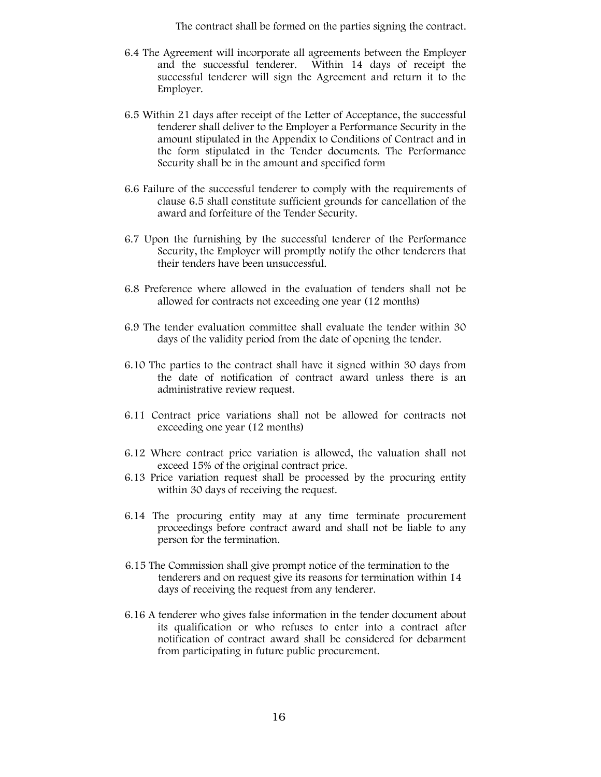The contract shall be formed on the parties signing the contract.

- 6.4 The Agreement will incorporate all agreements between the Employer and the successful tenderer. Within 14 days of receipt the successful tenderer will sign the Agreement and return it to the Employer.
- 6.5 Within 21 days after receipt of the Letter of Acceptance, the successful tenderer shall deliver to the Employer a Performance Security in the amount stipulated in the Appendix to Conditions of Contract and in the form stipulated in the Tender documents. The Performance Security shall be in the amount and specified form
- 6.6 Failure of the successful tenderer to comply with the requirements of clause 6.5 shall constitute sufficient grounds for cancellation of the award and forfeiture of the Tender Security.
- 6.7 Upon the furnishing by the successful tenderer of the Performance Security, the Employer will promptly notify the other tenderers that their tenders have been unsuccessful.
- 6.8 Preference where allowed in the evaluation of tenders shall not be allowed for contracts not exceeding one year (12 months)
- 6.9 The tender evaluation committee shall evaluate the tender within 30 days of the validity period from the date of opening the tender.
- 6.10 The parties to the contract shall have it signed within 30 days from the date of notification of contract award unless there is an administrative review request.
- 6.11 Contract price variations shall not be allowed for contracts not exceeding one year (12 months)
- 6.12 Where contract price variation is allowed, the valuation shall not exceed 15% of the original contract price.
- 6.13 Price variation request shall be processed by the procuring entity within 30 days of receiving the request.
- 6.14 The procuring entity may at any time terminate procurement proceedings before contract award and shall not be liable to any person for the termination.
- 6.15 The Commission shall give prompt notice of the termination to the tenderers and on request give its reasons for termination within 14 days of receiving the request from any tenderer.
- 6.16 A tenderer who gives false information in the tender document about its qualification or who refuses to enter into a contract after notification of contract award shall be considered for debarment from participating in future public procurement.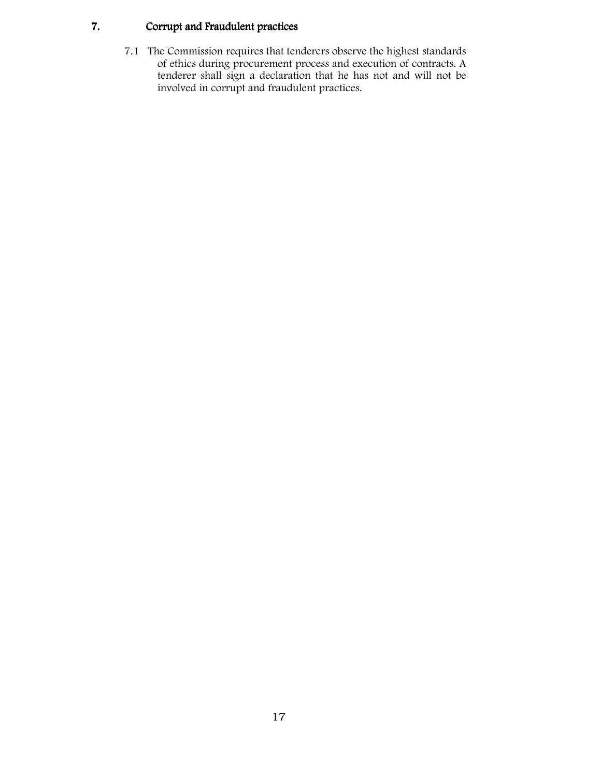## 7. Corrupt and Fraudulent practices

7.1 The Commission requires that tenderers observe the highest standards of ethics during procurement process and execution of contracts. A tenderer shall sign a declaration that he has not and will not be involved in corrupt and fraudulent practices.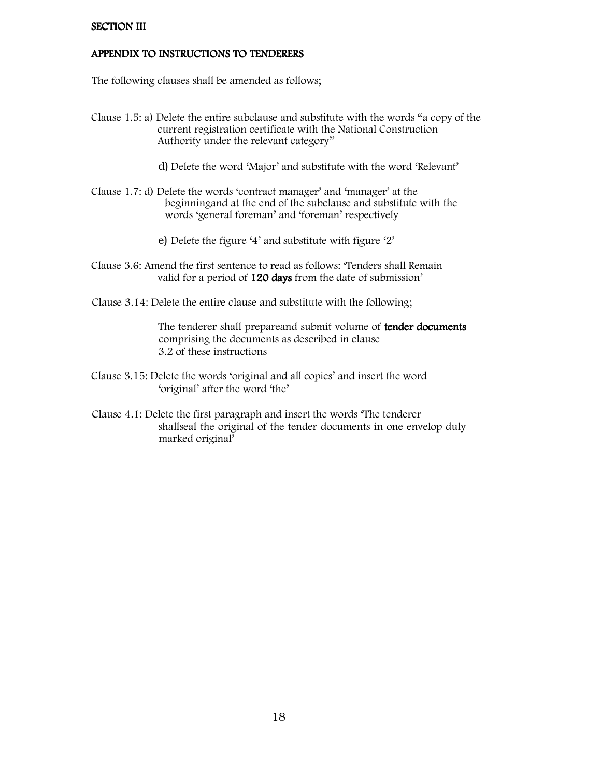#### **SECTION III**

#### APPENDIX TO INSTRUCTIONS TO TENDERERS

The following clauses shall be amended as follows;

- Clause 1.5: a) Delete the entire subclause and substitute with the words "a copy of the current registration certificate with the National Construction Authority under the relevant category''
	- d) Delete the word 'Major' and substitute with the word 'Relevant'
- Clause 1.7: d) Delete the words 'contract manager' and 'manager' at the beginningand at the end of the subclause and substitute with the words 'general foreman' and 'foreman' respectively
	- e) Delete the figure '4' and substitute with figure '2'
- Clause 3.6: Amend the first sentence to read as follows: 'Tenders shall Remain valid for a period of 120 days from the date of submission'
- Clause 3.14: Delete the entire clause and substitute with the following;

The tenderer shall prepareand submit volume of tender documents comprising the documents as described in clause 3.2 of these instructions

- Clause 3.15: Delete the words 'original and all copies' and insert the word 'original' after the word 'the'
- Clause 4.1: Delete the first paragraph and insert the words 'The tenderer shallseal the original of the tender documents in one envelop duly marked original'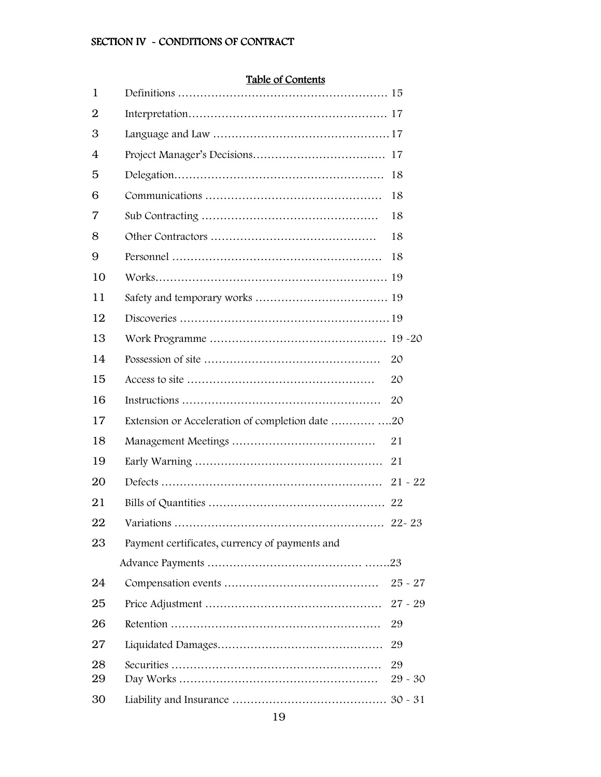## SECTION IV - CONDITIONS OF CONTRACT

## Table of Contents

| 1              |                                                |                 |
|----------------|------------------------------------------------|-----------------|
| $\overline{2}$ |                                                |                 |
| 3              |                                                |                 |
| 4              |                                                |                 |
| 5              |                                                | 18              |
| 6              |                                                | 18              |
| 7              |                                                | 18              |
| 8              |                                                | 18              |
| 9              |                                                | 18              |
| 10             |                                                |                 |
| 11             |                                                |                 |
| 12             |                                                |                 |
| 13             |                                                |                 |
| 14             |                                                | 20              |
| 15             |                                                | 20              |
| 16             |                                                | 20              |
| 17             |                                                |                 |
| 18             |                                                | 21              |
| 19             |                                                | 21              |
| 20             |                                                | $21 - 22$       |
| 21             |                                                |                 |
| 22             |                                                |                 |
| 23             | Payment certificates, currency of payments and |                 |
|                |                                                |                 |
| 24             |                                                | $25 - 27$       |
| 25             |                                                | $27 - 29$       |
| 26             |                                                | 29              |
| 27             |                                                | 29              |
| 28<br>29       |                                                | 29<br>$29 - 30$ |
| 30             |                                                |                 |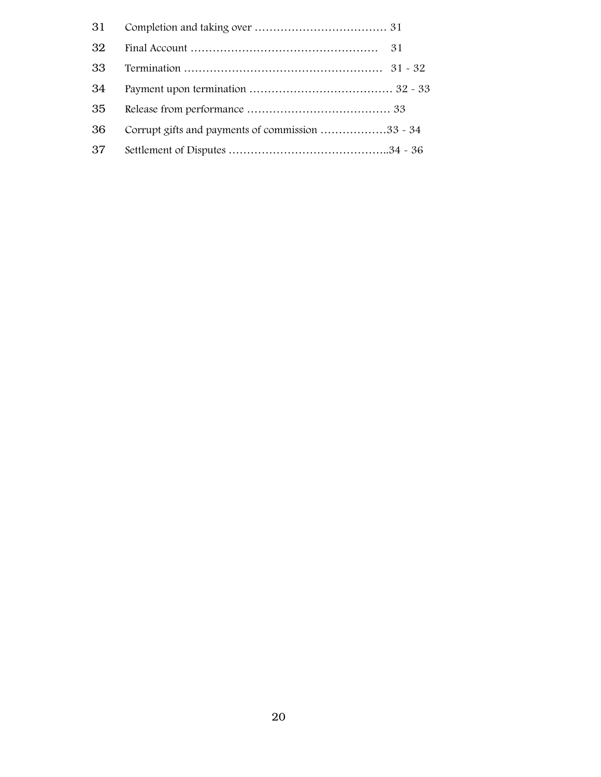| 31 |                                                  |
|----|--------------------------------------------------|
| 32 |                                                  |
| 33 |                                                  |
| 34 |                                                  |
| 35 |                                                  |
| 36 | Corrupt gifts and payments of commission 33 - 34 |
| 37 |                                                  |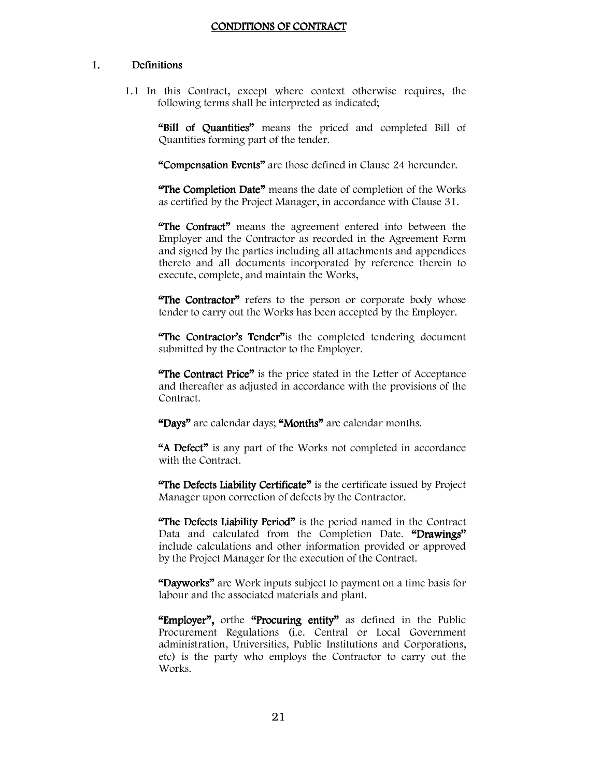#### CONDITIONS OF CONTRACT

#### 1. Definitions

1.1 In this Contract, except where context otherwise requires, the following terms shall be interpreted as indicated;

"Bill of Quantities" means the priced and completed Bill of Quantities forming part of the tender.

"Compensation Events" are those defined in Clause 24 hereunder.

"The Completion Date" means the date of completion of the Works as certified by the Project Manager, in accordance with Clause 31.

"The Contract" means the agreement entered into between the Employer and the Contractor as recorded in the Agreement Form and signed by the parties including all attachments and appendices thereto and all documents incorporated by reference therein to execute, complete, and maintain the Works,

"The Contractor" refers to the person or corporate body whose tender to carry out the Works has been accepted by the Employer.

"The Contractor's Tender" is the completed tendering document submitted by the Contractor to the Employer.

"The Contract Price" is the price stated in the Letter of Acceptance and thereafter as adjusted in accordance with the provisions of the Contract.

"Days" are calendar days; "Months" are calendar months.

"A Defect" is any part of the Works not completed in accordance with the Contract.

"The Defects Liability Certificate" is the certificate issued by Project Manager upon correction of defects by the Contractor.

"The Defects Liability Period" is the period named in the Contract Data and calculated from the Completion Date. "Drawings" include calculations and other information provided or approved by the Project Manager for the execution of the Contract.

"Dayworks" are Work inputs subject to payment on a time basis for labour and the associated materials and plant.

"Employer", orthe "Procuring entity" as defined in the Public Procurement Regulations (i.e. Central or Local Government administration, Universities, Public Institutions and Corporations, etc) is the party who employs the Contractor to carry out the Works.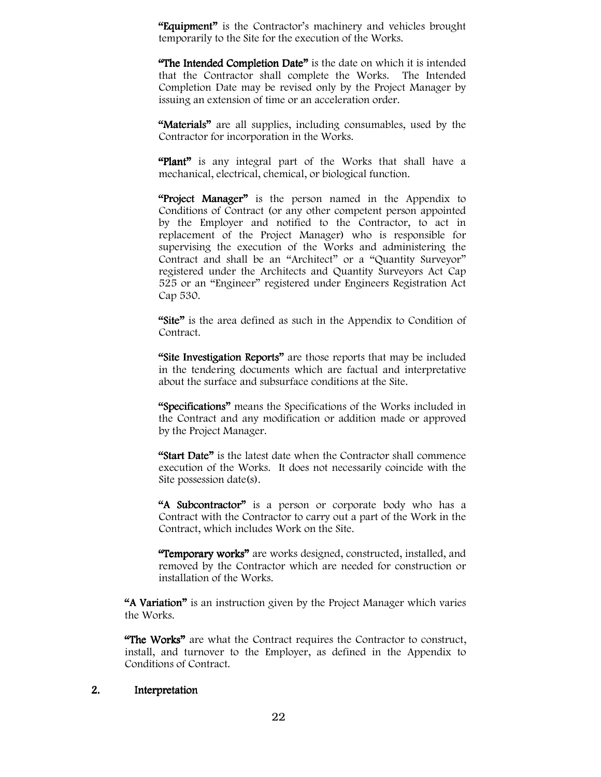"Equipment" is the Contractor's machinery and vehicles brought temporarily to the Site for the execution of the Works.

**"The Intended Completion Date"** is the date on which it is intended that the Contractor shall complete the Works. The Intended Completion Date may be revised only by the Project Manager by issuing an extension of time or an acceleration order.

"Materials" are all supplies, including consumables, used by the Contractor for incorporation in the Works.

"Plant" is any integral part of the Works that shall have a mechanical, electrical, chemical, or biological function.

"Project Manager" is the person named in the Appendix to Conditions of Contract (or any other competent person appointed by the Employer and notified to the Contractor, to act in replacement of the Project Manager) who is responsible for supervising the execution of the Works and administering the Contract and shall be an "Architect" or a "Quantity Surveyor" registered under the Architects and Quantity Surveyors Act Cap 525 or an "Engineer" registered under Engineers Registration Act Cap 530.

"Site" is the area defined as such in the Appendix to Condition of Contract.

"Site Investigation Reports" are those reports that may be included in the tendering documents which are factual and interpretative about the surface and subsurface conditions at the Site.

"Specifications" means the Specifications of the Works included in the Contract and any modification or addition made or approved by the Project Manager.

"Start Date" is the latest date when the Contractor shall commence execution of the Works. It does not necessarily coincide with the Site possession date(s).

"A Subcontractor" is a person or corporate body who has a Contract with the Contractor to carry out a part of the Work in the Contract, which includes Work on the Site.

"Temporary works" are works designed, constructed, installed, and removed by the Contractor which are needed for construction or installation of the Works.

"A Variation" is an instruction given by the Project Manager which varies the Works.

"The Works" are what the Contract requires the Contractor to construct, install, and turnover to the Employer, as defined in the Appendix to Conditions of Contract.

#### 2. Interpretation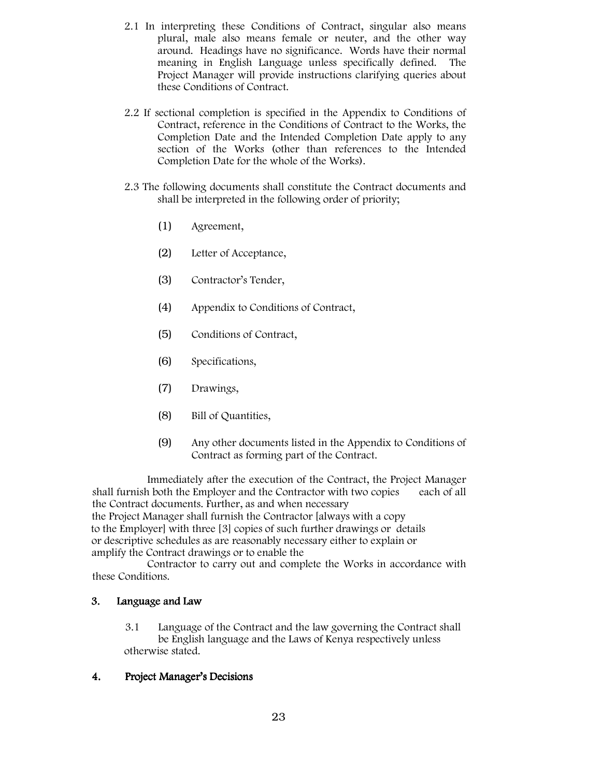- 2.1 In interpreting these Conditions of Contract, singular also means plural, male also means female or neuter, and the other way around. Headings have no significance. Words have their normal meaning in English Language unless specifically defined. The Project Manager will provide instructions clarifying queries about these Conditions of Contract.
- 2.2 If sectional completion is specified in the Appendix to Conditions of Contract, reference in the Conditions of Contract to the Works, the Completion Date and the Intended Completion Date apply to any section of the Works (other than references to the Intended Completion Date for the whole of the Works).
- 2.3 The following documents shall constitute the Contract documents and shall be interpreted in the following order of priority;
	- (1) Agreement,
	- (2) Letter of Acceptance,
	- (3) Contractor's Tender,
	- (4) Appendix to Conditions of Contract,
	- (5) Conditions of Contract,
	- (6) Specifications,
	- (7) Drawings,
	- (8) Bill of Quantities,
	- (9) Any other documents listed in the Appendix to Conditions of Contract as forming part of the Contract.

 Immediately after the execution of the Contract, the Project Manager shall furnish both the Employer and the Contractor with two copies each of all the Contract documents. Further, as and when necessary the Project Manager shall furnish the Contractor [always with a copy to the Employer] with three [3] copies of such further drawings or details or descriptive schedules as are reasonably necessary either to explain or amplify the Contract drawings or to enable the

 Contractor to carry out and complete the Works in accordance with these Conditions.

#### 3. Language and Law

3.1 Language of the Contract and the law governing the Contract shall be English language and the Laws of Kenya respectively unless otherwise stated.

#### 4. Project Manager's Decisions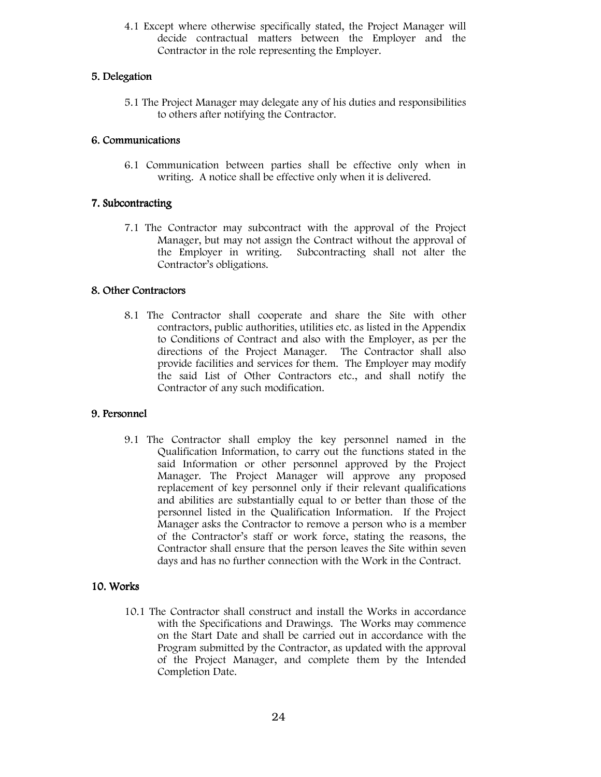4.1 Except where otherwise specifically stated, the Project Manager will decide contractual matters between the Employer and the Contractor in the role representing the Employer.

#### 5.Delegation

5.1 The Project Manager may delegate any of his duties and responsibilities to others after notifying the Contractor.

#### 6. Communications

6.1 Communication between parties shall be effective only when in writing. A notice shall be effective only when it is delivered.

#### 7. Subcontracting

7.1 The Contractor may subcontract with the approval of the Project Manager, but may not assign the Contract without the approval of the Employer in writing. Subcontracting shall not alter the Contractor's obligations.

#### 8. Other Contractors

8.1 The Contractor shall cooperate and share the Site with other contractors, public authorities, utilities etc. as listed in the Appendix to Conditions of Contract and also with the Employer, as per the directions of the Project Manager. The Contractor shall also provide facilities and services for them. The Employer may modify the said List of Other Contractors etc., and shall notify the Contractor of any such modification.

### 9. Personnel

9.1 The Contractor shall employ the key personnel named in the Qualification Information, to carry out the functions stated in the said Information or other personnel approved by the Project Manager. The Project Manager will approve any proposed replacement of key personnel only if their relevant qualifications and abilities are substantially equal to or better than those of the personnel listed in the Qualification Information. If the Project Manager asks the Contractor to remove a person who is a member of the Contractor's staff or work force, stating the reasons, the Contractor shall ensure that the person leaves the Site within seven days and has no further connection with the Work in the Contract.

#### 10.Works

10.1 The Contractor shall construct and install the Works in accordance with the Specifications and Drawings. The Works may commence on the Start Date and shall be carried out in accordance with the Program submitted by the Contractor, as updated with the approval of the Project Manager, and complete them by the Intended Completion Date.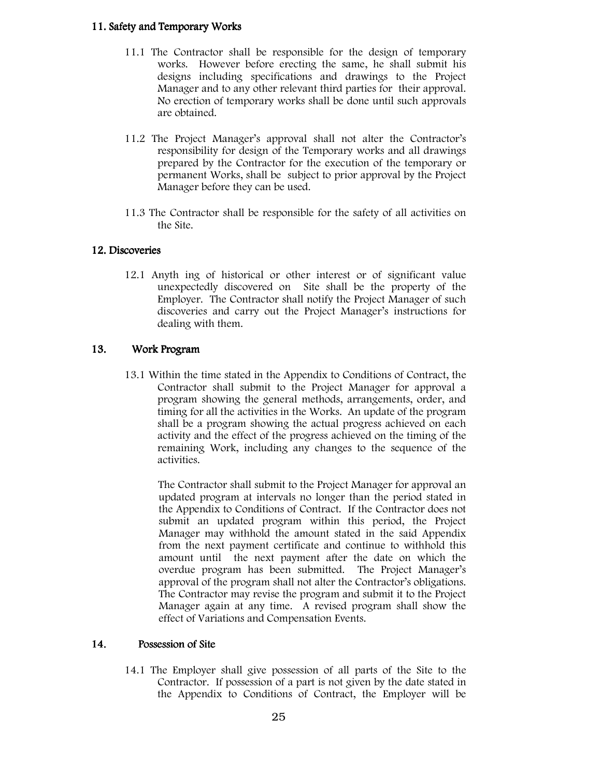#### 11. Safety and Temporary Works

- 11.1 The Contractor shall be responsible for the design of temporary works. However before erecting the same, he shall submit his designs including specifications and drawings to the Project Manager and to any other relevant third parties for their approval. No erection of temporary works shall be done until such approvals are obtained.
- 11.2 The Project Manager's approval shall not alter the Contractor's responsibility for design of the Temporary works and all drawings prepared by the Contractor for the execution of the temporary or permanent Works, shall be subject to prior approval by the Project Manager before they can be used.
- 11.3 The Contractor shall be responsible for the safety of all activities on the Site.

#### 12. Discoveries

12.1 Anyth ing of historical or other interest or of significant value unexpectedly discovered on Site shall be the property of the Employer. The Contractor shall notify the Project Manager of such discoveries and carry out the Project Manager's instructions for dealing with them.

#### 13. Work Program

13.1 Within the time stated in the Appendix to Conditions of Contract, the Contractor shall submit to the Project Manager for approval a program showing the general methods, arrangements, order, and timing for all the activities in the Works. An update of the program shall be a program showing the actual progress achieved on each activity and the effect of the progress achieved on the timing of the remaining Work, including any changes to the sequence of the activities.

The Contractor shall submit to the Project Manager for approval an updated program at intervals no longer than the period stated in the Appendix to Conditions of Contract. If the Contractor does not submit an updated program within this period, the Project Manager may withhold the amount stated in the said Appendix from the next payment certificate and continue to withhold this amount until the next payment after the date on which the overdue program has been submitted. The Project Manager's approval of the program shall not alter the Contractor's obligations. The Contractor may revise the program and submit it to the Project Manager again at any time. A revised program shall show the effect of Variations and Compensation Events.

#### 14. Possession of Site Possession of Site

14.1 The Employer shall give possession of all parts of the Site to the Contractor. If possession of a part is not given by the date stated in the Appendix to Conditions of Contract, the Employer will be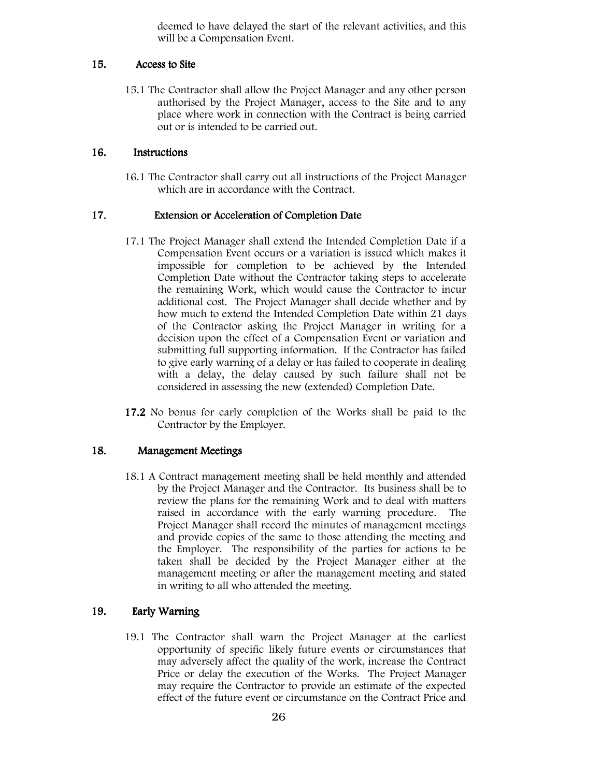deemed to have delayed the start of the relevant activities, and this will be a Compensation Event.

#### 15. Access to Site

15.1 The Contractor shall allow the Project Manager and any other person authorised by the Project Manager, access to the Site and to any place where work in connection with the Contract is being carried out or is intended to be carried out.

#### 16. Instructions

16.1 The Contractor shall carry out all instructions of the Project Manager which are in accordance with the Contract.

#### 17. Extension or Acceleration of Completion Date

- 17.1 The Project Manager shall extend the Intended Completion Date if a Compensation Event occurs or a variation is issued which makes it impossible for completion to be achieved by the Intended Completion Date without the Contractor taking steps to accelerate the remaining Work, which would cause the Contractor to incur additional cost. The Project Manager shall decide whether and by how much to extend the Intended Completion Date within 21 days of the Contractor asking the Project Manager in writing for a decision upon the effect of a Compensation Event or variation and submitting full supporting information. If the Contractor has failed to give early warning of a delay or has failed to cooperate in dealing with a delay, the delay caused by such failure shall not be considered in assessing the new (extended) Completion Date.
- 17.2 No bonus for early completion of the Works shall be paid to the Contractor by the Employer.

#### 18. Management Meetings

18.1 A Contract management meeting shall be held monthly and attended by the Project Manager and the Contractor. Its business shall be to review the plans for the remaining Work and to deal with matters raised in accordance with the early warning procedure. The Project Manager shall record the minutes of management meetings and provide copies of the same to those attending the meeting and the Employer. The responsibility of the parties for actions to be taken shall be decided by the Project Manager either at the management meeting or after the management meeting and stated in writing to all who attended the meeting.

#### 19. Early Warning

19.1 The Contractor shall warn the Project Manager at the earliest opportunity of specific likely future events or circumstances that may adversely affect the quality of the work, increase the Contract Price or delay the execution of the Works. The Project Manager may require the Contractor to provide an estimate of the expected effect of the future event or circumstance on the Contract Price and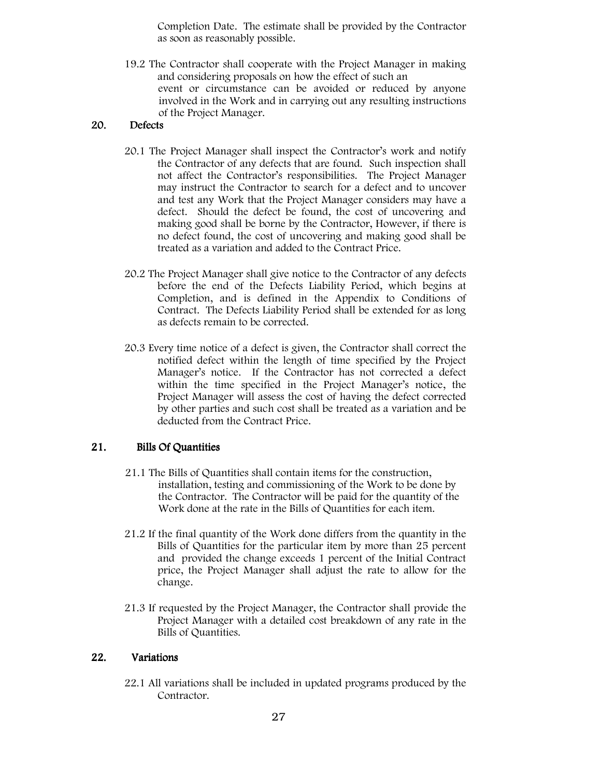Completion Date. The estimate shall be provided by the Contractor as soon as reasonably possible.

19.2 The Contractor shall cooperate with the Project Manager in making and considering proposals on how the effect of such an event or circumstance can be avoided or reduced by anyone involved in the Work and in carrying out any resulting instructions of the Project Manager.

#### 20. Defects

- 20.1 The Project Manager shall inspect the Contractor's work and notify the Contractor of any defects that are found. Such inspection shall not affect the Contractor's responsibilities. The Project Manager may instruct the Contractor to search for a defect and to uncover and test any Work that the Project Manager considers may have a defect. Should the defect be found, the cost of uncovering and making good shall be borne by the Contractor, However, if there is no defect found, the cost of uncovering and making good shall be treated as a variation and added to the Contract Price.
- 20.2 The Project Manager shall give notice to the Contractor of any defects before the end of the Defects Liability Period, which begins at Completion, and is defined in the Appendix to Conditions of Contract. The Defects Liability Period shall be extended for as long as defects remain to be corrected.
- 20.3 Every time notice of a defect is given, the Contractor shall correct the notified defect within the length of time specified by the Project Manager's notice. If the Contractor has not corrected a defect within the time specified in the Project Manager's notice, the Project Manager will assess the cost of having the defect corrected by other parties and such cost shall be treated as a variation and be deducted from the Contract Price.

#### 21. Bills Of Quantities

- 21.1 The Bills of Quantities shall contain items for the construction, installation, testing and commissioning of the Work to be done by the Contractor. The Contractor will be paid for the quantity of the Work done at the rate in the Bills of Quantities for each item.
- 21.2 If the final quantity of the Work done differs from the quantity in the Bills of Quantities for the particular item by more than 25 percent and provided the change exceeds 1 percent of the Initial Contract price, the Project Manager shall adjust the rate to allow for the change.
- 21.3 If requested by the Project Manager, the Contractor shall provide the Project Manager with a detailed cost breakdown of any rate in the Bills of Quantities.

#### 22. Variations

22.1 All variations shall be included in updated programs produced by the Contractor.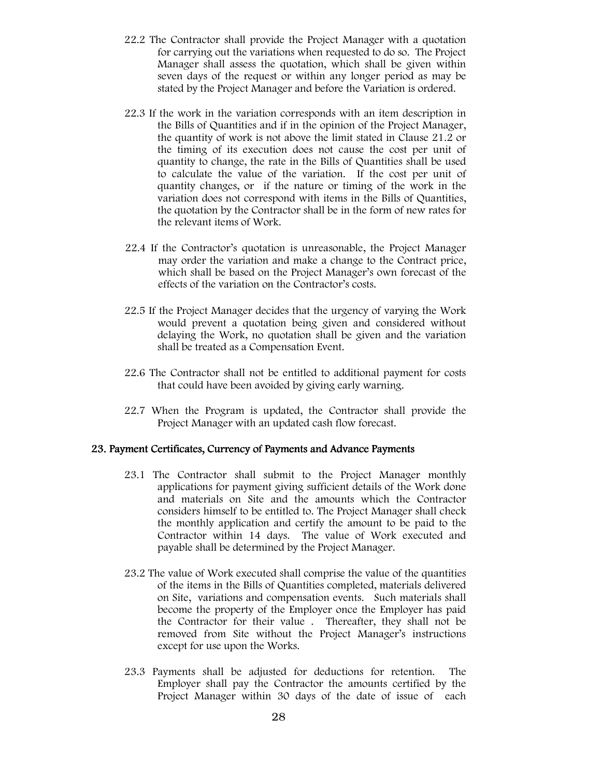- 22.2 The Contractor shall provide the Project Manager with a quotation for carrying out the variations when requested to do so. The Project Manager shall assess the quotation, which shall be given within seven days of the request or within any longer period as may be stated by the Project Manager and before the Variation is ordered.
- 22.3 If the work in the variation corresponds with an item description in the Bills of Quantities and if in the opinion of the Project Manager, the quantity of work is not above the limit stated in Clause 21.2 or the timing of its execution does not cause the cost per unit of quantity to change, the rate in the Bills of Quantities shall be used to calculate the value of the variation. If the cost per unit of quantity changes, or if the nature or timing of the work in the variation does not correspond with items in the Bills of Quantities, the quotation by the Contractor shall be in the form of new rates for the relevant items of Work.
- 22.4 If the Contractor's quotation is unreasonable, the Project Manager may order the variation and make a change to the Contract price, which shall be based on the Project Manager's own forecast of the effects of the variation on the Contractor's costs.
- 22.5 If the Project Manager decides that the urgency of varying the Work would prevent a quotation being given and considered without delaying the Work, no quotation shall be given and the variation shall be treated as a Compensation Event.
- 22.6 The Contractor shall not be entitled to additional payment for costs that could have been avoided by giving early warning.
- 22.7 When the Program is updated, the Contractor shall provide the Project Manager with an updated cash flow forecast.

#### 23. Payment Certificates, Currency of Payments and Advance Payments

- 23.1 The Contractor shall submit to the Project Manager monthly applications for payment giving sufficient details of the Work done and materials on Site and the amounts which the Contractor considers himself to be entitled to. The Project Manager shall check the monthly application and certify the amount to be paid to the Contractor within 14 days. The value of Work executed and payable shall be determined by the Project Manager.
- 23.2 The value of Work executed shall comprise the value of the quantities of the items in the Bills of Quantities completed, materials delivered on Site, variations and compensation events. Such materials shall become the property of the Employer once the Employer has paid the Contractor for their value . Thereafter, they shall not be removed from Site without the Project Manager's instructions except for use upon the Works.
- 23.3 Payments shall be adjusted for deductions for retention. The Employer shall pay the Contractor the amounts certified by the Project Manager within 30 days of the date of issue of each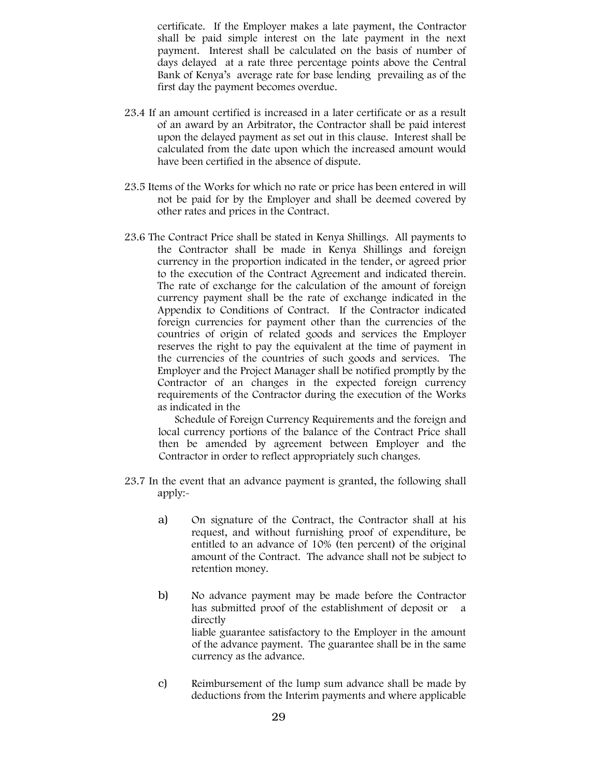certificate. If the Employer makes a late payment, the Contractor shall be paid simple interest on the late payment in the next payment. Interest shall be calculated on the basis of number of days delayed at a rate three percentage points above the Central Bank of Kenya's average rate for base lending prevailing as of the first day the payment becomes overdue.

- 23.4 If an amount certified is increased in a later certificate or as a result of an award by an Arbitrator, the Contractor shall be paid interest upon the delayed payment as set out in this clause. Interest shall be calculated from the date upon which the increased amount would have been certified in the absence of dispute.
- 23.5 Items of the Works for which no rate or price has been entered in will not be paid for by the Employer and shall be deemed covered by other rates and prices in the Contract.
- 23.6 The Contract Price shall be stated in Kenya Shillings. All payments to the Contractor shall be made in Kenya Shillings and foreign currency in the proportion indicated in the tender, or agreed prior to the execution of the Contract Agreement and indicated therein. The rate of exchange for the calculation of the amount of foreign currency payment shall be the rate of exchange indicated in the Appendix to Conditions of Contract. If the Contractor indicated foreign currencies for payment other than the currencies of the countries of origin of related goods and services the Employer reserves the right to pay the equivalent at the time of payment in the currencies of the countries of such goods and services. The Employer and the Project Manager shall be notified promptly by the Contractor of an changes in the expected foreign currency requirements of the Contractor during the execution of the Works as indicated in the

Schedule of Foreign Currency Requirements and the foreign and local currency portions of the balance of the Contract Price shall then be amended by agreement between Employer and the Contractor in order to reflect appropriately such changes.

- 23.7 In the event that an advance payment is granted, the following shall apply:
	- a) On signature of the Contract, the Contractor shall at his request, and without furnishing proof of expenditure, be entitled to an advance of 10% (ten percent) of the original amount of the Contract. The advance shall not be subject to retention money.
	- b) No advance payment may be made before the Contractor has submitted proof of the establishment of deposit or directly liable guarantee satisfactory to the Employer in the amount of the advance payment. The guarantee shall be in the same currency as the advance.
	- c) Reimbursement of the lump sum advance shall be made by deductions from the Interim payments and where applicable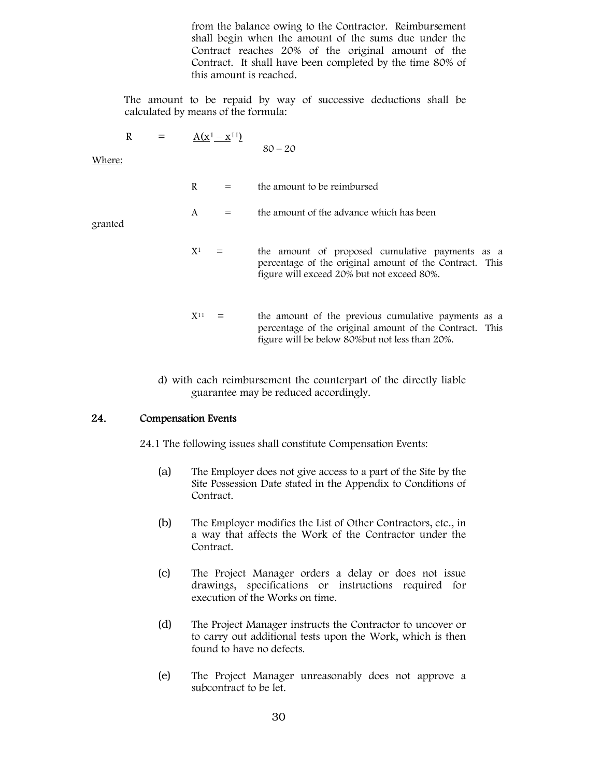from the balance owing to the Contractor. Reimbursement shall begin when the amount of the sums due under the Contract reaches 20% of the original amount of the Contract. It shall have been completed by the time 80% of this amount is reached.

The amount to be repaid by way of successive deductions shall be calculated by means of the formula:

$$
R = \underline{A(x^1 - x^{11})}
$$

 $80 - 20$ 

Where:

 $R =$  the amount to be reimbursed

$$
A = the amount of the advance which has been
$$

granted

- $X^1 =$ the amount of proposed cumulative payments as a percentage of the original amount of the Contract. This figure will exceed 20% but not exceed 80%.
- $X<sup>11</sup>$  = the amount of the previous cumulative payments as a percentage of the original amount of the Contract. This figure will be below 80%but not less than 20%.
- d) with each reimbursement the counterpart of the directly liable guarantee may be reduced accordingly.

#### 24. Compensation Events

24.1 The following issues shall constitute Compensation Events:

- (a) The Employer does not give access to a part of the Site by the Site Possession Date stated in the Appendix to Conditions of Contract.
- (b) The Employer modifies the List of Other Contractors, etc., in a way that affects the Work of the Contractor under the Contract.
- (c) The Project Manager orders a delay or does not issue drawings, specifications or instructions required for execution of the Works on time.
- (d) The Project Manager instructs the Contractor to uncover or to carry out additional tests upon the Work, which is then found to have no defects.
- (e) The Project Manager unreasonably does not approve a subcontract to be let.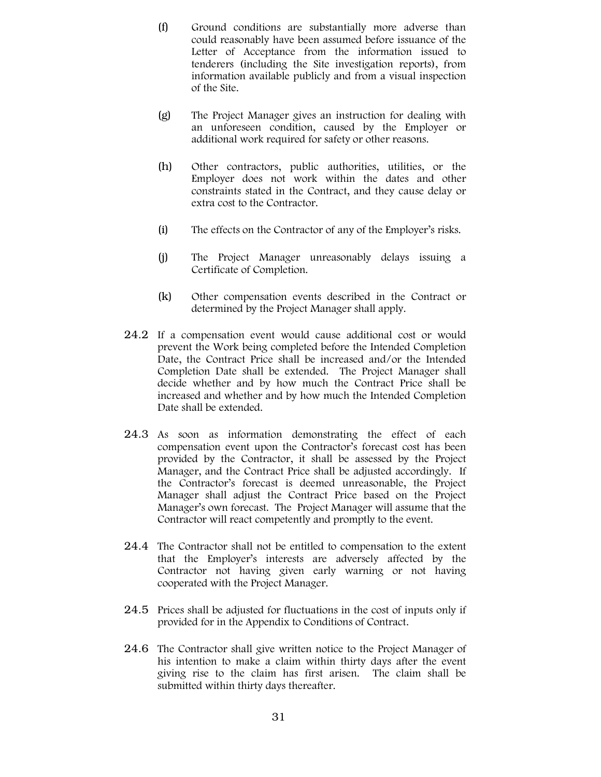- (f) Ground conditions are substantially more adverse than could reasonably have been assumed before issuance of the Letter of Acceptance from the information issued to tenderers (including the Site investigation reports), from information available publicly and from a visual inspection of the Site.
- (g) The Project Manager gives an instruction for dealing with an unforeseen condition, caused by the Employer or additional work required for safety or other reasons.
- (h) Other contractors, public authorities, utilities, or the Employer does not work within the dates and other constraints stated in the Contract, and they cause delay or extra cost to the Contractor.
- (i) The effects on the Contractor of any of the Employer's risks.
- (j) The Project Manager unreasonably delays issuing a Certificate of Completion.
- (k) Other compensation events described in the Contract or determined by the Project Manager shall apply.
- 24.2 If a compensation event would cause additional cost or would prevent the Work being completed before the Intended Completion Date, the Contract Price shall be increased and/or the Intended Completion Date shall be extended. The Project Manager shall decide whether and by how much the Contract Price shall be increased and whether and by how much the Intended Completion Date shall be extended.
- 24.3 As soon as information demonstrating the effect of each compensation event upon the Contractor's forecast cost has been provided by the Contractor, it shall be assessed by the Project Manager, and the Contract Price shall be adjusted accordingly. If the Contractor's forecast is deemed unreasonable, the Project Manager shall adjust the Contract Price based on the Project Manager's own forecast. The Project Manager will assume that the Contractor will react competently and promptly to the event.
- 24.4 The Contractor shall not be entitled to compensation to the extent that the Employer's interests are adversely affected by the Contractor not having given early warning or not having cooperated with the Project Manager.
- 24.5 Prices shall be adjusted for fluctuations in the cost of inputs only if provided for in the Appendix to Conditions of Contract.
- 24.6 The Contractor shall give written notice to the Project Manager of his intention to make a claim within thirty days after the event giving rise to the claim has first arisen. The claim shall be submitted within thirty days thereafter.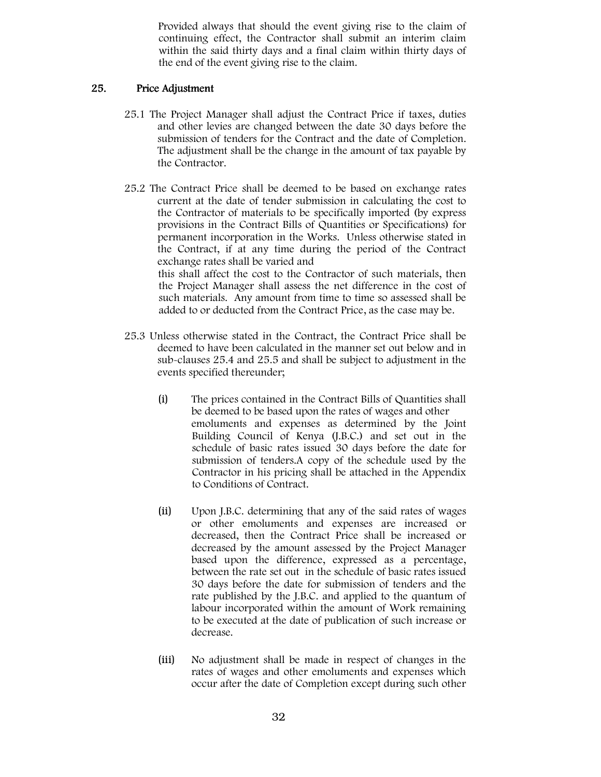Provided always that should the event giving rise to the claim of continuing effect, the Contractor shall submit an interim claim within the said thirty days and a final claim within thirty days of the end of the event giving rise to the claim.

#### 25. Price Adjustment

- 25.1 The Project Manager shall adjust the Contract Price if taxes, duties and other levies are changed between the date 30 days before the submission of tenders for the Contract and the date of Completion. The adjustment shall be the change in the amount of tax payable by the Contractor.
- 25.2 The Contract Price shall be deemed to be based on exchange rates current at the date of tender submission in calculating the cost to the Contractor of materials to be specifically imported (by express provisions in the Contract Bills of Quantities or Specifications) for permanent incorporation in the Works. Unless otherwise stated in the Contract, if at any time during the period of the Contract exchange rates shall be varied and this shall affect the cost to the Contractor of such materials, then the Project Manager shall assess the net difference in the cost of such materials. Any amount from time to time so assessed shall be added to or deducted from the Contract Price, as the case may be.
- 25.3 Unless otherwise stated in the Contract, the Contract Price shall be deemed to have been calculated in the manner set out below and in sub-clauses 25.4 and 25.5 and shall be subject to adjustment in the events specified thereunder;
	- (i) The prices contained in the Contract Bills of Quantities shall be deemed to be based upon the rates of wages and other emoluments and expenses as determined by the Joint Building Council of Kenya (J.B.C.) and set out in the schedule of basic rates issued 30 days before the date for submission of tenders.A copy of the schedule used by the Contractor in his pricing shall be attached in the Appendix to Conditions of Contract.
	- (ii) Upon J.B.C. determining that any of the said rates of wages or other emoluments and expenses are increased or decreased, then the Contract Price shall be increased or decreased by the amount assessed by the Project Manager based upon the difference, expressed as a percentage, between the rate set out in the schedule of basic rates issued 30 days before the date for submission of tenders and the rate published by the J.B.C. and applied to the quantum of labour incorporated within the amount of Work remaining to be executed at the date of publication of such increase or decrease.
	- (iii) No adjustment shall be made in respect of changes in the rates of wages and other emoluments and expenses which occur after the date of Completion except during such other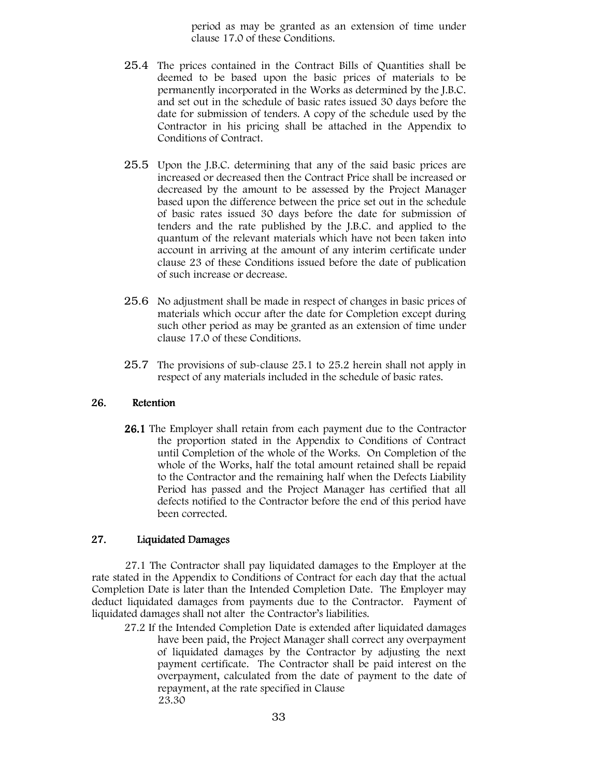period as may be granted as an extension of time under clause 17.0 of these Conditions.

- 25.4 The prices contained in the Contract Bills of Quantities shall be deemed to be based upon the basic prices of materials to be permanently incorporated in the Works as determined by the J.B.C. and set out in the schedule of basic rates issued 30 days before the date for submission of tenders. A copy of the schedule used by the Contractor in his pricing shall be attached in the Appendix to Conditions of Contract.
- 25.5 Upon the J.B.C. determining that any of the said basic prices are increased or decreased then the Contract Price shall be increased or decreased by the amount to be assessed by the Project Manager based upon the difference between the price set out in the schedule of basic rates issued 30 days before the date for submission of tenders and the rate published by the J.B.C. and applied to the quantum of the relevant materials which have not been taken into account in arriving at the amount of any interim certificate under clause 23 of these Conditions issued before the date of publication of such increase or decrease.
- 25.6 No adjustment shall be made in respect of changes in basic prices of materials which occur after the date for Completion except during such other period as may be granted as an extension of time under clause 17.0 of these Conditions.
- 25.7 The provisions of sub-clause 25.1 to 25.2 herein shall not apply in respect of any materials included in the schedule of basic rates.

#### 26. Retention

**26.1** The Employer shall retain from each payment due to the Contractor the proportion stated in the Appendix to Conditions of Contract until Completion of the whole of the Works. On Completion of the whole of the Works, half the total amount retained shall be repaid to the Contractor and the remaining half when the Defects Liability Period has passed and the Project Manager has certified that all defects notified to the Contractor before the end of this period have been corrected.

#### 27. Liquidated Damages

27.1 The Contractor shall pay liquidated damages to the Employer at the rate stated in the Appendix to Conditions of Contract for each day that the actual Completion Date is later than the Intended Completion Date. The Employer may deduct liquidated damages from payments due to the Contractor. Payment of liquidated damages shall not alter the Contractor's liabilities.

27.2 If the Intended Completion Date is extended after liquidated damages have been paid, the Project Manager shall correct any overpayment of liquidated damages by the Contractor by adjusting the next payment certificate. The Contractor shall be paid interest on the overpayment, calculated from the date of payment to the date of repayment, at the rate specified in Clause 23.30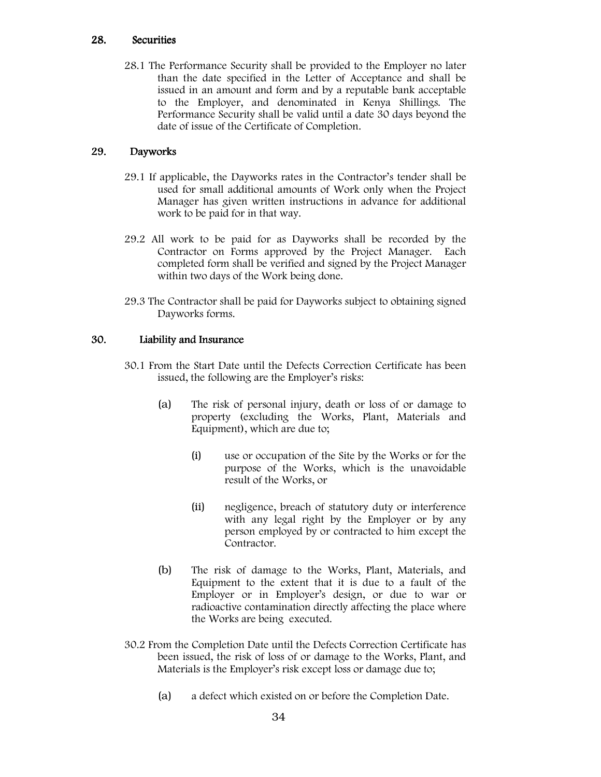#### 28. Securities

28.1 The Performance Security shall be provided to the Employer no later than the date specified in the Letter of Acceptance and shall be issued in an amount and form and by a reputable bank acceptable to the Employer, and denominated in Kenya Shillings. The Performance Security shall be valid until a date 30 days beyond the date of issue of the Certificate of Completion.

#### 29. Dayworks

- 29.1 If applicable, the Dayworks rates in the Contractor's tender shall be used for small additional amounts of Work only when the Project Manager has given written instructions in advance for additional work to be paid for in that way.
- 29.2 All work to be paid for as Dayworks shall be recorded by the Contractor on Forms approved by the Project Manager. Each completed form shall be verified and signed by the Project Manager within two days of the Work being done.
- 29.3 The Contractor shall be paid for Dayworks subject to obtaining signed Dayworks forms.

#### 30. Liability and Insurance

- 30.1 From the Start Date until the Defects Correction Certificate has been issued, the following are the Employer's risks:
	- (a) The risk of personal injury, death or loss of or damage to property (excluding the Works, Plant, Materials and Equipment), which are due to;
		- (i) use or occupation of the Site by the Works or for the purpose of the Works, which is the unavoidable result of the Works, or
		- (ii) negligence, breach of statutory duty or interference with any legal right by the Employer or by any person employed by or contracted to him except the Contractor.
	- (b) The risk of damage to the Works, Plant, Materials, and Equipment to the extent that it is due to a fault of the Employer or in Employer's design, or due to war or radioactive contamination directly affecting the place where the Works are being executed.
- 30.2 From the Completion Date until the Defects Correction Certificate has been issued, the risk of loss of or damage to the Works, Plant, and Materials is the Employer's risk except loss or damage due to;
	- (a) a defect which existed on or before the Completion Date.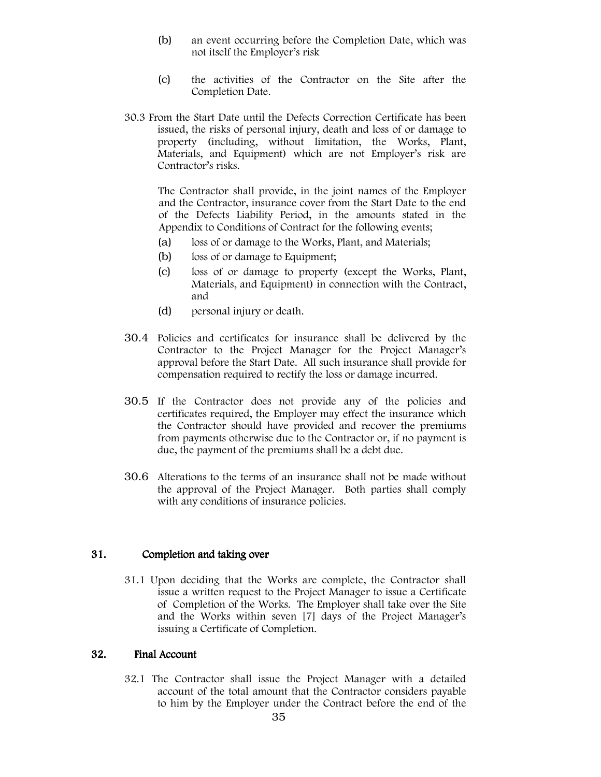- (b) an event occurring before the Completion Date, which was not itself the Employer's risk
- (c) the activities of the Contractor on the Site after the Completion Date.
- 30.3 From the Start Date until the Defects Correction Certificate has been issued, the risks of personal injury, death and loss of or damage to property (including, without limitation, the Works, Plant, Materials, and Equipment) which are not Employer's risk are Contractor's risks.

The Contractor shall provide, in the joint names of the Employer and the Contractor, insurance cover from the Start Date to the end of the Defects Liability Period, in the amounts stated in the Appendix to Conditions of Contract for the following events;

- (a) loss of or damage to the Works, Plant, and Materials;
- (b) loss of or damage to Equipment;
- (c) loss of or damage to property (except the Works, Plant, Materials, and Equipment) in connection with the Contract, and
- (d) personal injury or death.
- 30.4 Policies and certificates for insurance shall be delivered by the Contractor to the Project Manager for the Project Manager's approval before the Start Date. All such insurance shall provide for compensation required to rectify the loss or damage incurred.
- 30.5 If the Contractor does not provide any of the policies and certificates required, the Employer may effect the insurance which the Contractor should have provided and recover the premiums from payments otherwise due to the Contractor or, if no payment is due, the payment of the premiums shall be a debt due.
- 30.6 Alterations to the terms of an insurance shall not be made without the approval of the Project Manager. Both parties shall comply with any conditions of insurance policies.

#### 31. Completion and taking over

31.1 Upon deciding that the Works are complete, the Contractor shall issue a written request to the Project Manager to issue a Certificate of Completion of the Works. The Employer shall take over the Site and the Works within seven [7] days of the Project Manager's issuing a Certificate of Completion.

#### 32. Final Account

32.1 The Contractor shall issue the Project Manager with a detailed account of the total amount that the Contractor considers payable to him by the Employer under the Contract before the end of the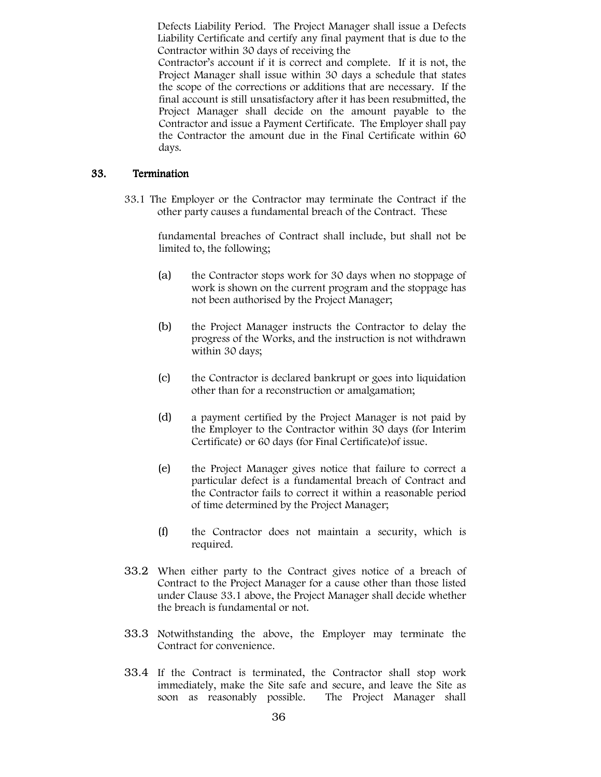Defects Liability Period. The Project Manager shall issue a Defects Liability Certificate and certify any final payment that is due to the Contractor within 30 days of receiving the

Contractor's account if it is correct and complete. If it is not, the Project Manager shall issue within 30 days a schedule that states the scope of the corrections or additions that are necessary. If the final account is still unsatisfactory after it has been resubmitted, the Project Manager shall decide on the amount payable to the Contractor and issue a Payment Certificate. The Employer shall pay the Contractor the amount due in the Final Certificate within 60 days.

#### 33. Termination

33.1 The Employer or the Contractor may terminate the Contract if the other party causes a fundamental breach of the Contract. These

> fundamental breaches of Contract shall include, but shall not be limited to, the following;

- (a) the Contractor stops work for 30 days when no stoppage of work is shown on the current program and the stoppage has not been authorised by the Project Manager;
- (b) the Project Manager instructs the Contractor to delay the progress of the Works, and the instruction is not withdrawn within 30 days;
- (c) the Contractor is declared bankrupt or goes into liquidation other than for a reconstruction or amalgamation;
- (d) a payment certified by the Project Manager is not paid by the Employer to the Contractor within 30 days (for Interim Certificate) or 60 days (for Final Certificate)of issue.
- (e) the Project Manager gives notice that failure to correct a particular defect is a fundamental breach of Contract and the Contractor fails to correct it within a reasonable period of time determined by the Project Manager;
- (f) the Contractor does not maintain a security, which is required.
- 33.2 When either party to the Contract gives notice of a breach of Contract to the Project Manager for a cause other than those listed under Clause 33.1 above, the Project Manager shall decide whether the breach is fundamental or not.
- 33.3 Notwithstanding the above, the Employer may terminate the Contract for convenience.
- 33.4 If the Contract is terminated, the Contractor shall stop work immediately, make the Site safe and secure, and leave the Site as soon as reasonably possible. The Project Manager shall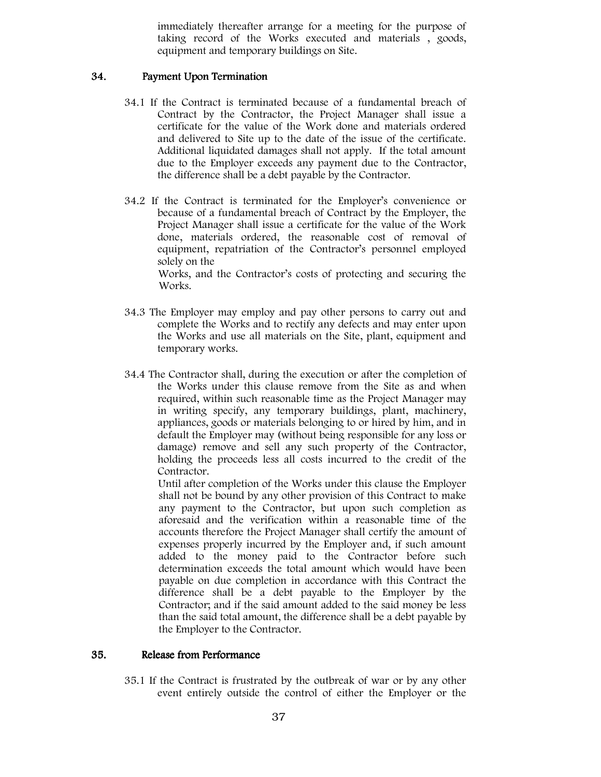immediately thereafter arrange for a meeting for the purpose of taking record of the Works executed and materials , goods, equipment and temporary buildings on Site.

## 34. Payment Upon Termination

- 34.1 If the Contract is terminated because of a fundamental breach of Contract by the Contractor, the Project Manager shall issue a certificate for the value of the Work done and materials ordered and delivered to Site up to the date of the issue of the certificate. Additional liquidated damages shall not apply. If the total amount due to the Employer exceeds any payment due to the Contractor, the difference shall be a debt payable by the Contractor.
- 34.2 If the Contract is terminated for the Employer's convenience or because of a fundamental breach of Contract by the Employer, the Project Manager shall issue a certificate for the value of the Work done, materials ordered, the reasonable cost of removal of equipment, repatriation of the Contractor's personnel employed solely on the

Works, and the Contractor's costs of protecting and securing the Works.

- 34.3 The Employer may employ and pay other persons to carry out and complete the Works and to rectify any defects and may enter upon the Works and use all materials on the Site, plant, equipment and temporary works.
- 34.4 The Contractor shall, during the execution or after the completion of the Works under this clause remove from the Site as and when required, within such reasonable time as the Project Manager may in writing specify, any temporary buildings, plant, machinery, appliances, goods or materials belonging to or hired by him, and in default the Employer may (without being responsible for any loss or damage) remove and sell any such property of the Contractor, holding the proceeds less all costs incurred to the credit of the Contractor.

Until after completion of the Works under this clause the Employer shall not be bound by any other provision of this Contract to make any payment to the Contractor, but upon such completion as aforesaid and the verification within a reasonable time of the accounts therefore the Project Manager shall certify the amount of expenses properly incurred by the Employer and, if such amount added to the money paid to the Contractor before such determination exceeds the total amount which would have been payable on due completion in accordance with this Contract the difference shall be a debt payable to the Employer by the Contractor; and if the said amount added to the said money be less than the said total amount, the difference shall be a debt payable by the Employer to the Contractor.

## 35. Release from Performance

35.1 If the Contract is frustrated by the outbreak of war or by any other event entirely outside the control of either the Employer or the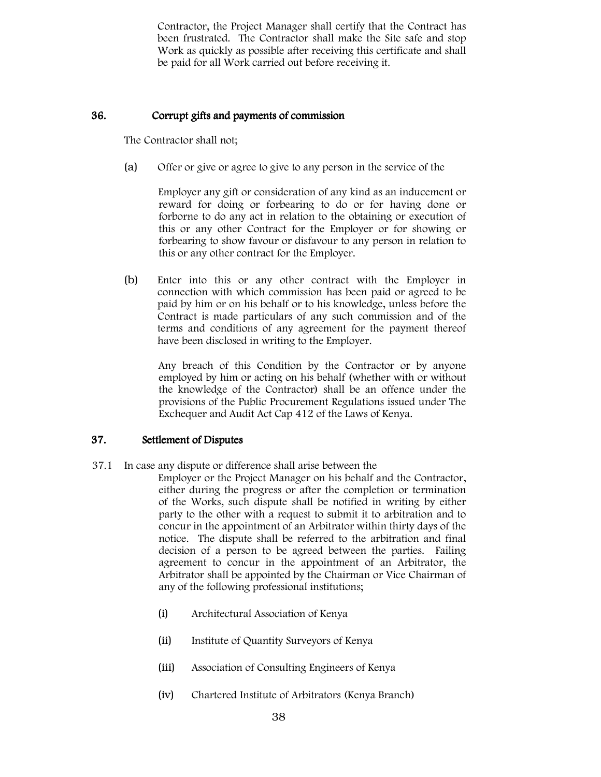Contractor, the Project Manager shall certify that the Contract has been frustrated. The Contractor shall make the Site safe and stop Work as quickly as possible after receiving this certificate and shall be paid for all Work carried out before receiving it.

## 36. Corrupt gifts and payments of commission Corrupt gifts and payments of commission gifts and payments of commission

The Contractor shall not;

(a) Offer or give or agree to give to any person in the service of the

Employer any gift or consideration of any kind as an inducement or reward for doing or forbearing to do or for having done or forborne to do any act in relation to the obtaining or execution of this or any other Contract for the Employer or for showing or forbearing to show favour or disfavour to any person in relation to this or any other contract for the Employer.

(b) Enter into this or any other contract with the Employer in connection with which commission has been paid or agreed to be paid by him or on his behalf or to his knowledge, unless before the Contract is made particulars of any such commission and of the terms and conditions of any agreement for the payment thereof have been disclosed in writing to the Employer.

Any breach of this Condition by the Contractor or by anyone employed by him or acting on his behalf (whether with or without the knowledge of the Contractor) shall be an offence under the provisions of the Public Procurement Regulations issued under The Exchequer and Audit Act Cap 412 of the Laws of Kenya.

## 37. Settlement of Disputes

37.1 In case any dispute or difference shall arise between the

Employer or the Project Manager on his behalf and the Contractor, either during the progress or after the completion or termination of the Works, such dispute shall be notified in writing by either party to the other with a request to submit it to arbitration and to concur in the appointment of an Arbitrator within thirty days of the notice. The dispute shall be referred to the arbitration and final decision of a person to be agreed between the parties. Failing agreement to concur in the appointment of an Arbitrator, the Arbitrator shall be appointed by the Chairman or Vice Chairman of any of the following professional institutions;

- (i) Architectural Association of Kenya
- (ii) Institute of Quantity Surveyors of Kenya
- (iii) Association of Consulting Engineers of Kenya
- (iv) Chartered Institute of Arbitrators (Kenya Branch)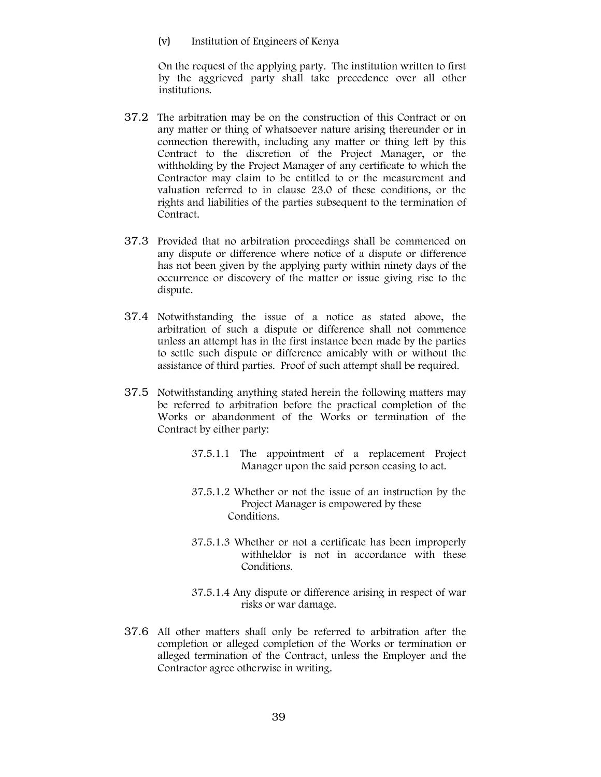(v) Institution of Engineers of Kenya

On the request of the applying party. The institution written to first by the aggrieved party shall take precedence over all other institutions.

- 37.2 The arbitration may be on the construction of this Contract or on any matter or thing of whatsoever nature arising thereunder or in connection therewith, including any matter or thing left by this Contract to the discretion of the Project Manager, or the withholding by the Project Manager of any certificate to which the Contractor may claim to be entitled to or the measurement and valuation referred to in clause 23.0 of these conditions, or the rights and liabilities of the parties subsequent to the termination of Contract.
- 37.3 Provided that no arbitration proceedings shall be commenced on any dispute or difference where notice of a dispute or difference has not been given by the applying party within ninety days of the occurrence or discovery of the matter or issue giving rise to the dispute.
- 37.4 Notwithstanding the issue of a notice as stated above, the arbitration of such a dispute or difference shall not commence unless an attempt has in the first instance been made by the parties to settle such dispute or difference amicably with or without the assistance of third parties. Proof of such attempt shall be required.
- 37.5 Notwithstanding anything stated herein the following matters may be referred to arbitration before the practical completion of the Works or abandonment of the Works or termination of the Contract by either party:
	- 37.5.1.1 The appointment of a replacement Project Manager upon the said person ceasing to act.
	- 37.5.1.2 Whether or not the issue of an instruction by the Project Manager is empowered by these Conditions.
	- 37.5.1.3 Whether or not a certificate has been improperly withheldor is not in accordance with these Conditions.
	- 37.5.1.4 Any dispute or difference arising in respect of war risks or war damage.
- 37.6 All other matters shall only be referred to arbitration after the completion or alleged completion of the Works or termination or alleged termination of the Contract, unless the Employer and the Contractor agree otherwise in writing.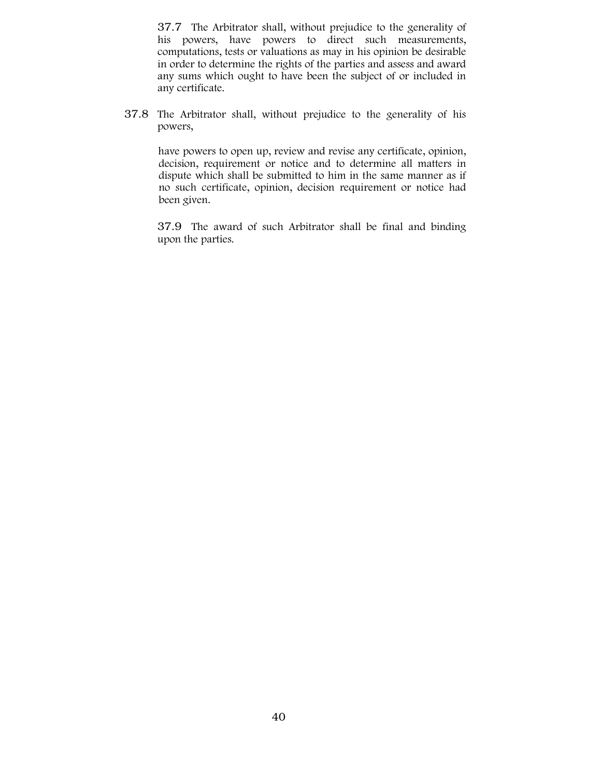37.7 The Arbitrator shall, without prejudice to the generality of his powers, have powers to direct such measurements, computations, tests or valuations as may in his opinion be desirable in order to determine the rights of the parties and assess and award any sums which ought to have been the subject of or included in any certificate.

37.8 The Arbitrator shall, without prejudice to the generality of his powers,

have powers to open up, review and revise any certificate, opinion, decision, requirement or notice and to determine all matters in dispute which shall be submitted to him in the same manner as if no such certificate, opinion, decision requirement or notice had been given.

37.9 The award of such Arbitrator shall be final and binding upon the parties.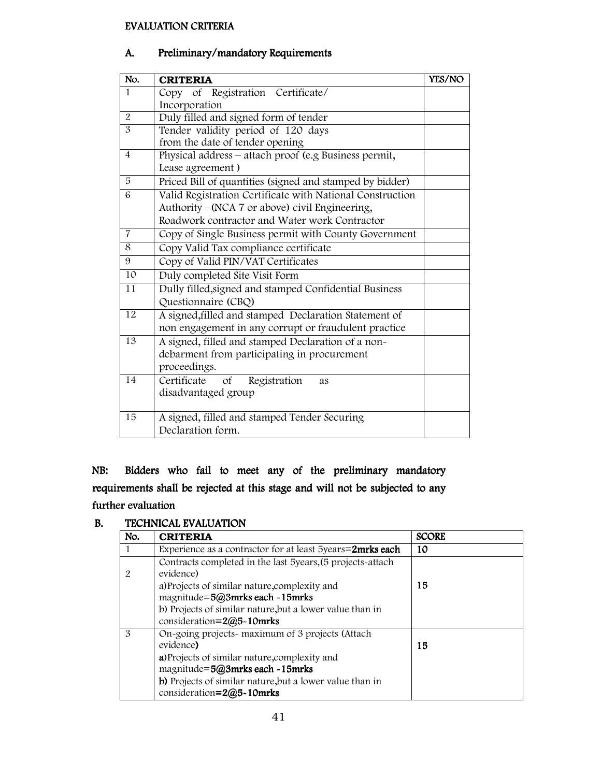## EVALUATION CRITERIA EVALUATION CRITERIA

# A. Preliminary/mandatory Requirements

| No.             | <b>CRITERIA</b>                                           | YES/NO |
|-----------------|-----------------------------------------------------------|--------|
| $\mathbf{1}$    | Copy of Registration Certificate/                         |        |
|                 | Incorporation                                             |        |
| 2               | Duly filled and signed form of tender                     |        |
| $\overline{3}$  | Tender validity period of 120 days                        |        |
|                 | from the date of tender opening                           |        |
| $\overline{4}$  | Physical address - attach proof (e.g Business permit,     |        |
|                 | Lease agreement)                                          |        |
| 5               | Priced Bill of quantities (signed and stamped by bidder)  |        |
| 6               | Valid Registration Certificate with National Construction |        |
|                 | Authority – (NCA 7 or above) civil Engineering,           |        |
|                 | Roadwork contractor and Water work Contractor             |        |
| $\overline{7}$  | Copy of Single Business permit with County Government     |        |
| 8               | Copy Valid Tax compliance certificate                     |        |
| 9               | Copy of Valid PIN/VAT Certificates                        |        |
| 10              | Duly completed Site Visit Form                            |        |
| $\overline{11}$ | Dully filled, signed and stamped Confidential Business    |        |
|                 | Questionnaire (CBQ)                                       |        |
| 12              | A signed, filled and stamped Declaration Statement of     |        |
|                 | non engagement in any corrupt or fraudulent practice      |        |
| 13              | A signed, filled and stamped Declaration of a non-        |        |
|                 | debarment from participating in procurement               |        |
|                 | proceedings.                                              |        |
| 14              | Certificate of<br>Registration<br>as                      |        |
|                 | disadvantaged group                                       |        |
|                 |                                                           |        |
| 15              | A signed, filled and stamped Tender Securing              |        |
|                 | Declaration form.                                         |        |

NB: Bidders who fail to meet any of the preliminary mandatory requirements shall be rejected at this stage and will not be subjected to any further evaluation

# B. TECHNICAL EVALUATION

| No. | <b>CRITERIA</b>                                                                                                                                                                                                                              | <b>SCORE</b> |
|-----|----------------------------------------------------------------------------------------------------------------------------------------------------------------------------------------------------------------------------------------------|--------------|
| 1   | Experience as a contractor for at least 5years=2mrks each                                                                                                                                                                                    | 10           |
| 2   | Contracts completed in the last 5years, (5 projects-attach<br>evidence)                                                                                                                                                                      |              |
|     | a) Projects of similar nature, complexity and<br>magnitude=5@3mrks each -15mrks<br>b) Projects of similar nature, but a lower value than in<br>consideration= $2@5-10$ mrks                                                                  | 15           |
| 3   | On-going projects- maximum of 3 projects (Attach<br>evidence)<br>a) Projects of similar nature, complexity and<br>magnitude=5@3mrks each ~15mrks<br>b) Projects of similar nature, but a lower value than in<br>consideration= $2@5-10$ mrks | 15           |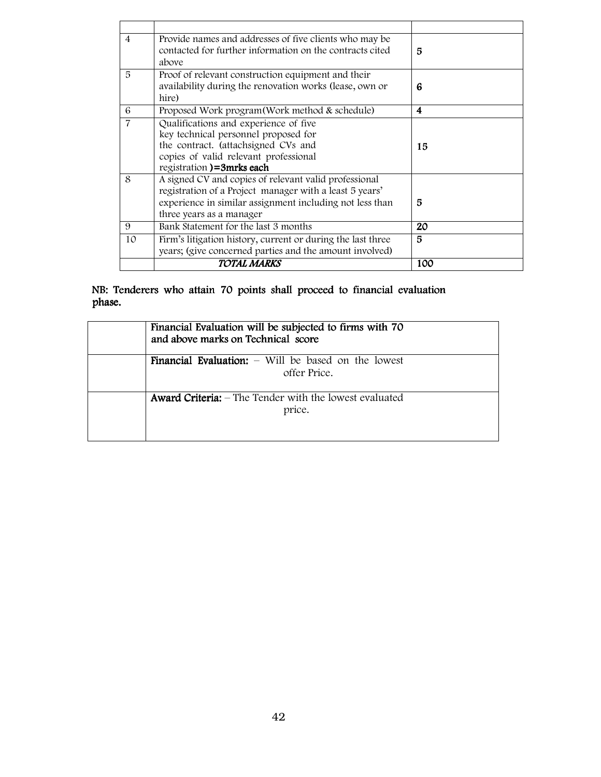| $\overline{4}$ | Provide names and addresses of five clients who may be<br>contacted for further information on the contracts cited<br>above                                                                              | 5   |
|----------------|----------------------------------------------------------------------------------------------------------------------------------------------------------------------------------------------------------|-----|
| 5              | Proof of relevant construction equipment and their<br>availability during the renovation works (lease, own or<br>hire)                                                                                   | 6   |
| 6              | Proposed Work program (Work method & schedule)                                                                                                                                                           | 4   |
| $\overline{7}$ | Qualifications and experience of five<br>key technical personnel proposed for<br>the contract. (attachsigned CVs and<br>copies of valid relevant professional<br>registration)=3mrks each                | 15  |
| 8              | A signed CV and copies of relevant valid professional<br>registration of a Project manager with a least 5 years'<br>experience in similar assignment including not less than<br>three years as a manager | 5   |
| 9              | Bank Statement for the last 3 months                                                                                                                                                                     | 20  |
| 10             | Firm's litigation history, current or during the last three<br>years; (give concerned parties and the amount involved)                                                                                   | 5   |
|                | <b>TOTAL MARKS</b>                                                                                                                                                                                       | 100 |

# NB: Tenderers who attain 70 points shall proceed to financial evaluation phase.

| Financial Evaluation will be subjected to firms with 70<br>and above marks on Technical score |
|-----------------------------------------------------------------------------------------------|
| <b>Financial Evaluation:</b> $-$ Will be based on the lowest<br>offer Price.                  |
| <b>Award Criteria:</b> – The Tender with the lowest evaluated<br>price.                       |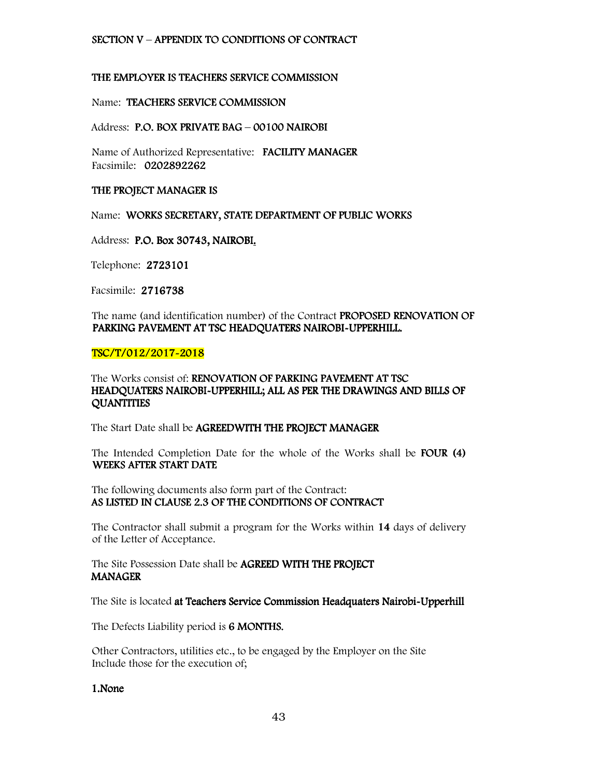### SECTION V – APPENDIX TO CONDITIONS OF CONTRACT

#### THE EMPLOYER IS TEACHERS SERVICE COMMISSION

#### Name: TEACHERS SERVICE COMMISSION

#### Address: P.O. BOX PRIVATE BAG - 00100 NAIROBI

Name of Authorized Representative: FACILITY MANAGER Facsimile: 0202892262

#### THE PROJECT MANAGER IS

Name: WORKS SECRETARY, STATE DEPARTMENT OF PUBLIC WORKS

Address: P.O. Box 30743, NAIROBI.

Telephone: 2723101

Facsimile: 2716738

The name (and identification number) of the Contract **PROPOSED RENOVATION OF** PARKING PAVEMENT AT TSC HEADQUATERS NAIROBI-UPPERHILL.

## TSC/T/012/2017-2018

### The Works consist of: RENOVATION OF PARKING PAVEMENT AT TSC HEADQUATERS NAIROBI-UPPERHILL; ALL AS PER THE DRAWINGS AND BILLS OF **QUANTITIES**

The Start Date shall be AGREEDWITH THE PROJECT MANAGER

The Intended Completion Date for the whole of the Works shall be **FOUR (4)** WEEKS AFTER START DATE

The following documents also form part of the Contract: AS LISTED IN CLAUSE 2.3 OF THE CONDITIONS OF CONTRACT

The Contractor shall submit a program for the Works within 14 days of delivery of the Letter of Acceptance.

The Site Possession Date shall be AGREED WITH THE PROJECT **MANAGER** 

The Site is located at Teachers Service Commission Headquaters Nairobi-Upperhill

The Defects Liability period is 6 MONTHS.

Other Contractors, utilities etc., to be engaged by the Employer on the Site Include those for the execution of;

1.None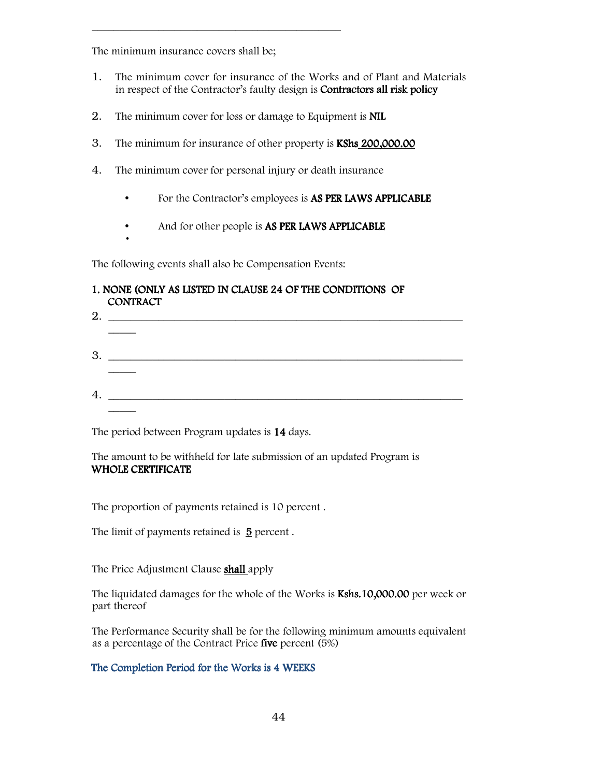The minimum insurance covers shall be;

\_\_\_\_\_\_\_\_\_\_\_\_\_\_\_\_\_\_\_\_\_\_\_\_\_\_\_\_\_\_\_\_\_\_\_\_\_\_\_\_\_\_\_\_\_

- 1. The minimum cover for insurance of the Works and of Plant and Materials in respect of the Contractor's faulty design is **Contractors all risk policy**
- 2. The minimum cover for loss or damage to Equipment is **NIL**
- 3. The minimum for insurance of other property is **KShs 200,000.00**
- 4. The minimum cover for personal injury or death insurance
	- For the Contractor's employees is **AS PER LAWS APPLICABLE**
	- And for other people is AS PER LAWS APPLICABLE
- •

The following events shall also be Compensation Events:

# 1. NONE (ONLY AS LISTED IN CLAUSE 24 OF THE CONDITIONS OF **CONTRACT**

| 2. $\qquad \qquad$ |  |
|--------------------|--|
|                    |  |
|                    |  |
|                    |  |
|                    |  |
|                    |  |

The period between Program updates is 14 days.

The amount to be withheld for late submission of an updated Program is WHOLE CERTIFICATE

The proportion of payments retained is 10 percent .

The limit of payments retained is  $\overline{5}$  percent.

The Price Adjustment Clause **shall** apply

The liquidated damages for the whole of the Works is Kshs.10,000.00 per week or part thereof

The Performance Security shall be for the following minimum amounts equivalent as a percentage of the Contract Price five percent (5%)

## The Completion Period for the Works is 4 WEEKS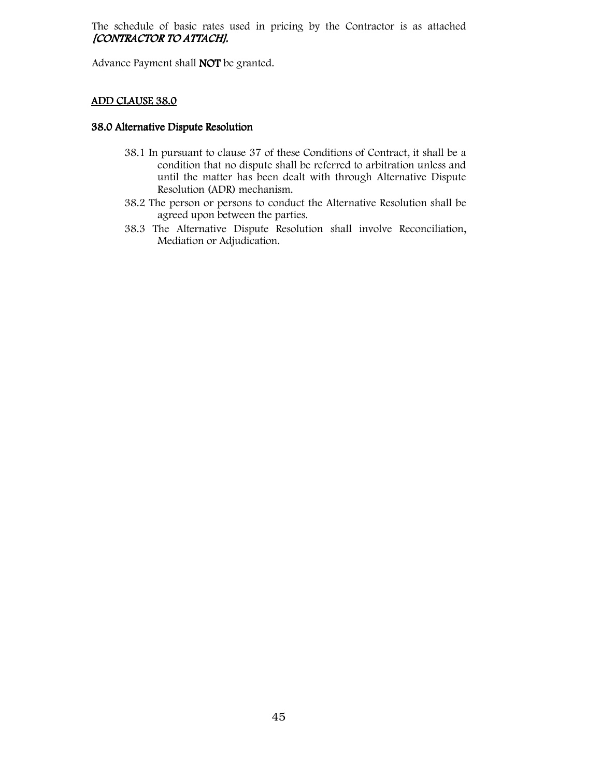The schedule of basic rates used in pricing by the Contractor is as attached [CONTRACTOR TO ATTACH].

Advance Payment shall NOT be granted.

## ADD CLAUSE 38.0

#### 38.0 Alternative Dispute Resolution

- 38.1 In pursuant to clause 37 of these Conditions of Contract, it shall be a condition that no dispute shall be referred to arbitration unless and until the matter has been dealt with through Alternative Dispute Resolution (ADR) mechanism.
- 38.2 The person or persons to conduct the Alternative Resolution shall be agreed upon between the parties.
- 38.3 The Alternative Dispute Resolution shall involve Reconciliation, Mediation or Adjudication.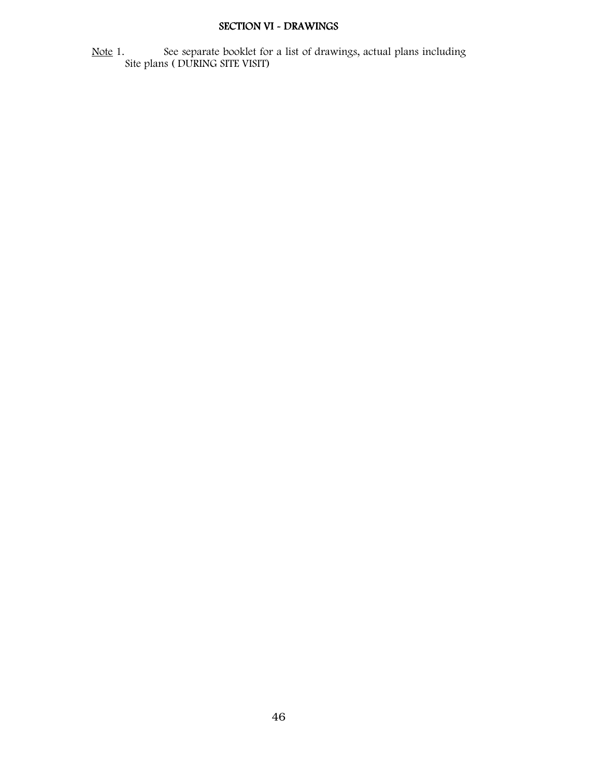# SECTION VI - DRAWINGS

Note 1. See separate booklet for a list of drawings, actual plans including Site plans ( DURING SITE VISIT)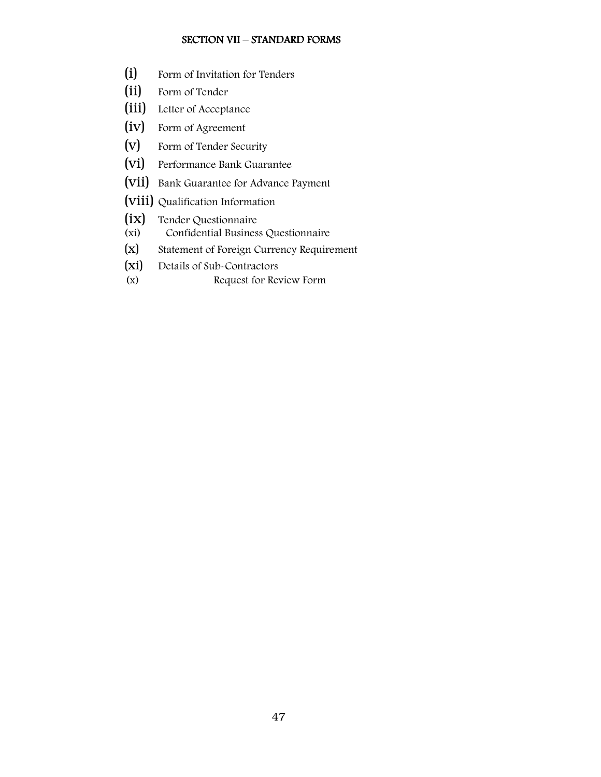#### SECTION VII – STANDARD FORMS

- (i) Form of Invitation for Tenders
- (ii) Form of Tender
- (iii) Letter of Acceptance
- (iv) Form of Agreement
- (v) Form of Tender Security
- (vi) Performance Bank Guarantee
- (vii) Bank Guarantee for Advance Payment
- (viii) Qualification Information
- (ix) Tender Questionnaire<br>(xi) Confidential Busines
- Confidential Business Questionnaire
- (x) Statement of Foreign Currency Requirement
- (xi) Details of Sub-Contractors
- (x) Request for Review Form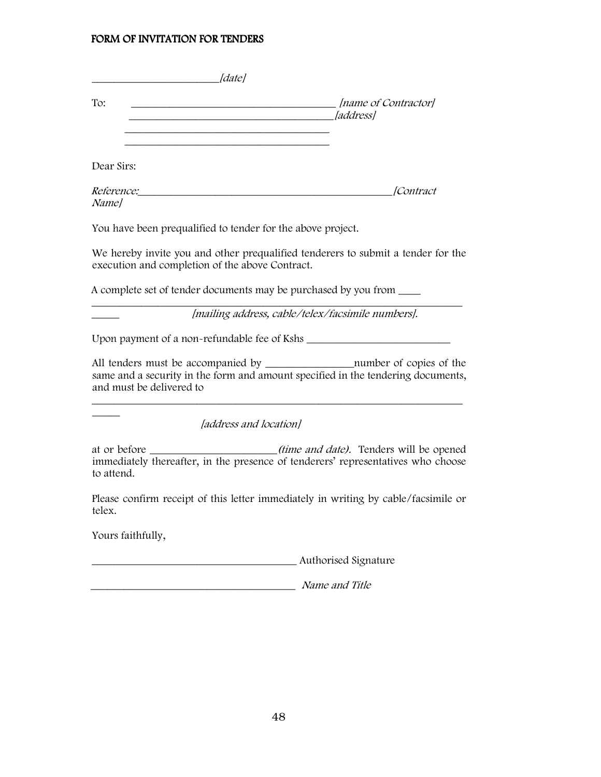#### FORM OF INVITATION FOR TENDERS

| ldatel                                                                                                                              |                                          |
|-------------------------------------------------------------------------------------------------------------------------------------|------------------------------------------|
| To:                                                                                                                                 | [name of Contractor]<br><i>[address]</i> |
| Dear Sirs:                                                                                                                          |                                          |
| <i>Reference:</i><br>Namel                                                                                                          | lContract                                |
| You have been prequalified to tender for the above project.                                                                         |                                          |
| We hereby invite you and other prequalified tenderers to submit a tender for the<br>execution and completion of the above Contract. |                                          |
| A complete set of tender documents may be purchased by you from                                                                     |                                          |

\_\_\_\_\_ [mailing address, cable/telex/facsimile numbers].

Upon payment of a non-refundable fee of Kshs \_\_\_\_\_\_\_\_\_\_\_\_\_\_\_\_\_\_\_\_\_\_\_\_\_\_

 $\_$  , and the set of the set of the set of the set of the set of the set of the set of the set of the set of the set of the set of the set of the set of the set of the set of the set of the set of the set of the set of th

All tenders must be accompanied by \_\_\_\_\_\_\_\_\_\_\_\_\_\_\_\_number of copies of the same and a security in the form and amount specified in the tendering documents, and must be delivered to

 $\_$  , and the set of the set of the set of the set of the set of the set of the set of the set of the set of the set of the set of the set of the set of the set of the set of the set of the set of the set of the set of th

[address and location]

at or before \_\_\_\_\_\_\_\_\_\_\_\_\_\_\_\_\_\_\_\_\_(time and date). Tenders will be opened immediately thereafter, in the presence of tenderers' representatives who choose to attend.

Please confirm receipt of this letter immediately in writing by cable/facsimile or telex.

Yours faithfully,

 $\overline{\phantom{a}}$ 

\_\_\_\_\_\_\_\_\_\_\_\_\_\_\_\_\_\_\_\_\_\_\_\_\_\_\_\_\_\_\_\_\_\_\_\_\_ Authorised Signature

\_\_\_\_\_\_\_\_\_\_\_\_\_\_\_\_\_\_\_\_\_\_\_\_\_\_\_\_\_\_\_\_\_\_\_\_\_ Name and Title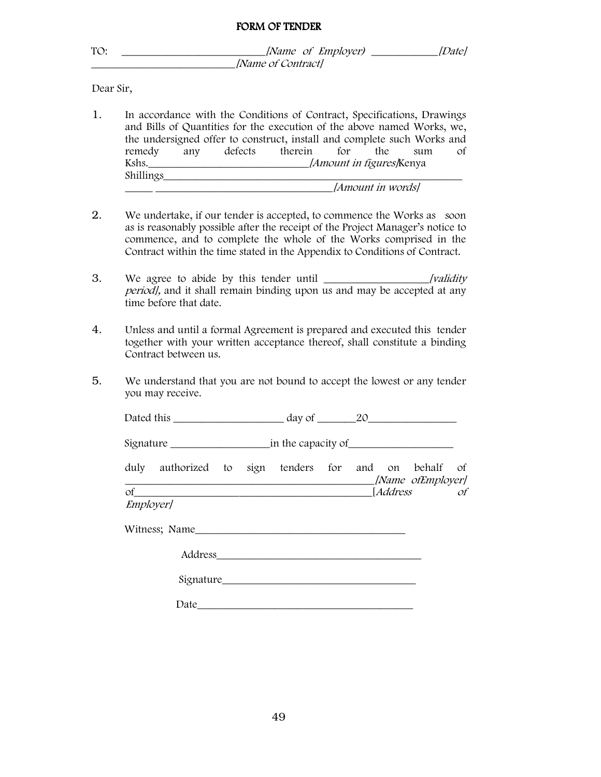| Dear Sir,<br>any defects therein<br>for<br>remedy<br>the<br>sum<br>Shillings <i>[Amount in words]</i><br>time before that date.<br>Contract between us.<br>you may receive.<br>Signature in the capacity of<br>duly authorized to sign tenders for<br>on behalf<br>and<br>of<br><i>Address</i><br><i>Employer]</i> |                                                                                                                                                                                                                                                                                                             |
|--------------------------------------------------------------------------------------------------------------------------------------------------------------------------------------------------------------------------------------------------------------------------------------------------------------------|-------------------------------------------------------------------------------------------------------------------------------------------------------------------------------------------------------------------------------------------------------------------------------------------------------------|
|                                                                                                                                                                                                                                                                                                                    | [Name of Contract]                                                                                                                                                                                                                                                                                          |
|                                                                                                                                                                                                                                                                                                                    |                                                                                                                                                                                                                                                                                                             |
|                                                                                                                                                                                                                                                                                                                    | In accordance with the Conditions of Contract, Specifications, Drawings<br>and Bills of Quantities for the execution of the above named Works, we,<br>the undersigned offer to construct, install and complete such Works and<br>$\sigma$ f                                                                 |
|                                                                                                                                                                                                                                                                                                                    | We undertake, if our tender is accepted, to commence the Works as soon<br>as is reasonably possible after the receipt of the Project Manager's notice to<br>commence, and to complete the whole of the Works comprised in the<br>Contract within the time stated in the Appendix to Conditions of Contract. |
|                                                                                                                                                                                                                                                                                                                    | period], and it shall remain binding upon us and may be accepted at any                                                                                                                                                                                                                                     |
|                                                                                                                                                                                                                                                                                                                    | Unless and until a formal Agreement is prepared and executed this tender<br>together with your written acceptance thereof, shall constitute a binding                                                                                                                                                       |
|                                                                                                                                                                                                                                                                                                                    | We understand that you are not bound to accept the lowest or any tender                                                                                                                                                                                                                                     |
|                                                                                                                                                                                                                                                                                                                    |                                                                                                                                                                                                                                                                                                             |
|                                                                                                                                                                                                                                                                                                                    |                                                                                                                                                                                                                                                                                                             |
|                                                                                                                                                                                                                                                                                                                    |                                                                                                                                                                                                                                                                                                             |
|                                                                                                                                                                                                                                                                                                                    | of<br>[Name ofEmployer]                                                                                                                                                                                                                                                                                     |
|                                                                                                                                                                                                                                                                                                                    | $\mathcal{O}f$                                                                                                                                                                                                                                                                                              |

Address\_\_\_\_\_\_\_\_\_\_\_\_\_\_\_\_\_\_\_\_\_\_\_\_\_\_\_\_\_\_\_\_\_\_\_\_\_

Signature\_\_\_\_\_\_\_\_\_\_\_\_\_\_\_\_\_\_\_\_\_\_\_\_\_\_\_\_\_\_\_\_\_\_\_

 $Date$   $Date$   $\qquad \qquad$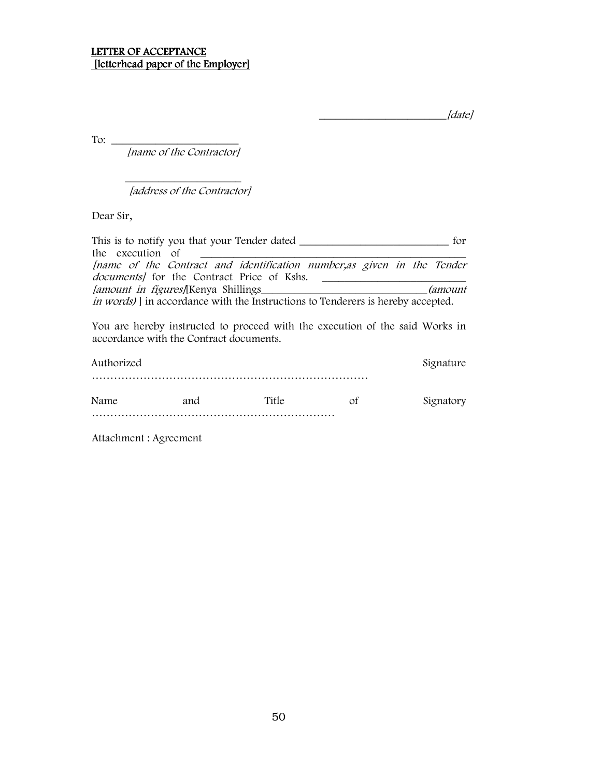\_\_\_\_\_\_\_\_\_\_\_\_\_\_\_\_\_\_\_\_\_\_\_[date]

To:  $\qquad \qquad$ 

[name of the Contractor]

 $\frac{1}{\sqrt{2}}$  ,  $\frac{1}{\sqrt{2}}$  ,  $\frac{1}{\sqrt{2}}$  ,  $\frac{1}{\sqrt{2}}$  ,  $\frac{1}{\sqrt{2}}$  ,  $\frac{1}{\sqrt{2}}$  ,  $\frac{1}{\sqrt{2}}$  ,  $\frac{1}{\sqrt{2}}$  ,  $\frac{1}{\sqrt{2}}$  ,  $\frac{1}{\sqrt{2}}$  ,  $\frac{1}{\sqrt{2}}$  ,  $\frac{1}{\sqrt{2}}$  ,  $\frac{1}{\sqrt{2}}$  ,  $\frac{1}{\sqrt{2}}$  ,  $\frac{1}{\sqrt{2}}$ 

[address of the Contractor]

Dear Sir,

| This is to notify you that your Tender dated _                                                                              | for              |
|-----------------------------------------------------------------------------------------------------------------------------|------------------|
| the execution of                                                                                                            |                  |
| [name of the Contract and identification number, as given in the Tender<br><i>documents</i> for the Contract Price of Kshs. |                  |
| <i>lamount in figures</i> [Kenya Shillings                                                                                  | <i>(amount</i> ) |
| <i>in words</i> ) in accordance with the Instructions to Tenderers is hereby accepted.                                      |                  |
| You are hereby instructed to proceed with the execution of the said Works in<br>accordance with the Contract documents.     |                  |
| Authorized                                                                                                                  | Signature        |
|                                                                                                                             |                  |

| Name | 5.15 |  |  |
|------|------|--|--|
|      |      |  |  |

Attachment : Agreement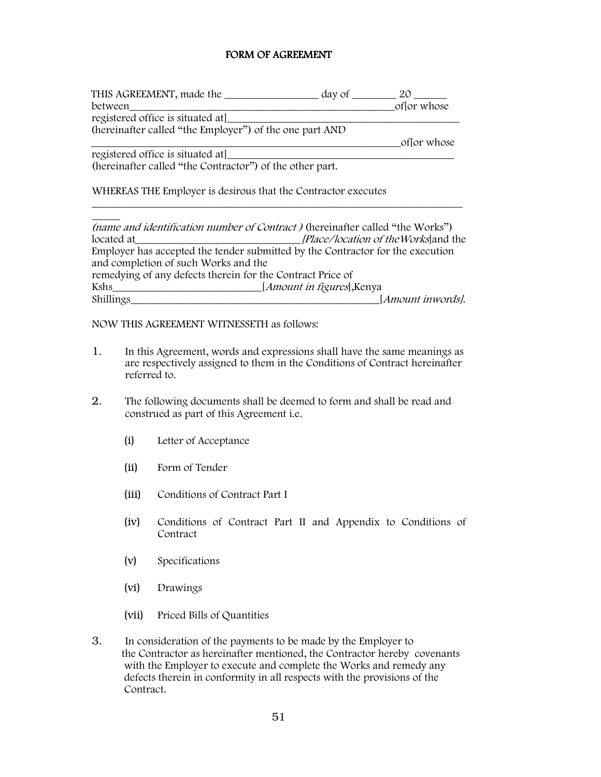## FORM OF AGREEMENT

| THIS AGREEMENT, made the                                 | day of $\_\_$ | ZO          |
|----------------------------------------------------------|---------------|-------------|
| between                                                  |               | of or whose |
| registered office is situated at                         |               |             |
| (hereinafter called "the Employer") of the one part AND  |               |             |
|                                                          |               | of or whose |
| registered office is situated at                         |               |             |
| (hereinafter called "the Contractor") of the other part. |               |             |

WHEREAS THE Employer is desirous that the Contractor executes

|                                                            | <i>(name and identification number of Contract)</i> (hereinafter called "the Works") |
|------------------------------------------------------------|--------------------------------------------------------------------------------------|
| located at                                                 | [Place/location of the Works] and the                                                |
|                                                            | Employer has accepted the tender submitted by the Contractor for the execution       |
| and completion of such Works and the                       |                                                                                      |
| remedying of any defects therein for the Contract Price of |                                                                                      |
| Kshs                                                       | [ <i>Amount in figures</i> ], Kenya                                                  |
| Shillings                                                  | [Amount inwords].                                                                    |

 $\_$  , and the set of the set of the set of the set of the set of the set of the set of the set of the set of the set of the set of the set of the set of the set of the set of the set of the set of the set of the set of th

NOW THIS AGREEMENT WITNESSETH as follows:

- 1. In this Agreement, words and expressions shall have the same meanings as are respectively assigned to them in the Conditions of Contract hereinafter referred to.
- 2. The following documents shall be deemed to form and shall be read and construed as part of this Agreement i.e.
	- (i) Letter of Acceptance
	- (ii) Form of Tender
	- (iii) Conditions of Contract Part I
	- (iv) Conditions of Contract Part II and Appendix to Conditions of Contract
	- (v) Specifications
	- (vi) Drawings
	- (vii) Priced Bills of Quantities
- 3. In consideration of the payments to be made by the Employer to the Contractor as hereinafter mentioned, the Contractor hereby covenants with the Employer to execute and complete the Works and remedy any defects therein in conformity in all respects with the provisions of the Contract.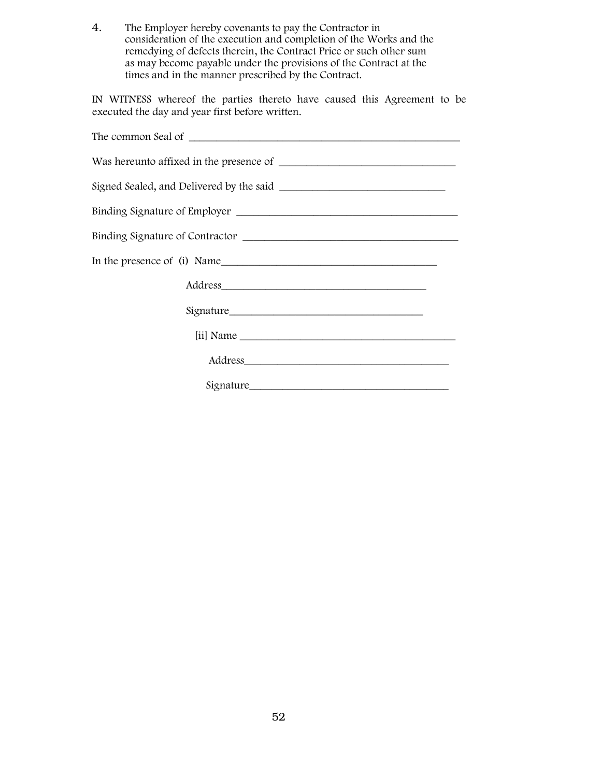4. The Employer hereby covenants to pay the Contractor in consideration of the execution and completion of the Works and the remedying of defects therein, the Contract Price or such other sum as may become payable under the provisions of the Contract at the times and in the manner prescribed by the Contract.

IN WITNESS whereof the parties thereto have caused this Agreement to be executed the day and year first before written.

| Binding Signature of Employer                                                                                   |
|-----------------------------------------------------------------------------------------------------------------|
|                                                                                                                 |
|                                                                                                                 |
| Address and the contract of the contract of the contract of the contract of the contract of the contract of the |
|                                                                                                                 |
|                                                                                                                 |
|                                                                                                                 |
| Signature                                                                                                       |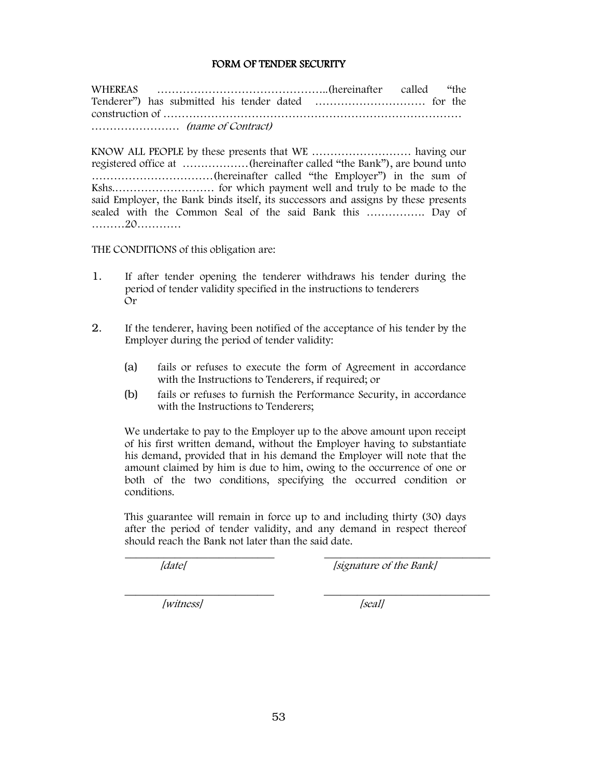#### FORM OF TENDER SECURITY

WHEREAS ………………………………………..(hereinafter called "the Tenderer") has submitted his tender dated ………………………… for the construction of ……………………………………………………………………… …………………… (name of Contract)

KNOW ALL PEOPLE by these presents that WE ……………………… having our registered office at ………………(hereinafter called "the Bank"), are bound unto ……………………………(hereinafter called "the Employer") in the sum of Kshs.……………………… for which payment well and truly to be made to the said Employer, the Bank binds itself, its successors and assigns by these presents sealed with the Common Seal of the said Bank this ……………. Day of ………20…………

THE CONDITIONS of this obligation are:

- 1. If after tender opening the tenderer withdraws his tender during the period of tender validity specified in the instructions to tenderers Or
- 2. If the tenderer, having been notified of the acceptance of his tender by the Employer during the period of tender validity:
	- (a) fails or refuses to execute the form of Agreement in accordance with the Instructions to Tenderers, if required; or
	- (b) fails or refuses to furnish the Performance Security, in accordance with the Instructions to Tenderers:

We undertake to pay to the Employer up to the above amount upon receipt of his first written demand, without the Employer having to substantiate his demand, provided that in his demand the Employer will note that the amount claimed by him is due to him, owing to the occurrence of one or both of the two conditions, specifying the occurred condition or conditions.

This guarantee will remain in force up to and including thirty (30) days after the period of tender validity, and any demand in respect thereof should reach the Bank not later than the said date.

 $\mathcal{L}_\text{max}$  , and the contribution of the contribution of the contribution of the contribution of the contribution of the contribution of the contribution of the contribution of the contribution of the contribution of t

 $\overline{\phantom{a}}$  , and the contribution of the contribution of the contribution of the contribution of the contribution of the contribution of the contribution of the contribution of the contribution of the contribution of the

[date] [signature of the Bank]

[witness] [seal]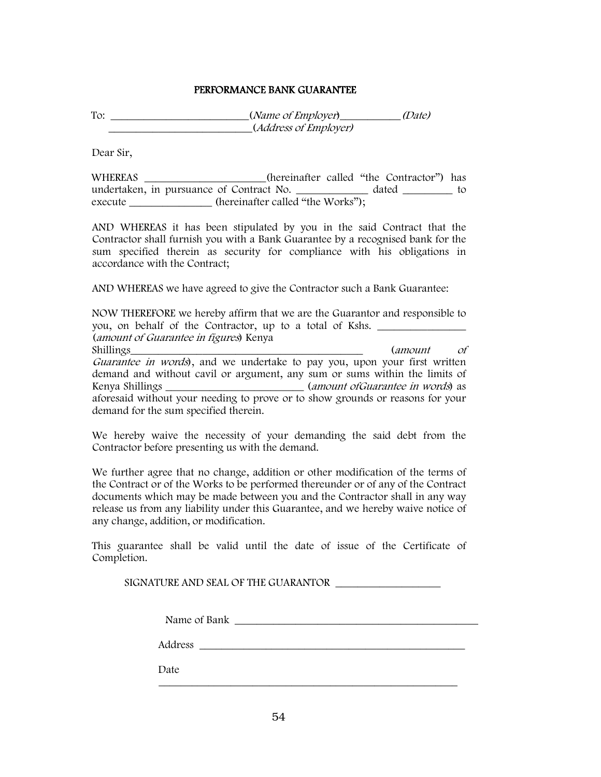#### PERFORMANCE BANK GUARANTEE

To:  $\frac{1}{\text{Total}}$  (Name of Employer)  $\frac{1}{\text{Total}}$ \_\_\_\_\_\_\_\_\_\_\_\_\_\_\_\_\_\_\_\_\_\_\_\_\_\_(Address of Employer)

Dear Sir,

WHEREAS \_\_\_\_\_\_\_\_\_\_\_\_\_\_\_\_\_(hereinafter called "the Contractor") has undertaken, in pursuance of Contract No. \_\_\_\_\_\_\_\_\_\_\_\_\_ dated \_\_\_\_\_\_\_\_\_ to execute \_\_\_\_\_\_\_\_\_\_\_\_\_\_\_\_ (hereinafter called "the Works");

AND WHEREAS it has been stipulated by you in the said Contract that the Contractor shall furnish you with a Bank Guarantee by a recognised bank for the sum specified therein as security for compliance with his obligations in accordance with the Contract;

AND WHEREAS we have agreed to give the Contractor such a Bank Guarantee:

NOW THEREFORE we hereby affirm that we are the Guarantor and responsible to you, on behalf of the Contractor, up to a total of Kshs. (amount of Guarantee in figures) Kenya Shillings (amount of Guarantee in words), and we undertake to pay you, upon your first written demand and without cavil or argument, any sum or sums within the limits of Kenya Shillings \_\_\_\_\_\_\_\_\_\_\_\_\_\_\_\_\_\_\_\_\_\_\_\_\_\_\_\_(amount ofGuarantee in words) as aforesaid without your needing to prove or to show grounds or reasons for your demand for the sum specified therein.

We hereby waive the necessity of your demanding the said debt from the Contractor before presenting us with the demand.

We further agree that no change, addition or other modification of the terms of the Contract or of the Works to be performed thereunder or of any of the Contract documents which may be made between you and the Contractor shall in any way release us from any liability under this Guarantee, and we hereby waive notice of any change, addition, or modification.

This guarantee shall be valid until the date of issue of the Certificate of Completion.

SIGNATURE AND SEAL OF THE GUARANTOR

| - -<br>Name of Bank |  |
|---------------------|--|
|---------------------|--|

Address \_\_\_\_\_\_\_\_\_\_\_\_\_\_\_\_\_\_\_\_\_\_\_\_\_\_\_\_\_\_\_\_\_\_\_\_\_\_\_\_\_\_\_\_\_\_\_\_

\_\_\_\_\_\_\_\_\_\_\_\_\_\_\_\_\_\_\_\_\_\_\_\_\_\_\_\_\_\_\_\_\_\_\_\_\_\_\_\_\_\_\_\_\_\_\_\_\_\_\_\_\_\_

Date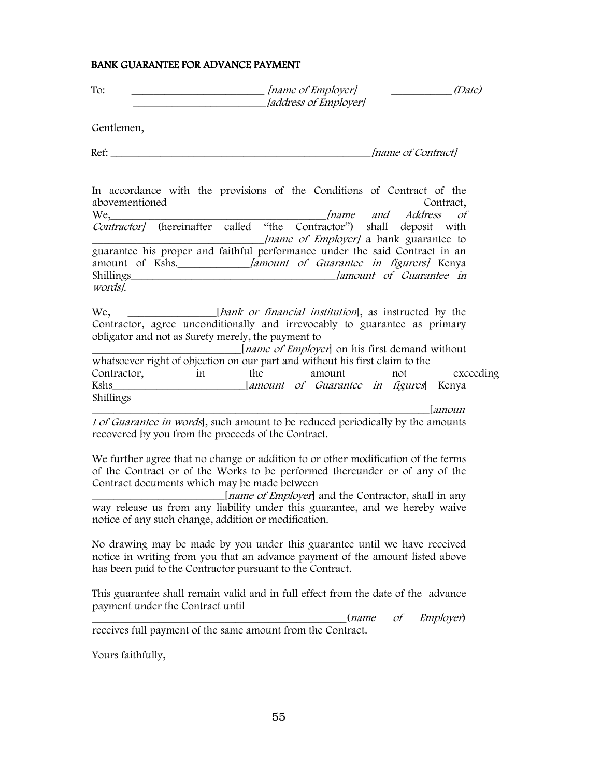| <b>BANK GUARANTEE FOR ADVANCE PAYMENT</b>                                                                                                                                                                                                                                                    |                                                         |                                                      |
|----------------------------------------------------------------------------------------------------------------------------------------------------------------------------------------------------------------------------------------------------------------------------------------------|---------------------------------------------------------|------------------------------------------------------|
| To:                                                                                                                                                                                                                                                                                          | [name of Employer]<br>[address of Employer]             | (Date)                                               |
| Gentlemen,                                                                                                                                                                                                                                                                                   |                                                         |                                                      |
|                                                                                                                                                                                                                                                                                              |                                                         | <i>Iname of Contractl</i>                            |
| In accordance with the provisions of the Conditions of Contract of the<br>abovementioned<br>We, Iname and Address                                                                                                                                                                            |                                                         | Contract,<br>Οf                                      |
| Contractor/ (hereinafter called "the Contractor") shall deposit with<br><i>Iname of Employer]</i> a bank guarantee to<br>guarantee his proper and faithful performance under the said Contract in an<br>words].                                                                              |                                                         |                                                      |
| We, ________________[bank or financial institution], as instructed by the<br>Contractor, agree unconditionally and irrevocably to guarantee as primary<br>obligator and not as Surety merely, the payment to<br>whatsoever right of objection on our part and without his first claim to the | [ <i>name of Employer</i> ] on his first demand without |                                                      |
| Contractor, in<br>Kshs____________________________[amount of Guarantee in figures] Kenya                                                                                                                                                                                                     | the<br>amount                                           | exceeding<br>not                                     |
| Shillings                                                                                                                                                                                                                                                                                    |                                                         | amoun                                                |
| t of Guarantee in words], such amount to be reduced periodically by the amounts<br>recovered by you from the proceeds of the Contract.                                                                                                                                                       |                                                         |                                                      |
| We further agree that no change or addition to or other modification of the terms<br>of the Contract or of the Works to be performed thereunder or of any of the<br>Contract documents which may be made between                                                                             | [name of Employer] and the Contractor, shall in any     |                                                      |
| way release us from any liability under this guarantee, and we hereby waive<br>notice of any such change, addition or modification.                                                                                                                                                          |                                                         |                                                      |
| No drawing may be made by you under this guarantee until we have received<br>notice in writing from you that an advance payment of the amount listed above<br>has been paid to the Contractor pursuant to the Contract.                                                                      |                                                         |                                                      |
| This guarantee shall remain valid and in full effect from the date of the advance<br>payment under the Contract until                                                                                                                                                                        |                                                         | $\mathcal{O}f$<br><i>Employer</i> )<br>( <i>name</i> |
| receives full payment of the same amount from the Contract.                                                                                                                                                                                                                                  |                                                         |                                                      |
| Yours faithfully,                                                                                                                                                                                                                                                                            |                                                         |                                                      |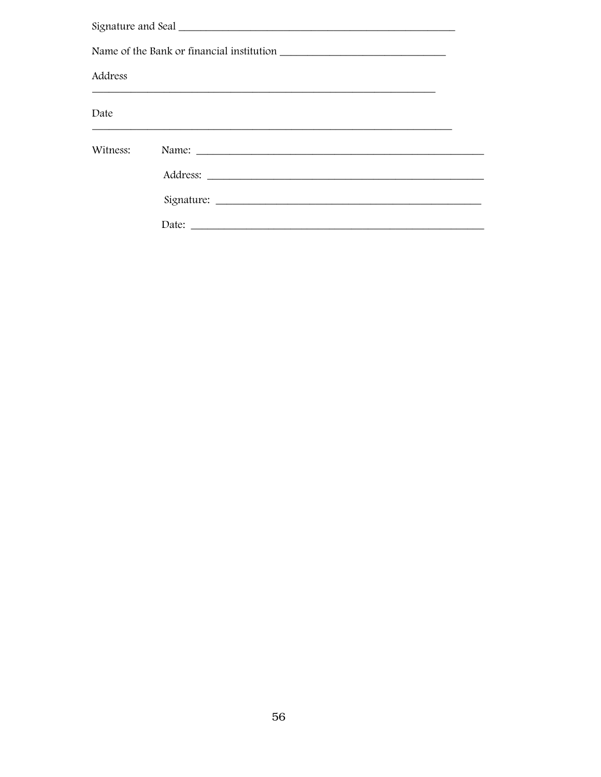| Address  |  |
|----------|--|
| Date     |  |
| Witness: |  |
|          |  |
|          |  |
|          |  |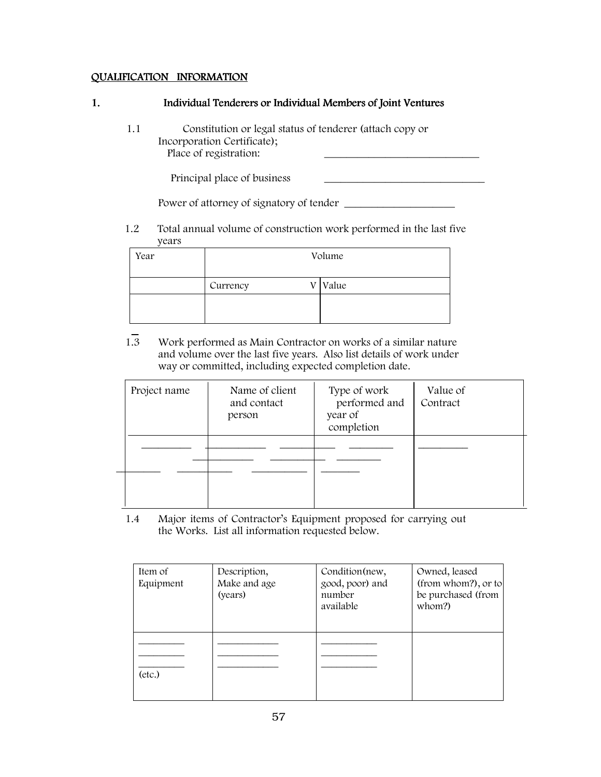## QUALIFICATION INFORMATION

## 1. Individual Tenderers or Individual Members of Joint Ventures

 1.1 Constitution or legal status of tenderer (attach copy or Incorporation Certificate); Place of registration:

Principal place of business

Power of attorney of signatory of tender

1.2 Total annual volume of construction work performed in the last five years

| Year | Volume   |  |       |  |
|------|----------|--|-------|--|
|      | Currency |  | Value |  |
|      |          |  |       |  |

1.3 Work performed as Main Contractor on works of a similar nature and volume over the last five years. Also list details of work under way or committed, including expected completion date.

| Project name | Name of client<br>and contact<br>person | Type of work<br>performed and<br>year of<br>completion | Value of<br>Contract |
|--------------|-----------------------------------------|--------------------------------------------------------|----------------------|
|              |                                         |                                                        |                      |
|              |                                         |                                                        |                      |
|              |                                         |                                                        |                      |

1.4 Major items of Contractor's Equipment proposed for carrying out the Works. List all information requested below.

| Item of<br>Equipment | Description,<br>Make and age<br>(years) | Condition (new,<br>good, poor) and<br>number<br>available | Owned, leased<br>(from whom?), or to<br>be purchased (from<br>whom?) |
|----------------------|-----------------------------------------|-----------------------------------------------------------|----------------------------------------------------------------------|
| (etc.)               |                                         |                                                           |                                                                      |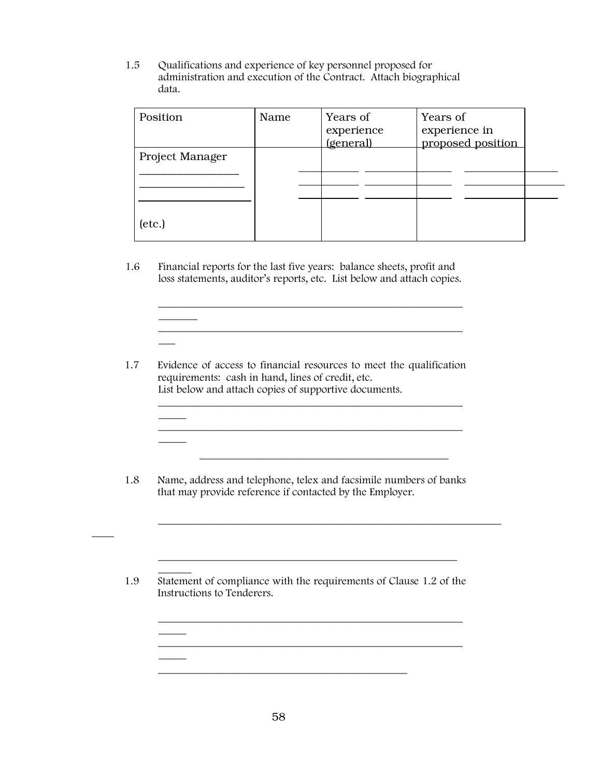1.5 Qualifications and experience of key personnel proposed for administration and execution of the Contract. Attach biographical data.

| Position               | Name | Years of<br>experience<br><i>(general)</i> | Years of<br>experience in<br>proposed position |
|------------------------|------|--------------------------------------------|------------------------------------------------|
| <b>Project Manager</b> |      |                                            |                                                |
| [etc.]                 |      |                                            |                                                |

 $\mathcal{L}_\text{max}$  and  $\mathcal{L}_\text{max}$  and  $\mathcal{L}_\text{max}$  and  $\mathcal{L}_\text{max}$  and  $\mathcal{L}_\text{max}$ 

 $\mathcal{L}_\text{max}$  and  $\mathcal{L}_\text{max}$  and  $\mathcal{L}_\text{max}$  and  $\mathcal{L}_\text{max}$  and  $\mathcal{L}_\text{max}$ 

1.6 Financial reports for the last five years: balance sheets, profit and loss statements, auditor's reports, etc. List below and attach copies.

 $\overline{\phantom{a}}$ 

 $\overline{\phantom{a}}$ 

 $\overline{\phantom{a}}$ 

 $\overline{\phantom{a}}$ 

 $\overline{\phantom{a}}$ 

 $\overline{\phantom{a}}$ 

 $\overline{\phantom{a}}$ 

\_\_\_\_\_\_\_\_\_\_\_\_\_\_\_\_\_\_\_\_\_\_\_\_\_\_\_\_\_\_\_\_\_\_\_\_\_\_\_\_\_\_\_\_\_\_\_\_\_\_\_\_\_\_\_

1.7 Evidence of access to financial resources to meet the qualification requirements: cash in hand, lines of credit, etc. List below and attach copies of supportive documents.

1.8 Name, address and telephone, telex and facsimile numbers of banks that may provide reference if contacted by the Employer.

 $\frac{1}{\sqrt{2}}$  ,  $\frac{1}{\sqrt{2}}$  ,  $\frac{1}{\sqrt{2}}$  ,  $\frac{1}{\sqrt{2}}$  ,  $\frac{1}{\sqrt{2}}$  ,  $\frac{1}{\sqrt{2}}$  ,  $\frac{1}{\sqrt{2}}$  ,  $\frac{1}{\sqrt{2}}$  ,  $\frac{1}{\sqrt{2}}$  ,  $\frac{1}{\sqrt{2}}$  ,  $\frac{1}{\sqrt{2}}$  ,  $\frac{1}{\sqrt{2}}$  ,  $\frac{1}{\sqrt{2}}$  ,  $\frac{1}{\sqrt{2}}$  ,  $\frac{1}{\sqrt{2}}$ 

\_\_\_\_\_\_\_\_\_\_\_\_\_\_\_\_\_\_\_\_\_\_\_\_\_\_\_\_\_\_\_\_\_\_\_\_\_\_\_\_\_\_\_\_\_\_\_\_\_\_\_\_\_\_

\_\_\_\_\_\_\_\_\_\_\_\_\_\_\_\_\_\_\_\_\_\_\_\_\_\_\_\_\_\_\_\_\_\_\_\_\_\_\_\_\_\_\_\_\_\_\_\_\_\_\_\_\_\_\_

\_\_\_\_\_\_\_\_\_\_\_\_\_\_\_\_\_\_\_\_\_\_\_\_\_\_\_\_\_\_\_\_\_\_\_\_\_\_\_\_\_\_\_\_\_\_\_\_\_\_\_\_\_\_\_

 $\mathcal{L}_\text{max} = \mathcal{L}_\text{max} = \frac{1}{2} \frac{1}{\sqrt{2}} \frac{1}{\sqrt{2}} \frac{1}{\sqrt{2}} \frac{1}{\sqrt{2}} \frac{1}{\sqrt{2}} \frac{1}{\sqrt{2}} \frac{1}{\sqrt{2}} \frac{1}{\sqrt{2}} \frac{1}{\sqrt{2}} \frac{1}{\sqrt{2}} \frac{1}{\sqrt{2}} \frac{1}{\sqrt{2}} \frac{1}{\sqrt{2}} \frac{1}{\sqrt{2}} \frac{1}{\sqrt{2}} \frac{1}{\sqrt{2}} \frac{1}{\sqrt{2}} \frac{1}{\sqrt{2}} \frac{1}{\sqrt{2$ 

 $\overline{\phantom{a}}$ 1.9 Statement of compliance with the requirements of Clause 1.2 of the Instructions to Tenderers.

\_\_\_\_\_\_\_\_\_\_\_\_\_\_\_\_\_\_\_\_\_\_\_\_\_\_\_\_\_\_\_\_\_\_\_\_\_\_\_\_\_\_\_\_\_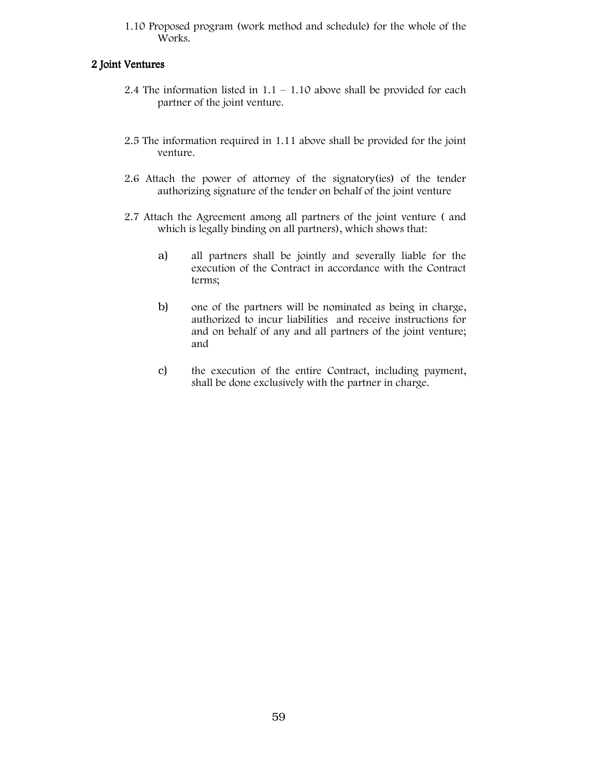1.10 Proposed program (work method and schedule) for the whole of the Works.

## 2 Joint Ventures

- 2.4 The information listed in  $1.1 1.10$  above shall be provided for each partner of the joint venture.
- 2.5 The information required in 1.11 above shall be provided for the joint venture.
- 2.6 Attach the power of attorney of the signatory(ies) of the tender authorizing signature of the tender on behalf of the joint venture
- 2.7 Attach the Agreement among all partners of the joint venture ( and which is legally binding on all partners), which shows that:
	- a) all partners shall be jointly and severally liable for the execution of the Contract in accordance with the Contract terms;
	- b) one of the partners will be nominated as being in charge, authorized to incur liabilities and receive instructions for and on behalf of any and all partners of the joint venture; and
	- c) the execution of the entire Contract, including payment, shall be done exclusively with the partner in charge.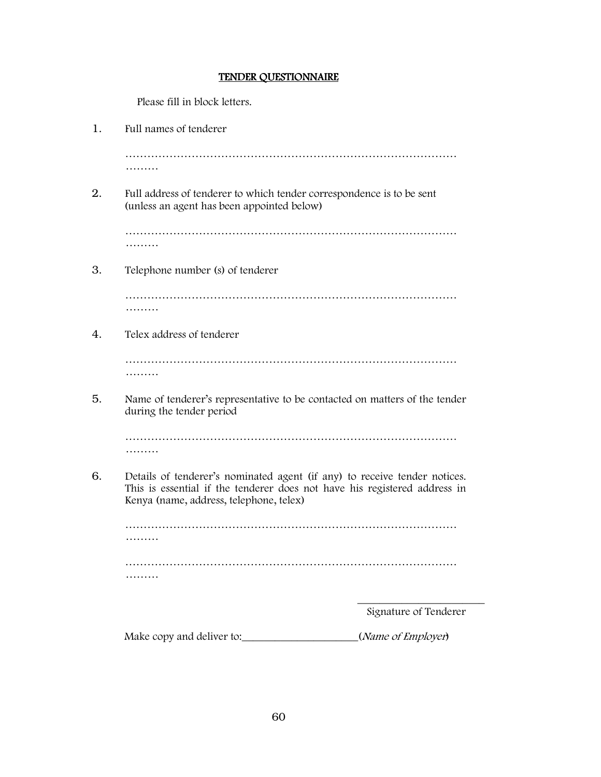#### TENDER QUESTIONNAIRE

Please fill in block letters.

1. Full names of tenderer ……………………………………………………………………………… ……… 2. Full address of tenderer to which tender correspondence is to be sent (unless an agent has been appointed below) ……………………………………………………………………………… ……… 3. Telephone number (s) of tenderer ……………………………………………………………………………… ……… 4. Telex address of tenderer ……………………………………………………………………………… ……… 5. Name of tenderer's representative to be contacted on matters of the tender during the tender period ……………………………………………………………………………… ……… 6. Details of tenderer's nominated agent (if any) to receive tender notices. This is essential if the tenderer does not have his registered address in Kenya (name, address, telephone, telex) ……………………………………………………………………………… ……… ……………………………………………………………………………… ………  $\mathcal{L}_\text{max}$  and  $\mathcal{L}_\text{max}$  and  $\mathcal{L}_\text{max}$  and  $\mathcal{L}_\text{max}$  and  $\mathcal{L}_\text{max}$  and  $\mathcal{L}_\text{max}$ Signature of Tenderer

Make copy and deliver to: \_\_\_\_\_\_\_\_\_\_\_\_\_\_\_\_\_\_\_\_(Name of Employer)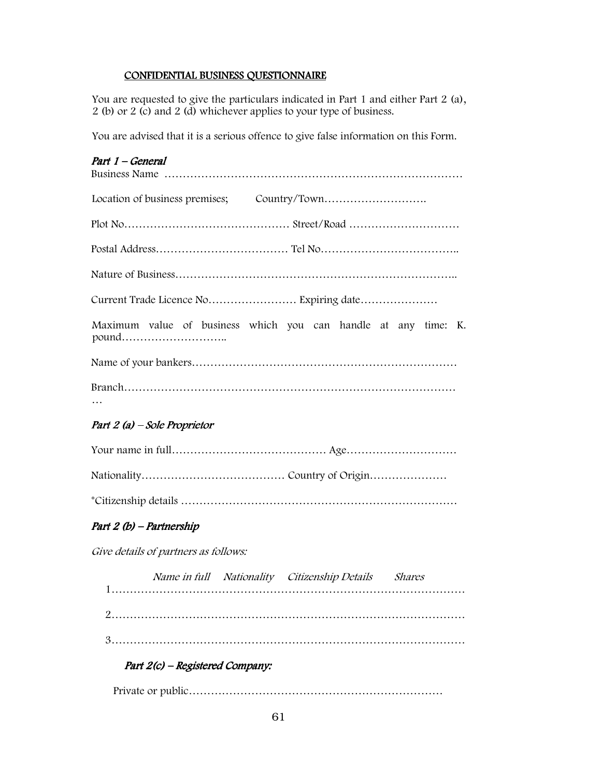## CONFIDENTIAL BUSINESS QUESTIONNAIRE

You are requested to give the particulars indicated in Part 1 and either Part 2 (a), 2 (b) or 2 (c) and 2 (d) whichever applies to your type of business.

You are advised that it is a serious offence to give false information on this Form.

| Part 1 - General                                                        |
|-------------------------------------------------------------------------|
|                                                                         |
|                                                                         |
|                                                                         |
|                                                                         |
|                                                                         |
| Maximum value of business which you can handle at any time: K.<br>pound |
|                                                                         |
|                                                                         |
| Part 2 (a) – Sole Proprietor                                            |
|                                                                         |
|                                                                         |
|                                                                         |
| Part 2 (b) - Partnership                                                |
| Give details of partners as follows:                                    |
| Name in full Nationality Citizenship Details Shares                     |
|                                                                         |
|                                                                         |

# Part  $2(c)$  – Registered Company:

Private or public……………………………………………………………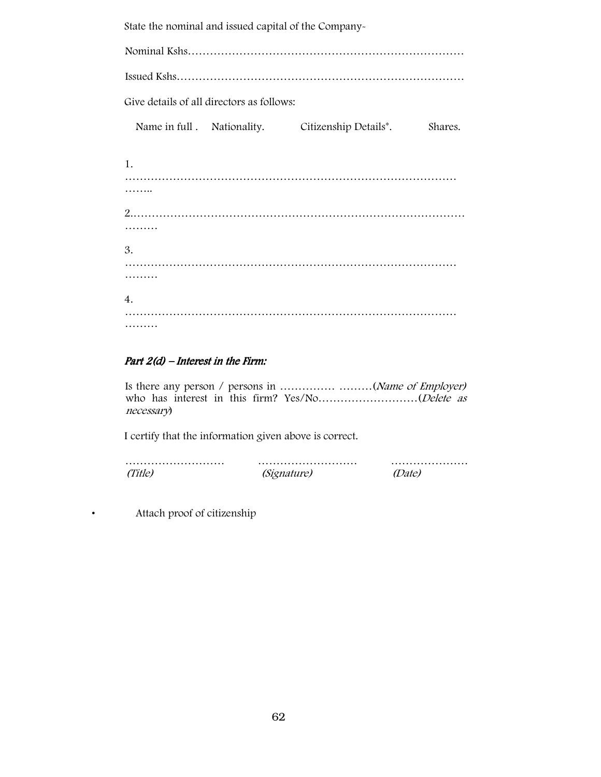State the nominal and issued capital of the Company-

Nominal Kshs………………………………………………………………… Issued Kshs…………………………………………………………………… Give details of all directors as follows: Name in full . Nationality. Citizenship Details\*. Shares. 1. ……………………………………………………………………………… …… 2.……………………………………………………………………………… ……… 3. ……………………………………………………………………………… ……… 4. ……………………………………………………………………………… ………

## Part  $2(d)$  – Interest in the Firm:

Is there any person / persons in ...............................(Name of Employer) who has interest in this firm? Yes/No…………………………(Delete as necessary)

I certify that the information given above is correct.

| <i>(Signature)</i> | <i>Date)</i> |
|--------------------|--------------|

• Attach proof of citizenship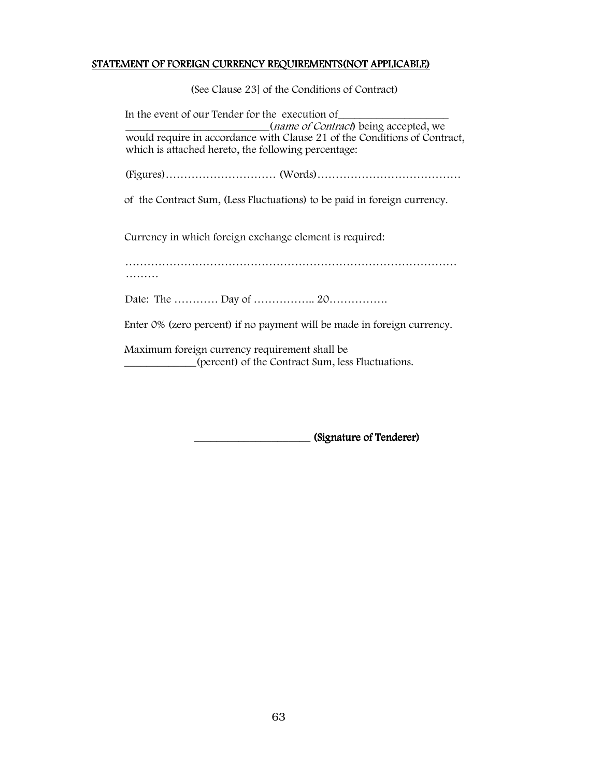### STATEMENT OF FOREIGN CURRENCY REQUIREMENTS(NOT APPLICABLE)

(See Clause 23] of the Conditions of Contract)

In the event of our Tender for the execution of (*name of Contract*) being accepted, we would require in accordance with Clause 21 of the Conditions of Contract, which is attached hereto, the following percentage: (Figures)………………………… (Words)………………………………… of the Contract Sum, (Less Fluctuations) to be paid in foreign currency. Currency in which foreign exchange element is required: ……………………………………………………………………………… ……… Date: The …………… Day of ………………… 20………………… Enter 0% (zero percent) if no payment will be made in foreign currency. Maximum foreign currency requirement shall be \_\_\_\_\_\_\_\_\_\_\_\_\_(percent) of the Contract Sum, less Fluctuations.

\_\_\_\_\_\_\_\_\_\_\_\_\_\_\_\_\_\_\_\_\_ (Signature of Tenderer) (Signature of Tenderer)(Signature of Tenderer)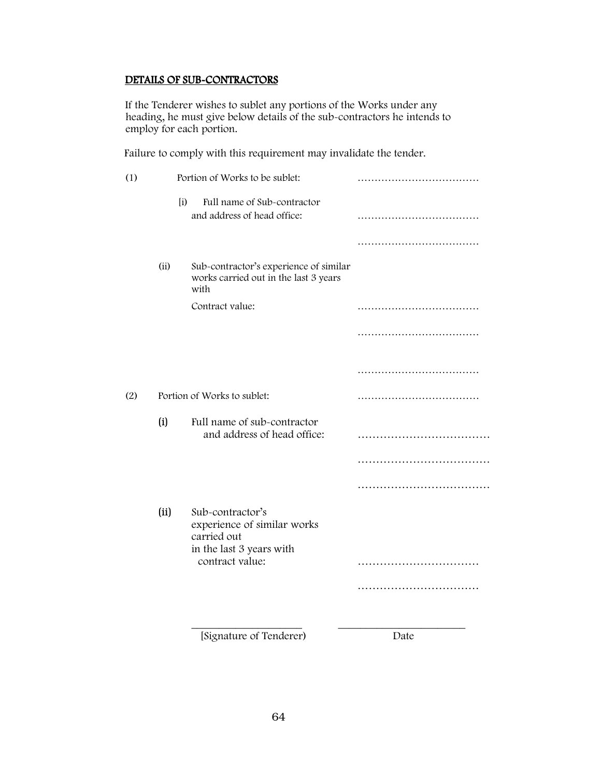## DETAILS OF SUB-CONTRACTORS

If the Tenderer wishes to sublet any portions of the Works under any heading, he must give below details of the sub-contractors he intends to employ for each portion.

Failure to comply with this requirement may invalidate the tender.

| (1) |      | Portion of Works to be sublet:                                                             |      |
|-----|------|--------------------------------------------------------------------------------------------|------|
|     | (i)  | Full name of Sub-contractor<br>and address of head office:                                 |      |
|     |      |                                                                                            |      |
|     | (i)  | Sub-contractor's experience of similar<br>works carried out in the last 3 years<br>with    |      |
|     |      | Contract value:                                                                            |      |
|     |      |                                                                                            |      |
|     |      |                                                                                            |      |
| (2) |      | Portion of Works to sublet:                                                                |      |
|     | (i)  | Full name of sub-contractor<br>and address of head office:                                 |      |
|     |      |                                                                                            |      |
|     |      |                                                                                            |      |
|     | (ii) | Sub-contractor's<br>experience of similar works<br>carried out<br>in the last 3 years with |      |
|     |      | contract value:                                                                            |      |
|     |      |                                                                                            |      |
|     |      |                                                                                            |      |
|     |      | [Signature of Tenderer)                                                                    | Date |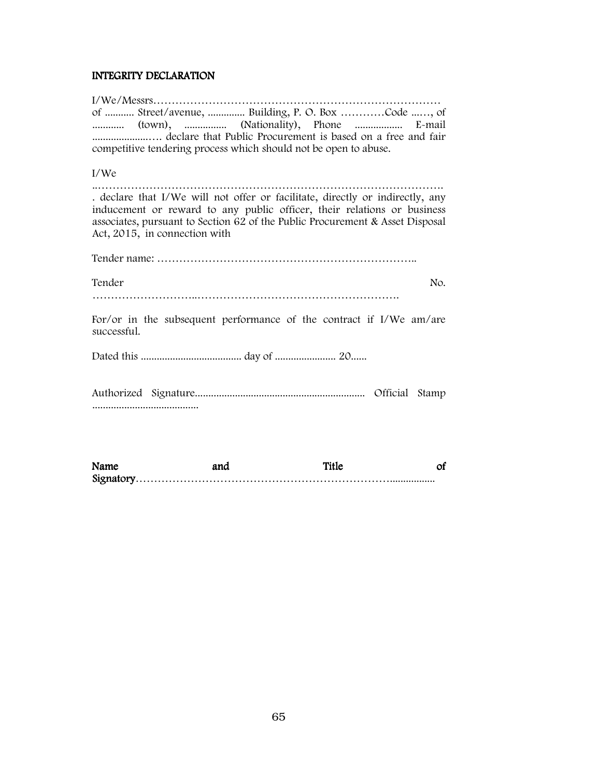## INTEGRITY DECLARATION

| of  Street/avenue,  Building, P. O. Box Code , of<br>competitive tendering process which should not be open to abuse.                                                                                                                                                      |
|----------------------------------------------------------------------------------------------------------------------------------------------------------------------------------------------------------------------------------------------------------------------------|
| I/We                                                                                                                                                                                                                                                                       |
| . declare that I/We will not offer or facilitate, directly or indirectly, any<br>inducement or reward to any public officer, their relations or business<br>associates, pursuant to Section 62 of the Public Procurement & Asset Disposal<br>Act, 2015, in connection with |
|                                                                                                                                                                                                                                                                            |
| Tender<br>No.                                                                                                                                                                                                                                                              |
|                                                                                                                                                                                                                                                                            |
| For/or in the subsequent performance of the contract if I/We $am/are$<br>successful.                                                                                                                                                                                       |
|                                                                                                                                                                                                                                                                            |

| Name | and | <b>Title</b> |  |
|------|-----|--------------|--|
|      |     |              |  |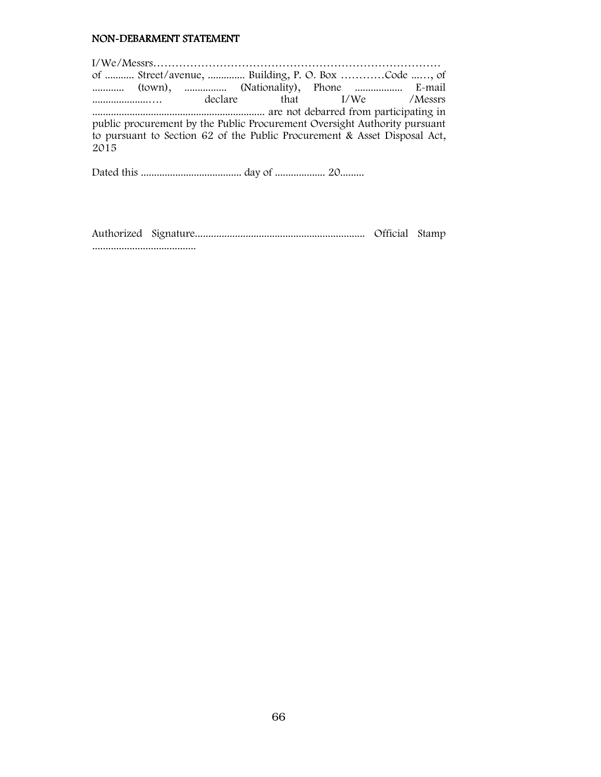#### NON-DEBARMENT STATEMENT

I/We/Messrs…………………………………………………………………… of ........... Street/avenue, .............. Building, P. O. Box …………Code ...…, of ............. (town), ................. (Nationality), Phone ................... E-mail .....................…. declare that I/We /Messrs ................................................................. are not debarred from participating in public procurement by the Public Procurement Oversight Authority pursuant to pursuant to Section 62 of the Public Procurement & Asset Disposal Act, 2015

Dated this ...................................... day of ................... 20.........

Authorized Signature................................................................ Official Stamp .......................................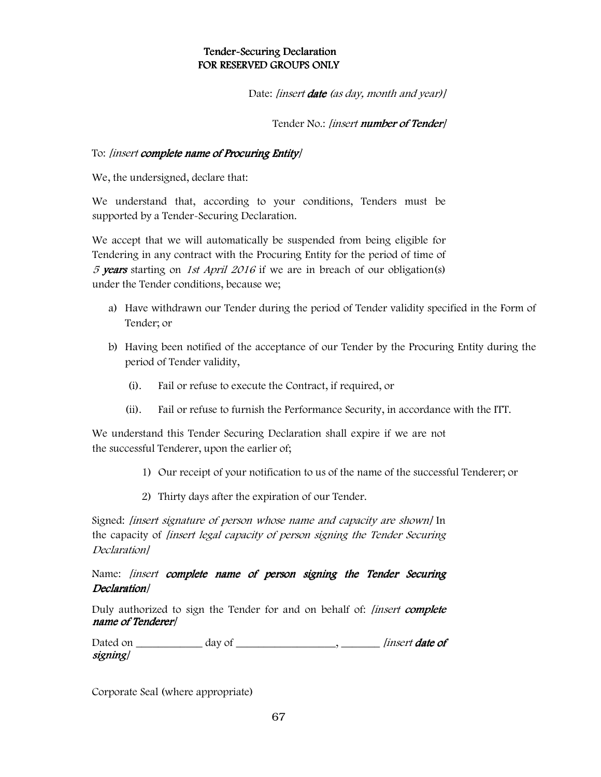## Tender-Securing Declaration FOR RESERVED GROUPS ONLY

Date: *[insert date* (as *day, month and year)]* 

Tender No.: [insert number of Tender]

## To: [insert complete name of Procuring Entity]

We, the undersigned, declare that:

We understand that, according to your conditions, Tenders must be supported by a Tender-Securing Declaration.

We accept that we will automatically be suspended from being eligible for Tendering in any contract with the Procuring Entity for the period of time of 5 years starting on 1st April 2016 if we are in breach of our obligation(s) under the Tender conditions, because we;

- a) Have withdrawn our Tender during the period of Tender validity specified in the Form of Tender; or
- b) Having been notified of the acceptance of our Tender by the Procuring Entity during the period of Tender validity,
	- (i). Fail or refuse to execute the Contract, if required, or
	- (ii). Fail or refuse to furnish the Performance Security, in accordance with the ITT.

We understand this Tender Securing Declaration shall expire if we are not the successful Tenderer, upon the earlier of;

- 1) Our receipt of your notification to us of the name of the successful Tenderer; or
- 2) Thirty days after the expiration of our Tender.

Signed: [insert signature of person whose name and capacity are shown] In the capacity of *linsert legal capacity of person signing the Tender Securing* Declaration]

Name: *linsert complete name of person signing the Tender Securing* Declaration/

Duly authorized to sign the Tender for and on behalf of: *[insert complete* name of Tenderer] name of Tenderer

| Dated on | day of | <i>linsert date of</i> |
|----------|--------|------------------------|
| signing/ |        |                        |

Corporate Seal (where appropriate)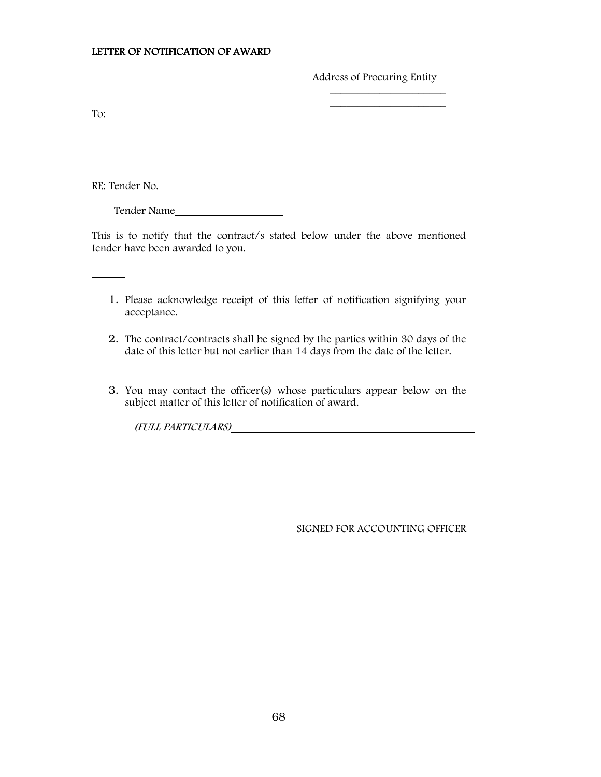#### LETTER OF NOTIFICATION OF AWARD

Address of Procuring Entity

 $\_$ 

To:

 $\overline{a}$  $\overline{a}$ 

 $\mathbb{R}^2$ 

RE: Tender No.

Tender Name

This is to notify that the contract/s stated below under the above mentioned tender have been awarded to you.

 $\mathcal{L}_\text{max}$  and  $\mathcal{L}_\text{max}$  and  $\mathcal{L}_\text{max}$  and  $\mathcal{L}_\text{max}$  and  $\mathcal{L}_\text{max}$ 

- 1. Please acknowledge receipt of this letter of notification signifying your acceptance.
- 2. The contract/contracts shall be signed by the parties within 30 days of the date of this letter but not earlier than 14 days from the date of the letter.
- 3. You may contact the officer(s) whose particulars appear below on the subject matter of this letter of notification of award.

(FULL PARTICULARS)

l

SIGNED FOR ACCOUNTING OFFICER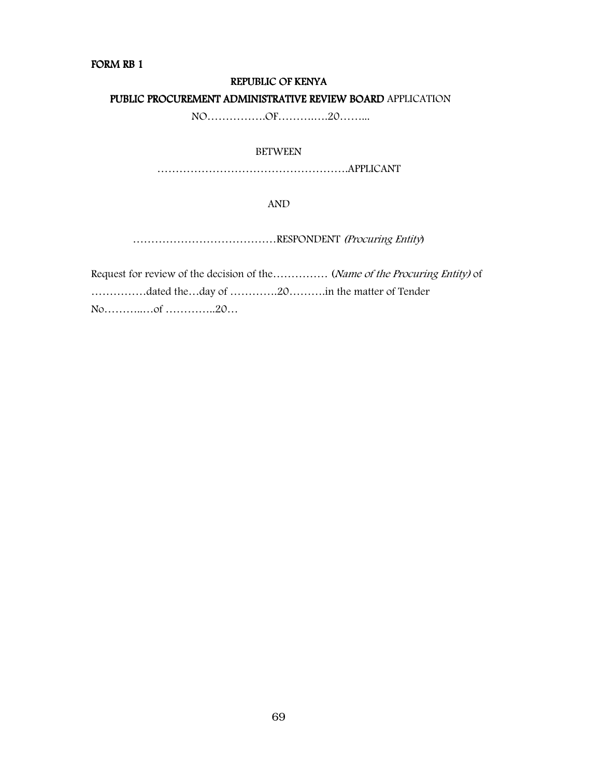#### FORM RB 1

#### REPUBLIC OF KENYA

### PUBLIC PROCUREMENT ADMINISTRATIVE REVIEW BOARD APPLICATION

NO…………….OF……….….20……...

## BETWEEN

…………………………………………….APPLICANT

#### AND

…………………………………RESPONDENT (Procuring Entity)

Request for review of the decision of the ............... (Name of the Procuring Entity) of ……………dated the…day of ………….20……….in the matter of Tender No………..…of …………..20…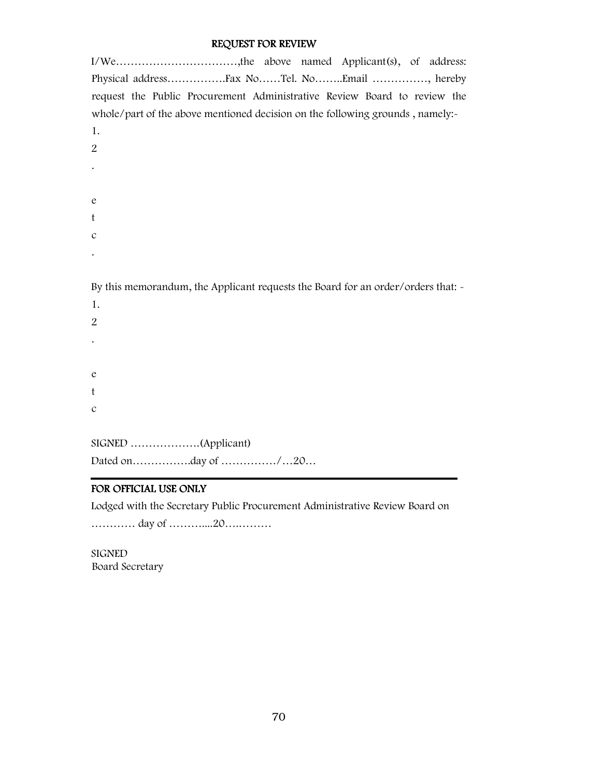# REQUEST FOR REVIEW

| I/We,the above named Applicant(s), of address:                                   |
|----------------------------------------------------------------------------------|
|                                                                                  |
| request the Public Procurement Administrative Review Board to review the         |
| whole/part of the above mentioned decision on the following grounds, namely:-    |
| 1.                                                                               |
| $\overline{2}$                                                                   |
|                                                                                  |
|                                                                                  |
| e                                                                                |
| t                                                                                |
| $\mathcal{C}$                                                                    |
|                                                                                  |
|                                                                                  |
| By this memorandum, the Applicant requests the Board for an order/orders that: - |
| 1.                                                                               |
| $\overline{2}$                                                                   |
|                                                                                  |
|                                                                                  |
| e                                                                                |
| t                                                                                |

c

SIGNED ……………….(Applicant) Dated on…………….day of ……………/…20…

# FOR OFFICIAL USE ONLY

Lodged with the Secretary Public Procurement Administrative Review Board on

………… day of ………....20….………

SIGNED Board Secretary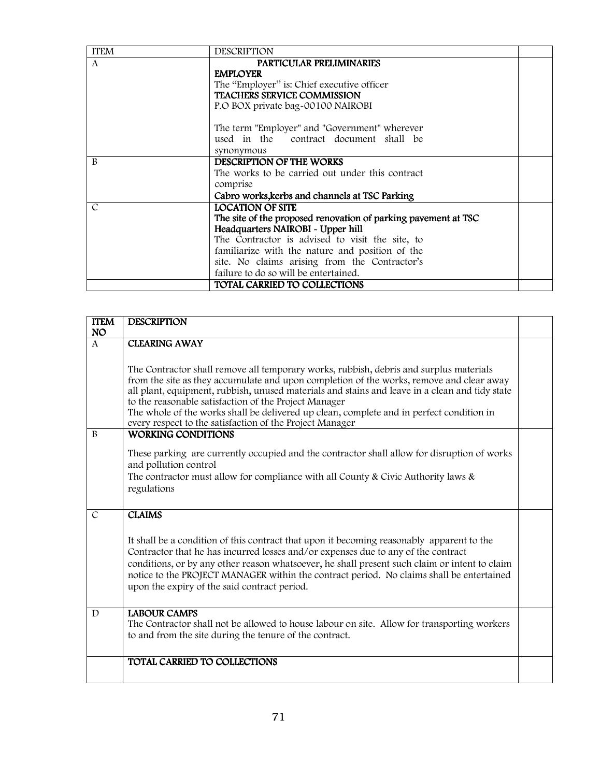| <b>ITEM</b>   | <b>DESCRIPTION</b>                                             |  |
|---------------|----------------------------------------------------------------|--|
| $\mathsf{A}$  | PARTICULAR PRELIMINARIES                                       |  |
|               | <b>EMPLOYER</b>                                                |  |
|               | The "Employer" is: Chief executive officer                     |  |
|               | <b>TEACHERS SERVICE COMMISSION</b>                             |  |
|               | P.O BOX private bag-00100 NAIROBI                              |  |
|               | The term "Employer" and "Government" wherever                  |  |
|               | used in the contract document shall be                         |  |
|               | synonymous                                                     |  |
| B             | DESCRIPTION OF THE WORKS                                       |  |
|               | The works to be carried out under this contract                |  |
|               | comprise                                                       |  |
|               | Cabro works, kerbs and channels at TSC Parking                 |  |
| $\mathcal{C}$ | <b>LOCATION OF SITE</b>                                        |  |
|               | The site of the proposed renovation of parking pavement at TSC |  |
|               | Headquarters NAIROBI - Upper hill                              |  |
|               | The Contractor is advised to visit the site, to                |  |
|               | familiarize with the nature and position of the                |  |
|               | site. No claims arising from the Contractor's                  |  |
|               | failure to do so will be entertained.                          |  |
|               | <b>TOTAL CARRIED TO COLLECTIONS</b>                            |  |

| <b>ITEM</b>   | <b>DESCRIPTION</b>                                                                                                                                                                                                                                                                                                                                                                                                                                                                                    |  |
|---------------|-------------------------------------------------------------------------------------------------------------------------------------------------------------------------------------------------------------------------------------------------------------------------------------------------------------------------------------------------------------------------------------------------------------------------------------------------------------------------------------------------------|--|
| <b>NO</b>     |                                                                                                                                                                                                                                                                                                                                                                                                                                                                                                       |  |
| $\mathbf{A}$  | <b>CLEARING AWAY</b>                                                                                                                                                                                                                                                                                                                                                                                                                                                                                  |  |
|               | The Contractor shall remove all temporary works, rubbish, debris and surplus materials<br>from the site as they accumulate and upon completion of the works, remove and clear away<br>all plant, equipment, rubbish, unused materials and stains and leave in a clean and tidy state<br>to the reasonable satisfaction of the Project Manager<br>The whole of the works shall be delivered up clean, complete and in perfect condition in<br>every respect to the satisfaction of the Project Manager |  |
| B             | <b>WORKING CONDITIONS</b>                                                                                                                                                                                                                                                                                                                                                                                                                                                                             |  |
|               | These parking are currently occupied and the contractor shall allow for disruption of works<br>and pollution control                                                                                                                                                                                                                                                                                                                                                                                  |  |
|               | The contractor must allow for compliance with all County & Civic Authority laws $\&$<br>regulations                                                                                                                                                                                                                                                                                                                                                                                                   |  |
| $\mathcal{C}$ | <b>CLAIMS</b>                                                                                                                                                                                                                                                                                                                                                                                                                                                                                         |  |
|               | It shall be a condition of this contract that upon it becoming reasonably apparent to the<br>Contractor that he has incurred losses and/or expenses due to any of the contract<br>conditions, or by any other reason whatsoever, he shall present such claim or intent to claim<br>notice to the PROJECT MANAGER within the contract period. No claims shall be entertained<br>upon the expiry of the said contract period.                                                                           |  |
| D             | <b>LABOUR CAMPS</b><br>The Contractor shall not be allowed to house labour on site. Allow for transporting workers<br>to and from the site during the tenure of the contract.                                                                                                                                                                                                                                                                                                                         |  |
|               | TOTAL CARRIED TO COLLECTIONS                                                                                                                                                                                                                                                                                                                                                                                                                                                                          |  |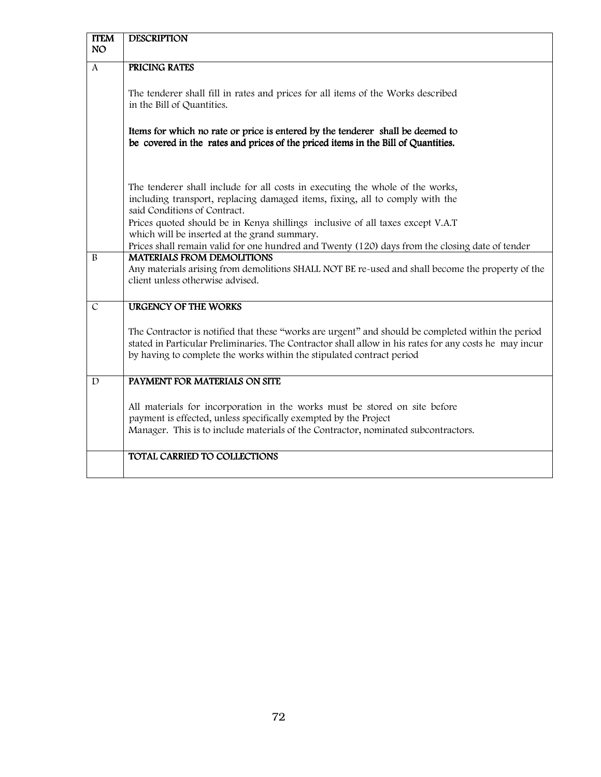| <b>ITEM</b><br><b>NO</b> | <b>DESCRIPTION</b>                                                                                     |
|--------------------------|--------------------------------------------------------------------------------------------------------|
|                          |                                                                                                        |
| $\mathsf{A}$             | PRICING RATES                                                                                          |
|                          |                                                                                                        |
|                          | The tenderer shall fill in rates and prices for all items of the Works described                       |
|                          | in the Bill of Quantities.                                                                             |
|                          |                                                                                                        |
|                          | Items for which no rate or price is entered by the tenderer shall be deemed to                         |
|                          | be covered in the rates and prices of the priced items in the Bill of Quantities.                      |
|                          |                                                                                                        |
|                          |                                                                                                        |
|                          |                                                                                                        |
|                          | The tenderer shall include for all costs in executing the whole of the works,                          |
|                          | including transport, replacing damaged items, fixing, all to comply with the                           |
|                          | said Conditions of Contract.                                                                           |
|                          | Prices quoted should be in Kenya shillings inclusive of all taxes except V.A.T                         |
|                          | which will be inserted at the grand summary.                                                           |
|                          | Prices shall remain valid for one hundred and Twenty (120) days from the closing date of tender        |
| B                        | <b>MATERIALS FROM DEMOLITIONS</b>                                                                      |
|                          | Any materials arising from demolitions SHALL NOT BE re-used and shall become the property of the       |
|                          | client unless otherwise advised.                                                                       |
|                          |                                                                                                        |
| $\mathcal{C}$            | <b>URGENCY OF THE WORKS</b>                                                                            |
|                          |                                                                                                        |
|                          | The Contractor is notified that these "works are urgent" and should be completed within the period     |
|                          | stated in Particular Preliminaries. The Contractor shall allow in his rates for any costs he may incur |
|                          | by having to complete the works within the stipulated contract period                                  |
|                          |                                                                                                        |
| D                        | PAYMENT FOR MATERIALS ON SITE                                                                          |
|                          |                                                                                                        |
|                          | All materials for incorporation in the works must be stored on site before                             |
|                          | payment is effected, unless specifically exempted by the Project                                       |
|                          | Manager. This is to include materials of the Contractor, nominated subcontractors.                     |
|                          |                                                                                                        |
|                          |                                                                                                        |
|                          | TOTAL CARRIED TO COLLECTIONS                                                                           |
|                          |                                                                                                        |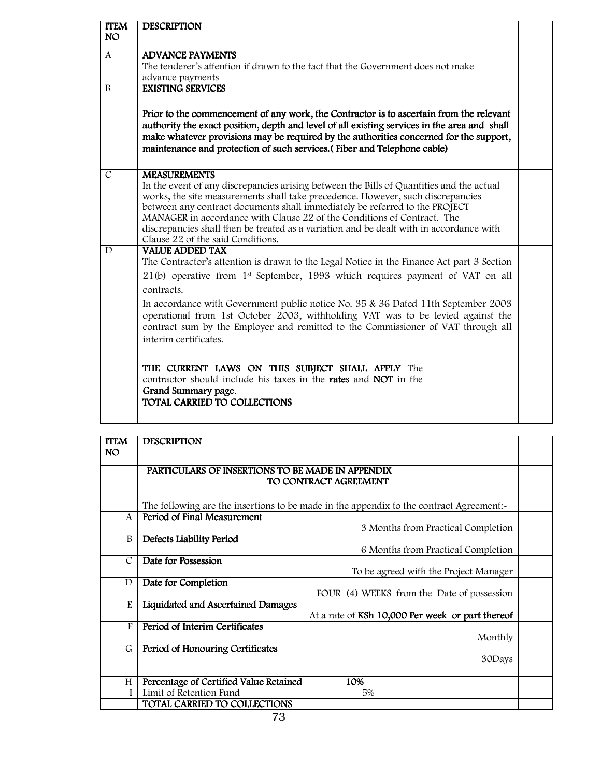| <b>ITEM</b><br>NO <sub>1</sub> | <b>DESCRIPTION</b>                                                                                                                                                                                                                                                                                                                                                                                                                                                                                                  |  |
|--------------------------------|---------------------------------------------------------------------------------------------------------------------------------------------------------------------------------------------------------------------------------------------------------------------------------------------------------------------------------------------------------------------------------------------------------------------------------------------------------------------------------------------------------------------|--|
| $\mathbf{A}$                   | <b>ADVANCE PAYMENTS</b>                                                                                                                                                                                                                                                                                                                                                                                                                                                                                             |  |
|                                | The tenderer's attention if drawn to the fact that the Government does not make                                                                                                                                                                                                                                                                                                                                                                                                                                     |  |
| B                              | advance payments<br><b>EXISTING SERVICES</b>                                                                                                                                                                                                                                                                                                                                                                                                                                                                        |  |
|                                | Prior to the commencement of any work, the Contractor is to ascertain from the relevant<br>authority the exact position, depth and level of all existing services in the area and shall<br>make whatever provisions may be required by the authorities concerned for the support,<br>maintenance and protection of such services. (Fiber and Telephone cable)                                                                                                                                                       |  |
| $\overline{C}$                 | <b>MEASUREMENTS</b><br>In the event of any discrepancies arising between the Bills of Quantities and the actual<br>works, the site measurements shall take precedence. However, such discrepancies<br>between any contract documents shall immediately be referred to the PROJECT<br>MANAGER in accordance with Clause 22 of the Conditions of Contract. The<br>discrepancies shall then be treated as a variation and be dealt with in accordance with<br>Clause 22 of the said Conditions.                        |  |
| $\mathbf{D}$                   | <b>VALUE ADDED TAX</b><br>The Contractor's attention is drawn to the Legal Notice in the Finance Act part 3 Section<br>21(b) operative from 1 <sup>st</sup> September, 1993 which requires payment of VAT on all<br>contracts.<br>In accordance with Government public notice No. 35 & 36 Dated 11th September 2003<br>operational from 1st October 2003, withholding VAT was to be levied against the<br>contract sum by the Employer and remitted to the Commissioner of VAT through all<br>interim certificates. |  |
|                                | THE CURRENT LAWS ON THIS SUBJECT SHALL APPLY The<br>contractor should include his taxes in the <b>rates</b> and <b>NOT</b> in the<br>Grand Summary page.                                                                                                                                                                                                                                                                                                                                                            |  |
|                                | TOTAL CARRIED TO COLLECTIONS                                                                                                                                                                                                                                                                                                                                                                                                                                                                                        |  |

| <b>ITEM</b><br>NO. | <b>DESCRIPTION</b>                                                                     |  |
|--------------------|----------------------------------------------------------------------------------------|--|
|                    | PARTICULARS OF INSERTIONS TO BE MADE IN APPENDIX<br>TO CONTRACT AGREEMENT              |  |
|                    | The following are the insertions to be made in the appendix to the contract Agreement: |  |
| $\mathbf{A}$       | Period of Final Measurement<br>3 Months from Practical Completion                      |  |
| B                  | Defects Liability Period<br>6 Months from Practical Completion                         |  |
| $\mathcal{C}$      | Date for Possession<br>To be agreed with the Project Manager                           |  |
| D                  | Date for Completion<br>FOUR (4) WEEKS from the Date of possession                      |  |
| E                  | Liquidated and Ascertained Damages<br>At a rate of KSh 10,000 Per week or part thereof |  |
| F                  | Period of Interim Certificates<br>Monthly                                              |  |
| G                  | Period of Honouring Certificates<br>30Days                                             |  |
| H                  | Percentage of Certified Value Retained<br>10%                                          |  |
| $\mathbf{I}$       | Limit of Retention Fund<br>5%                                                          |  |
|                    | TOTAL CARRIED TO COLLECTIONS                                                           |  |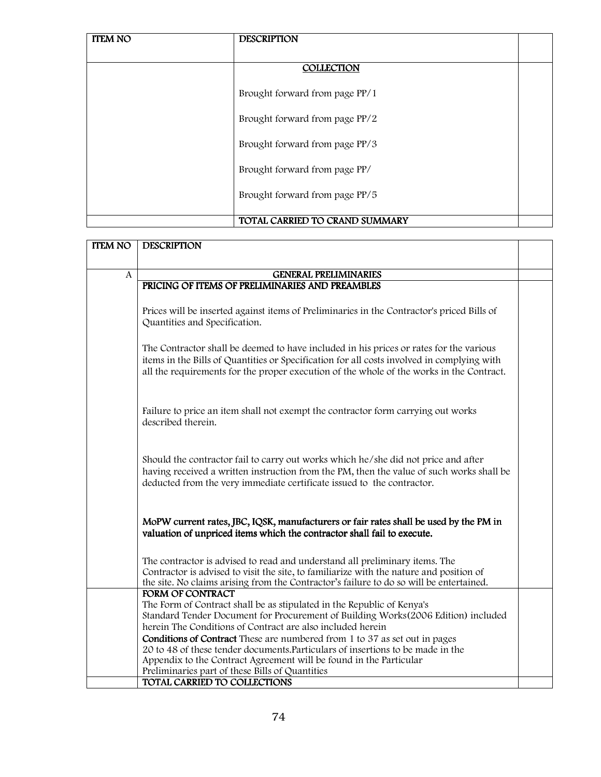| <b>ITEM NO</b> | <b>DESCRIPTION</b>             |  |
|----------------|--------------------------------|--|
|                |                                |  |
|                | COLLECTION                     |  |
|                | Brought forward from page PP/1 |  |
|                | Brought forward from page PP/2 |  |
|                | Brought forward from page PP/3 |  |
|                | Brought forward from page PP/  |  |
|                | Brought forward from page PP/5 |  |
|                | TOTAL CARRIED TO CRAND SUMMARY |  |

| <b>ITEM NO</b> | <b>DESCRIPTION</b>                                                                                                                                                                                                                                                               |  |
|----------------|----------------------------------------------------------------------------------------------------------------------------------------------------------------------------------------------------------------------------------------------------------------------------------|--|
|                |                                                                                                                                                                                                                                                                                  |  |
| A              | <b>GENERAL PRELIMINARIES</b>                                                                                                                                                                                                                                                     |  |
|                | PRICING OF ITEMS OF PRELIMINARIES AND PREAMBLES                                                                                                                                                                                                                                  |  |
|                | Prices will be inserted against items of Preliminaries in the Contractor's priced Bills of<br>Quantities and Specification.                                                                                                                                                      |  |
|                | The Contractor shall be deemed to have included in his prices or rates for the various<br>items in the Bills of Quantities or Specification for all costs involved in complying with<br>all the requirements for the proper execution of the whole of the works in the Contract. |  |
|                | Failure to price an item shall not exempt the contractor form carrying out works<br>described therein.                                                                                                                                                                           |  |
|                | Should the contractor fail to carry out works which he/she did not price and after<br>having received a written instruction from the PM, then the value of such works shall be<br>deducted from the very immediate certificate issued to the contractor.                         |  |
|                | MoPW current rates, JBC, IQSK, manufacturers or fair rates shall be used by the PM in<br>valuation of unpriced items which the contractor shall fail to execute.                                                                                                                 |  |
|                | The contractor is advised to read and understand all preliminary items. The<br>Contractor is advised to visit the site, to familiarize with the nature and position of<br>the site. No claims arising from the Contractor's failure to do so will be entertained.                |  |
|                | <b>FORM OF CONTRACT</b>                                                                                                                                                                                                                                                          |  |
|                | The Form of Contract shall be as stipulated in the Republic of Kenya's<br>Standard Tender Document for Procurement of Building Works (2006 Edition) included                                                                                                                     |  |
|                | herein The Conditions of Contract are also included herein                                                                                                                                                                                                                       |  |
|                | <b>Conditions of Contract</b> These are numbered from 1 to 37 as set out in pages                                                                                                                                                                                                |  |
|                | 20 to 48 of these tender documents. Particulars of insertions to be made in the                                                                                                                                                                                                  |  |
|                | Appendix to the Contract Agreement will be found in the Particular                                                                                                                                                                                                               |  |
|                | Preliminaries part of these Bills of Quantities<br>TOTAL CARRIED TO COLLECTIONS                                                                                                                                                                                                  |  |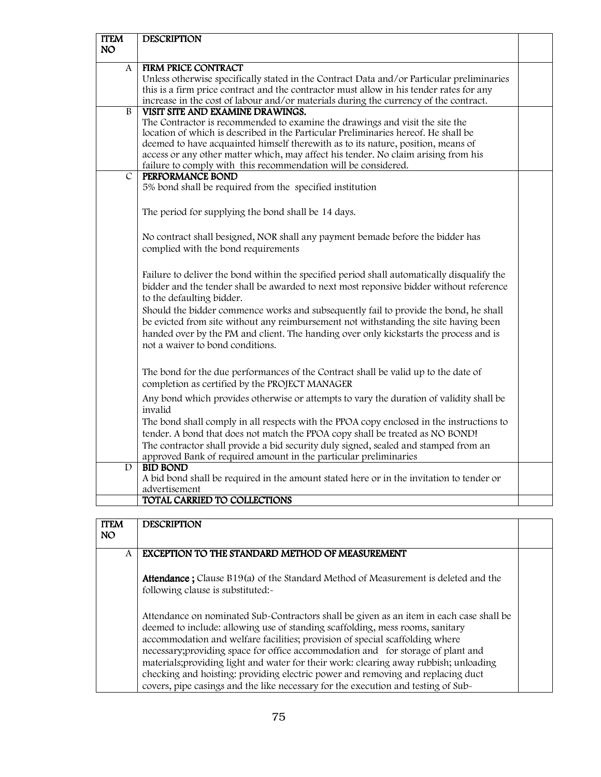| <b>ITEM</b>    | <b>DESCRIPTION</b>                                                                         |  |
|----------------|--------------------------------------------------------------------------------------------|--|
| NO.            |                                                                                            |  |
| A              | <b>FIRM PRICE CONTRACT</b>                                                                 |  |
|                | Unless otherwise specifically stated in the Contract Data and/or Particular preliminaries  |  |
|                | this is a firm price contract and the contractor must allow in his tender rates for any    |  |
|                | increase in the cost of labour and/or materials during the currency of the contract.       |  |
| B              | VISIT SITE AND EXAMINE DRAWINGS.                                                           |  |
|                | The Contractor is recommended to examine the drawings and visit the site the               |  |
|                | location of which is described in the Particular Preliminaries hereof. He shall be         |  |
|                | deemed to have acquainted himself therewith as to its nature, position, means of           |  |
|                | access or any other matter which, may affect his tender. No claim arising from his         |  |
| $\overline{C}$ | failure to comply with this recommendation will be considered.<br>PERFORMANCE BOND         |  |
|                | 5% bond shall be required from the specified institution                                   |  |
|                |                                                                                            |  |
|                | The period for supplying the bond shall be 14 days.                                        |  |
|                |                                                                                            |  |
|                | No contract shall besigned, NOR shall any payment bemade before the bidder has             |  |
|                | complied with the bond requirements                                                        |  |
|                |                                                                                            |  |
|                | Failure to deliver the bond within the specified period shall automatically disqualify the |  |
|                | bidder and the tender shall be awarded to next most reponsive bidder without reference     |  |
|                | to the defaulting bidder.                                                                  |  |
|                | Should the bidder commence works and subsequently fail to provide the bond, he shall       |  |
|                | be evicted from site without any reimbursement not withstanding the site having been       |  |
|                | handed over by the PM and client. The handing over only kickstarts the process and is      |  |
|                | not a waiver to bond conditions.                                                           |  |
|                |                                                                                            |  |
|                | The bond for the due performances of the Contract shall be valid up to the date of         |  |
|                | completion as certified by the PROJECT MANAGER                                             |  |
|                | Any bond which provides otherwise or attempts to vary the duration of validity shall be    |  |
|                | invalid                                                                                    |  |
|                | The bond shall comply in all respects with the PPOA copy enclosed in the instructions to   |  |
|                | tender. A bond that does not match the PPOA copy shall be treated as NO BOND!              |  |
|                | The contractor shall provide a bid security duly signed, sealed and stamped from an        |  |
|                | approved Bank of required amount in the particular preliminaries                           |  |
| D              | <b>BID BOND</b>                                                                            |  |
|                | A bid bond shall be required in the amount stated here or in the invitation to tender or   |  |
|                | advertisement                                                                              |  |
|                | TOTAL CARRIED TO COLLECTIONS                                                               |  |

| <b>ITEM</b> | <b>DESCRIPTION</b>                                                                                                                                                                                                                                                                                                                                                                                                                                                                                                       |  |
|-------------|--------------------------------------------------------------------------------------------------------------------------------------------------------------------------------------------------------------------------------------------------------------------------------------------------------------------------------------------------------------------------------------------------------------------------------------------------------------------------------------------------------------------------|--|
| NO.         |                                                                                                                                                                                                                                                                                                                                                                                                                                                                                                                          |  |
| A           | EXCEPTION TO THE STANDARD METHOD OF MEASUREMENT                                                                                                                                                                                                                                                                                                                                                                                                                                                                          |  |
|             | <b>Attendance</b> ; Clause B19(a) of the Standard Method of Measurement is deleted and the<br>following clause is substituted:-                                                                                                                                                                                                                                                                                                                                                                                          |  |
|             | Attendance on nominated Sub-Contractors shall be given as an item in each case shall be<br>deemed to include: allowing use of standing scaffolding, mess rooms, sanitary<br>accommodation and welfare facilities; provision of special scaffolding where<br>necessary; providing space for office accommodation and for storage of plant and<br>materials; providing light and water for their work: clearing away rubbish; unloading<br>checking and hoisting: providing electric power and removing and replacing duct |  |
|             | covers, pipe casings and the like necessary for the execution and testing of Sub-                                                                                                                                                                                                                                                                                                                                                                                                                                        |  |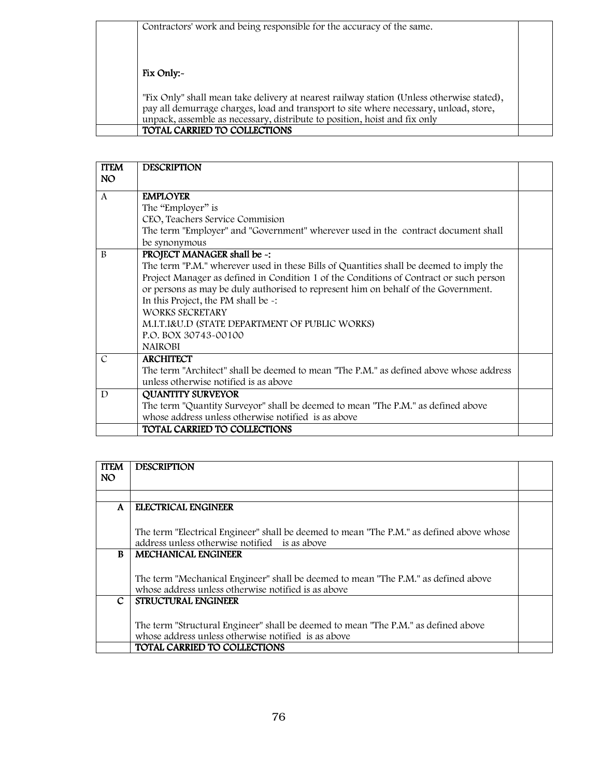Contractors' work and being responsible for the accuracy of the same.

### Fix Only:-

"Fix Only" shall mean take delivery at nearest railway station (Unless otherwise stated), pay all demurrage charges, load and transport to site where necessary, unload, store, unpack, assemble as necessary, distribute to position, hoist and fix only TOTAL CARRIED TO COLLECTIONS

| <b>ITEM</b>   | <b>DESCRIPTION</b>                                                                      |  |
|---------------|-----------------------------------------------------------------------------------------|--|
| NO.           |                                                                                         |  |
| $\mathsf{A}$  | <b>EMPLOYER</b>                                                                         |  |
|               | The "Employer" is                                                                       |  |
|               | CEO, Teachers Service Commision                                                         |  |
|               | The term "Employer" and "Government" wherever used in the contract document shall       |  |
|               | be synonymous                                                                           |  |
| <sub>R</sub>  | PROJECT MANAGER shall be -:                                                             |  |
|               | The term "P.M." wherever used in these Bills of Quantities shall be deemed to imply the |  |
|               | Project Manager as defined in Condition 1 of the Conditions of Contract or such person  |  |
|               | or persons as may be duly authorised to represent him on behalf of the Government.      |  |
|               | In this Project, the PM shall be -:                                                     |  |
|               | WORKS SECRETARY                                                                         |  |
|               | M.I.T.I&U.D (STATE DEPARTMENT OF PUBLIC WORKS)                                          |  |
|               | P.O. BOX 30743-00100                                                                    |  |
|               | <b>NAIROBI</b>                                                                          |  |
| $\mathcal{C}$ | <b>ARCHITECT</b>                                                                        |  |
|               | The term "Architect" shall be deemed to mean "The P.M." as defined above whose address  |  |
|               | unless otherwise notified is as above                                                   |  |
| D             | <b>QUANTITY SURVEYOR</b>                                                                |  |
|               | The term "Quantity Surveyor" shall be deemed to mean "The P.M." as defined above        |  |
|               | whose address unless otherwise notified is as above                                     |  |
|               | TOTAL CARRIED TO COLLECTIONS                                                            |  |

| <b>ITEM</b> | <b>DESCRIPTION</b>                                                                       |  |
|-------------|------------------------------------------------------------------------------------------|--|
| <b>NO</b>   |                                                                                          |  |
|             |                                                                                          |  |
| A           | ELECTRICAL ENGINEER                                                                      |  |
|             |                                                                                          |  |
|             |                                                                                          |  |
|             | The term "Electrical Engineer" shall be deemed to mean "The P.M." as defined above whose |  |
|             | address unless otherwise notified is as above                                            |  |
| R           | <b>MECHANICAL ENGINEER</b>                                                               |  |
|             |                                                                                          |  |
|             | The term "Mechanical Engineer" shall be deemed to mean "The P.M." as defined above       |  |
|             | whose address unless otherwise notified is as above                                      |  |
| C.          | <b>STRUCTURAL ENGINEER</b>                                                               |  |
|             |                                                                                          |  |
|             | The term "Structural Engineer" shall be deemed to mean "The P.M." as defined above       |  |
|             | whose address unless otherwise notified is as above                                      |  |
|             | TOTAL CARRIED TO COLLECTIONS                                                             |  |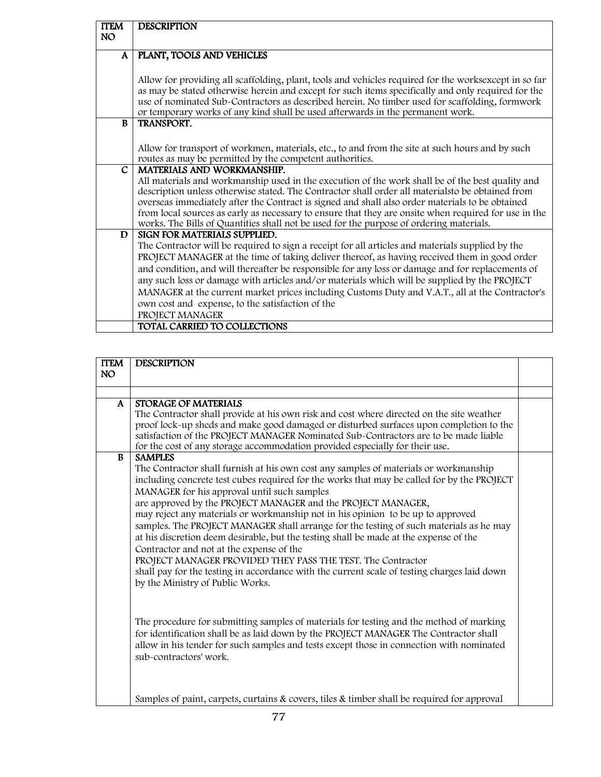| <b>ITEM</b><br><b>NO</b> | <b>DESCRIPTION</b>                                                                                     |
|--------------------------|--------------------------------------------------------------------------------------------------------|
|                          |                                                                                                        |
| $\mathbf{A}$             | PLANT, TOOLS AND VEHICLES                                                                              |
|                          |                                                                                                        |
|                          | Allow for providing all scaffolding, plant, tools and vehicles required for the works except in so far |
|                          | as may be stated otherwise herein and except for such items specifically and only required for the     |
|                          | use of nominated Sub-Contractors as described herein. No timber used for scaffolding, formwork         |
|                          | or temporary works of any kind shall be used afterwards in the permanent work.                         |
| $\mathbf{B}$             | TRANSPORT.                                                                                             |
|                          |                                                                                                        |
|                          | Allow for transport of workmen, materials, etc., to and from the site at such hours and by such        |
|                          | routes as may be permitted by the competent authorities.                                               |
| $\mathbf{C}$             | MATERIALS AND WORKMANSHIP.                                                                             |
|                          | All materials and workmanship used in the execution of the work shall be of the best quality and       |
|                          | description unless otherwise stated. The Contractor shall order all materialsto be obtained from       |
|                          | overseas immediately after the Contract is signed and shall also order materials to be obtained        |
|                          | from local sources as early as necessary to ensure that they are onsite when required for use in the   |
|                          | works. The Bills of Quantities shall not be used for the purpose of ordering materials.                |
| D                        | SIGN FOR MATERIALS SUPPLIED.                                                                           |
|                          | The Contractor will be required to sign a receipt for all articles and materials supplied by the       |
|                          | PROJECT MANAGER at the time of taking deliver thereof, as having received them in good order           |
|                          | and condition, and will thereafter be responsible for any loss or damage and for replacements of       |
|                          | any such loss or damage with articles and/or materials which will be supplied by the PROJECT           |
|                          | MANAGER at the current market prices including Customs Duty and V.A.T., all at the Contractor's        |
|                          | own cost and expense, to the satisfaction of the                                                       |
|                          | PROJECT MANAGER                                                                                        |
|                          | TOTAL CARRIED TO COLLECTIONS                                                                           |

| <b>ITEM</b><br><b>NO</b> | <b>DESCRIPTION</b>                                                                                                                                                                                                                                                                                                                                                                                                                                                                                                                                                                                                                                                                                                                                                                                                                                                                                                                                                                                                                                                                                                                               |  |
|--------------------------|--------------------------------------------------------------------------------------------------------------------------------------------------------------------------------------------------------------------------------------------------------------------------------------------------------------------------------------------------------------------------------------------------------------------------------------------------------------------------------------------------------------------------------------------------------------------------------------------------------------------------------------------------------------------------------------------------------------------------------------------------------------------------------------------------------------------------------------------------------------------------------------------------------------------------------------------------------------------------------------------------------------------------------------------------------------------------------------------------------------------------------------------------|--|
|                          |                                                                                                                                                                                                                                                                                                                                                                                                                                                                                                                                                                                                                                                                                                                                                                                                                                                                                                                                                                                                                                                                                                                                                  |  |
|                          |                                                                                                                                                                                                                                                                                                                                                                                                                                                                                                                                                                                                                                                                                                                                                                                                                                                                                                                                                                                                                                                                                                                                                  |  |
| $\mathbf{A}$             | STORAGE OF MATERIALS<br>The Contractor shall provide at his own risk and cost where directed on the site weather<br>proof lock-up sheds and make good damaged or disturbed surfaces upon completion to the<br>satisfaction of the PROJECT MANAGER Nominated Sub-Contractors are to be made liable<br>for the cost of any storage accommodation provided especially for their use.                                                                                                                                                                                                                                                                                                                                                                                                                                                                                                                                                                                                                                                                                                                                                                |  |
| B                        | <b>SAMPLES</b><br>The Contractor shall furnish at his own cost any samples of materials or workmanship<br>including concrete test cubes required for the works that may be called for by the PROJECT<br>MANAGER for his approval until such samples<br>are approved by the PROJECT MANAGER and the PROJECT MANAGER,<br>may reject any materials or workmanship not in his opinion to be up to approved<br>samples. The PROJECT MANAGER shall arrange for the testing of such materials as he may<br>at his discretion deem desirable, but the testing shall be made at the expense of the<br>Contractor and not at the expense of the<br>PROJECT MANAGER PROVIDED THEY PASS THE TEST. The Contractor<br>shall pay for the testing in accordance with the current scale of testing charges laid down<br>by the Ministry of Public Works.<br>The procedure for submitting samples of materials for testing and the method of marking<br>for identification shall be as laid down by the PROJECT MANAGER The Contractor shall<br>allow in his tender for such samples and tests except those in connection with nominated<br>sub-contractors' work. |  |
|                          | Samples of paint, carpets, curtains & covers, tiles & timber shall be required for approval                                                                                                                                                                                                                                                                                                                                                                                                                                                                                                                                                                                                                                                                                                                                                                                                                                                                                                                                                                                                                                                      |  |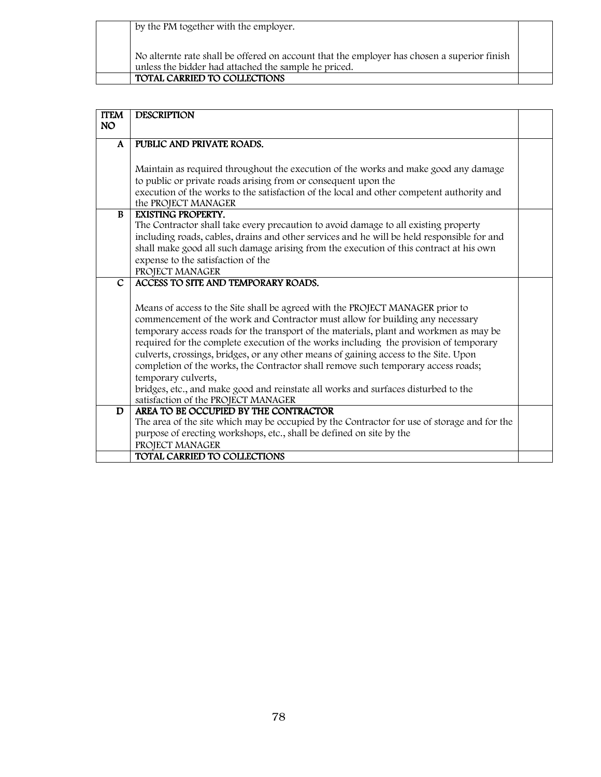| by the PM together with the employer.                                                                                                               |  |
|-----------------------------------------------------------------------------------------------------------------------------------------------------|--|
| No alternte rate shall be offered on account that the employer has chosen a superior finish<br>unless the bidder had attached the sample he priced. |  |
| TOTAL CARRIED TO COLLECTIONS                                                                                                                        |  |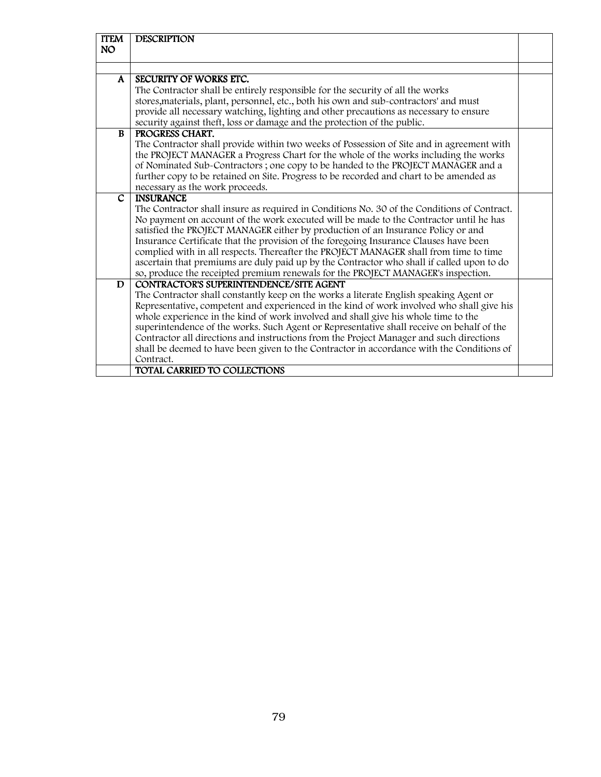| <b>ITEM</b><br>NO | <b>DESCRIPTION</b>                                                                          |  |  |  |  |  |
|-------------------|---------------------------------------------------------------------------------------------|--|--|--|--|--|
|                   |                                                                                             |  |  |  |  |  |
|                   |                                                                                             |  |  |  |  |  |
| A                 | SECURITY OF WORKS ETC.                                                                      |  |  |  |  |  |
|                   | The Contractor shall be entirely responsible for the security of all the works              |  |  |  |  |  |
|                   | stores, materials, plant, personnel, etc., both his own and sub-contractors' and must       |  |  |  |  |  |
|                   | provide all necessary watching, lighting and other precautions as necessary to ensure       |  |  |  |  |  |
|                   | security against theft, loss or damage and the protection of the public.                    |  |  |  |  |  |
| <b>B</b>          | PROGRESS CHART.                                                                             |  |  |  |  |  |
|                   | The Contractor shall provide within two weeks of Possession of Site and in agreement with   |  |  |  |  |  |
|                   | the PROJECT MANAGER a Progress Chart for the whole of the works including the works         |  |  |  |  |  |
|                   | of Nominated Sub-Contractors; one copy to be handed to the PROJECT MANAGER and a            |  |  |  |  |  |
|                   | further copy to be retained on Site. Progress to be recorded and chart to be amended as     |  |  |  |  |  |
|                   | necessary as the work proceeds.                                                             |  |  |  |  |  |
| $\mathcal{C}$     | <b>INSURANCE</b>                                                                            |  |  |  |  |  |
|                   | The Contractor shall insure as required in Conditions No. 30 of the Conditions of Contract. |  |  |  |  |  |
|                   | No payment on account of the work executed will be made to the Contractor until he has      |  |  |  |  |  |
|                   | satisfied the PROJECT MANAGER either by production of an Insurance Policy or and            |  |  |  |  |  |
|                   | Insurance Certificate that the provision of the foregoing Insurance Clauses have been       |  |  |  |  |  |
|                   | complied with in all respects. Thereafter the PROJECT MANAGER shall from time to time       |  |  |  |  |  |
|                   | ascertain that premiums are duly paid up by the Contractor who shall if called upon to do   |  |  |  |  |  |
|                   | so, produce the receipted premium renewals for the PROJECT MANAGER's inspection.            |  |  |  |  |  |
| D                 | <b>CONTRACTOR'S SUPERINTENDENCE/SITE AGENT</b>                                              |  |  |  |  |  |
|                   | The Contractor shall constantly keep on the works a literate English speaking Agent or      |  |  |  |  |  |
|                   | Representative, competent and experienced in the kind of work involved who shall give his   |  |  |  |  |  |
|                   | whole experience in the kind of work involved and shall give his whole time to the          |  |  |  |  |  |
|                   | superintendence of the works. Such Agent or Representative shall receive on behalf of the   |  |  |  |  |  |
|                   | Contractor all directions and instructions from the Project Manager and such directions     |  |  |  |  |  |
|                   | shall be deemed to have been given to the Contractor in accordance with the Conditions of   |  |  |  |  |  |
|                   | Contract.                                                                                   |  |  |  |  |  |
|                   | <b>TOTAL CARRIED TO COLLECTIONS</b>                                                         |  |  |  |  |  |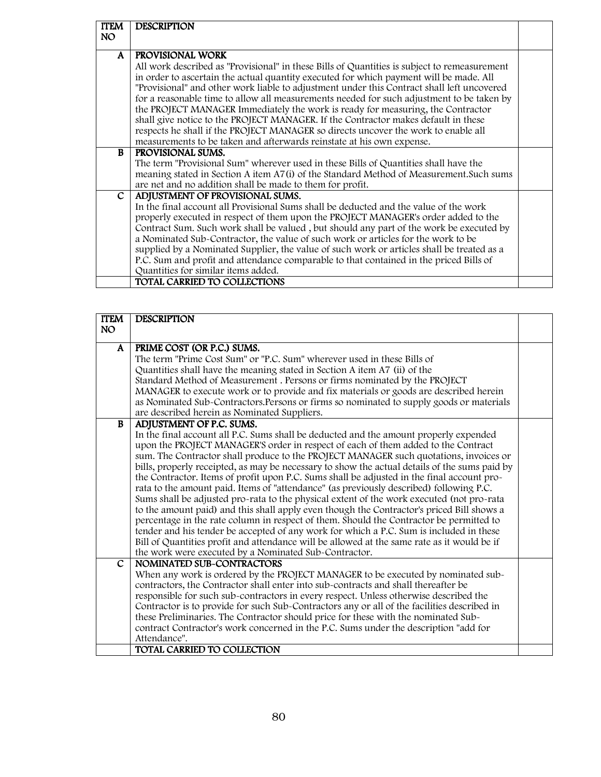| <b>ITEM</b> | <b>DESCRIPTION</b>                                                                           |  |
|-------------|----------------------------------------------------------------------------------------------|--|
| NO.         |                                                                                              |  |
|             |                                                                                              |  |
| A           | PROVISIONAL WORK                                                                             |  |
|             | All work described as "Provisional" in these Bills of Quantities is subject to remeasurement |  |
|             | in order to ascertain the actual quantity executed for which payment will be made. All       |  |
|             | "Provisional" and other work liable to adjustment under this Contract shall left uncovered   |  |
|             | for a reasonable time to allow all measurements needed for such adjustment to be taken by    |  |
|             | the PROJECT MANAGER Immediately the work is ready for measuring, the Contractor              |  |
|             | shall give notice to the PROJECT MANAGER. If the Contractor makes default in these           |  |
|             | respects he shall if the PROJECT MANAGER so directs uncover the work to enable all           |  |
|             | measurements to be taken and afterwards reinstate at his own expense.                        |  |
| R.          | PROVISIONAL SUMS.                                                                            |  |
|             | The term "Provisional Sum" wherever used in these Bills of Quantities shall have the         |  |
|             | meaning stated in Section A item A7(i) of the Standard Method of Measurement. Such sums      |  |
|             | are net and no addition shall be made to them for profit.                                    |  |
| C           | ADJUSTMENT OF PROVISIONAL SUMS.                                                              |  |
|             | In the final account all Provisional Sums shall be deducted and the value of the work        |  |
|             | properly executed in respect of them upon the PROJECT MANAGER's order added to the           |  |
|             | Contract Sum. Such work shall be valued, but should any part of the work be executed by      |  |
|             | a Nominated Sub-Contractor, the value of such work or articles for the work to be            |  |
|             | supplied by a Nominated Supplier, the value of such work or articles shall be treated as a   |  |
|             | P.C. Sum and profit and attendance comparable to that contained in the priced Bills of       |  |
|             | Quantities for similar items added.                                                          |  |
|             | TOTAL CARRIED TO COLLECTIONS                                                                 |  |

| <b>ITEM</b>   | <b>DESCRIPTION</b>                                                                            |  |
|---------------|-----------------------------------------------------------------------------------------------|--|
| <b>NO</b>     |                                                                                               |  |
| $\mathbf{A}$  | PRIME COST (OR P.C.) SUMS.                                                                    |  |
|               | The term "Prime Cost Sum" or "P.C. Sum" wherever used in these Bills of                       |  |
|               | Quantities shall have the meaning stated in Section A item A7 (ii) of the                     |  |
|               | Standard Method of Measurement . Persons or firms nominated by the PROJECT                    |  |
|               | MANAGER to execute work or to provide and fix materials or goods are described herein         |  |
|               | as Nominated Sub-Contractors. Persons or firms so nominated to supply goods or materials      |  |
|               | are described herein as Nominated Suppliers.                                                  |  |
| B             | ADJUSTMENT OF P.C. SUMS.                                                                      |  |
|               | In the final account all P.C. Sums shall be deducted and the amount properly expended         |  |
|               | upon the PROJECT MANAGER'S order in respect of each of them added to the Contract             |  |
|               | sum. The Contractor shall produce to the PROJECT MANAGER such quotations, invoices or         |  |
|               | bills, properly receipted, as may be necessary to show the actual details of the sums paid by |  |
|               | the Contractor. Items of profit upon P.C. Sums shall be adjusted in the final account pro-    |  |
|               | rata to the amount paid. Items of "attendance" (as previously described) following P.C.       |  |
|               | Sums shall be adjusted pro-rata to the physical extent of the work executed (not pro-rata     |  |
|               | to the amount paid) and this shall apply even though the Contractor's priced Bill shows a     |  |
|               | percentage in the rate column in respect of them. Should the Contractor be permitted to       |  |
|               | tender and his tender be accepted of any work for which a P.C. Sum is included in these       |  |
|               | Bill of Quantities profit and attendance will be allowed at the same rate as it would be if   |  |
|               | the work were executed by a Nominated Sub-Contractor.                                         |  |
| $\mathcal{C}$ | NOMINATED SUB-CONTRACTORS                                                                     |  |
|               | When any work is ordered by the PROJECT MANAGER to be executed by nominated sub-              |  |
|               | contractors, the Contractor shall enter into sub-contracts and shall thereafter be            |  |
|               | responsible for such sub-contractors in every respect. Unless otherwise described the         |  |
|               | Contractor is to provide for such Sub-Contractors any or all of the facilities described in   |  |
|               | these Preliminaries. The Contractor should price for these with the nominated Sub-            |  |
|               | contract Contractor's work concerned in the P.C. Sums under the description "add for          |  |
|               | Attendance".<br>TOTAL CARRIED TO COLLECTION                                                   |  |
|               |                                                                                               |  |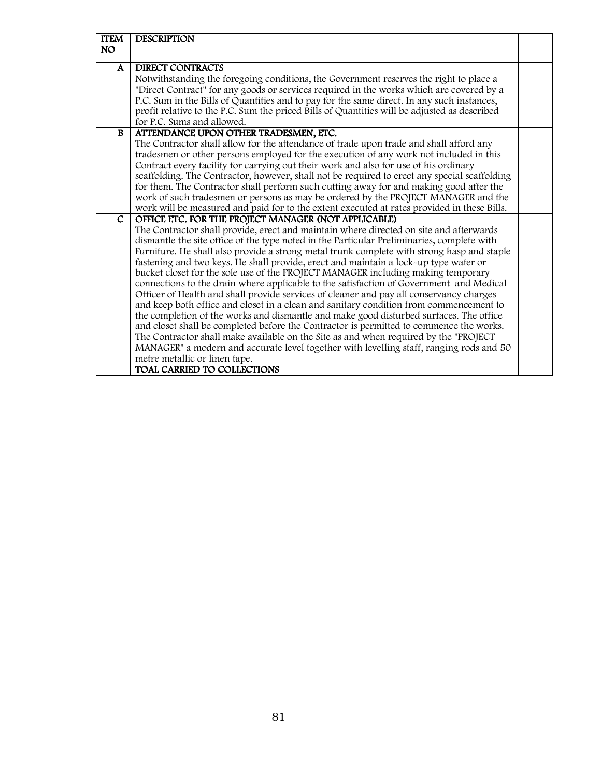| <b>ITEM</b>  | <b>DESCRIPTION</b>                                                                                                                                                                 |  |
|--------------|------------------------------------------------------------------------------------------------------------------------------------------------------------------------------------|--|
| <b>NO</b>    |                                                                                                                                                                                    |  |
| A            | <b>DIRECT CONTRACTS</b>                                                                                                                                                            |  |
|              | Notwithstanding the foregoing conditions, the Government reserves the right to place a                                                                                             |  |
|              | "Direct Contract" for any goods or services required in the works which are covered by a                                                                                           |  |
|              | P.C. Sum in the Bills of Quantities and to pay for the same direct. In any such instances,                                                                                         |  |
|              | profit relative to the P.C. Sum the priced Bills of Quantities will be adjusted as described                                                                                       |  |
|              | for P.C. Sums and allowed.                                                                                                                                                         |  |
| B            | ATTENDANCE UPON OTHER TRADESMEN, ETC.                                                                                                                                              |  |
|              | The Contractor shall allow for the attendance of trade upon trade and shall afford any                                                                                             |  |
|              | tradesmen or other persons employed for the execution of any work not included in this                                                                                             |  |
|              | Contract every facility for carrying out their work and also for use of his ordinary                                                                                               |  |
|              | scaffolding. The Contractor, however, shall not be required to erect any special scaffolding                                                                                       |  |
|              | for them. The Contractor shall perform such cutting away for and making good after the                                                                                             |  |
|              | work of such tradesmen or persons as may be ordered by the PROJECT MANAGER and the                                                                                                 |  |
|              | work will be measured and paid for to the extent executed at rates provided in these Bills.                                                                                        |  |
| $\mathsf{C}$ | OFFICE ETC. FOR THE PROJECT MANAGER (NOT APPLICABLE)                                                                                                                               |  |
|              | The Contractor shall provide, erect and maintain where directed on site and afterwards                                                                                             |  |
|              | dismantle the site office of the type noted in the Particular Preliminaries, complete with                                                                                         |  |
|              | Furniture. He shall also provide a strong metal trunk complete with strong hasp and staple                                                                                         |  |
|              | fastening and two keys. He shall provide, erect and maintain a lock-up type water or                                                                                               |  |
|              | bucket closet for the sole use of the PROJECT MANAGER including making temporary                                                                                                   |  |
|              | connections to the drain where applicable to the satisfaction of Government and Medical<br>Officer of Health and shall provide services of cleaner and pay all conservancy charges |  |
|              | and keep both office and closet in a clean and sanitary condition from commencement to                                                                                             |  |
|              | the completion of the works and dismantle and make good disturbed surfaces. The office                                                                                             |  |
|              | and closet shall be completed before the Contractor is permitted to commence the works.                                                                                            |  |
|              | The Contractor shall make available on the Site as and when required by the "PROJECT"                                                                                              |  |
|              | MANAGER" a modern and accurate level together with levelling staff, ranging rods and 50                                                                                            |  |
|              | metre metallic or linen tape.                                                                                                                                                      |  |
|              | TOAL CARRIED TO COLLECTIONS                                                                                                                                                        |  |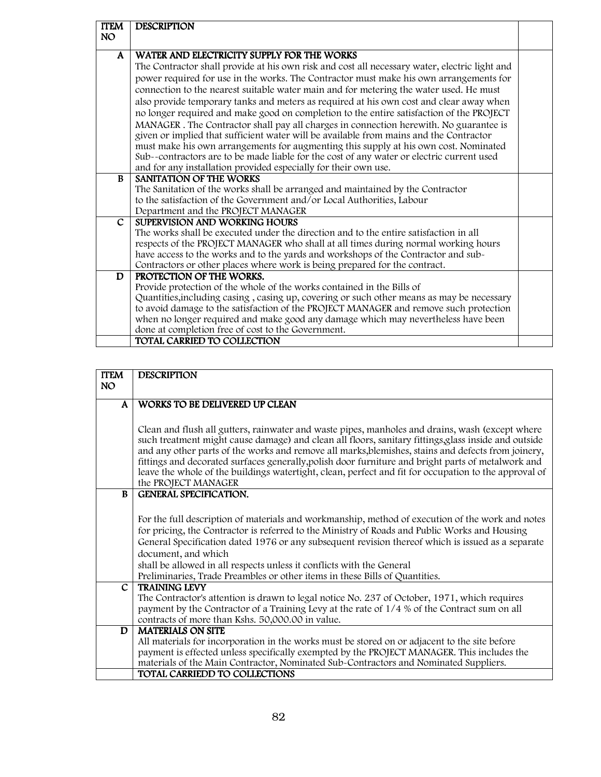| <b>ITEM</b><br>NO. | <b>DESCRIPTION</b>                                                                                                                                                                 |  |  |  |  |  |  |  |
|--------------------|------------------------------------------------------------------------------------------------------------------------------------------------------------------------------------|--|--|--|--|--|--|--|
|                    |                                                                                                                                                                                    |  |  |  |  |  |  |  |
| A                  | WATER AND ELECTRICITY SUPPLY FOR THE WORKS                                                                                                                                         |  |  |  |  |  |  |  |
|                    | The Contractor shall provide at his own risk and cost all necessary water, electric light and                                                                                      |  |  |  |  |  |  |  |
|                    | power required for use in the works. The Contractor must make his own arrangements for                                                                                             |  |  |  |  |  |  |  |
|                    | connection to the nearest suitable water main and for metering the water used. He must                                                                                             |  |  |  |  |  |  |  |
|                    | also provide temporary tanks and meters as required at his own cost and clear away when                                                                                            |  |  |  |  |  |  |  |
|                    | no longer required and make good on completion to the entire satisfaction of the PROJECT                                                                                           |  |  |  |  |  |  |  |
|                    | MANAGER. The Contractor shall pay all charges in connection herewith. No guarantee is                                                                                              |  |  |  |  |  |  |  |
|                    | given or implied that sufficient water will be available from mains and the Contractor                                                                                             |  |  |  |  |  |  |  |
|                    | must make his own arrangements for augmenting this supply at his own cost. Nominated                                                                                               |  |  |  |  |  |  |  |
|                    | Sub--contractors are to be made liable for the cost of any water or electric current used                                                                                          |  |  |  |  |  |  |  |
|                    | and for any installation provided especially for their own use.                                                                                                                    |  |  |  |  |  |  |  |
| B                  | SANITATION OF THE WORKS                                                                                                                                                            |  |  |  |  |  |  |  |
|                    | The Sanitation of the works shall be arranged and maintained by the Contractor                                                                                                     |  |  |  |  |  |  |  |
|                    | to the satisfaction of the Government and/or Local Authorities, Labour                                                                                                             |  |  |  |  |  |  |  |
|                    | Department and the PROJECT MANAGER                                                                                                                                                 |  |  |  |  |  |  |  |
| $\mathsf{C}$       | SUPERVISION AND WORKING HOURS                                                                                                                                                      |  |  |  |  |  |  |  |
|                    | The works shall be executed under the direction and to the entire satisfaction in all                                                                                              |  |  |  |  |  |  |  |
|                    | respects of the PROJECT MANAGER who shall at all times during normal working hours                                                                                                 |  |  |  |  |  |  |  |
|                    | have access to the works and to the yards and workshops of the Contractor and sub-                                                                                                 |  |  |  |  |  |  |  |
|                    | Contractors or other places where work is being prepared for the contract.                                                                                                         |  |  |  |  |  |  |  |
| D                  | PROTECTION OF THE WORKS.                                                                                                                                                           |  |  |  |  |  |  |  |
|                    | Provide protection of the whole of the works contained in the Bills of                                                                                                             |  |  |  |  |  |  |  |
|                    | Quantities, including casing, casing up, covering or such other means as may be necessary<br>to avoid damage to the satisfaction of the PROJECT MANAGER and remove such protection |  |  |  |  |  |  |  |
|                    | when no longer required and make good any damage which may nevertheless have been                                                                                                  |  |  |  |  |  |  |  |
|                    | done at completion free of cost to the Government.                                                                                                                                 |  |  |  |  |  |  |  |
|                    | TOTAL CARRIED TO COLLECTION                                                                                                                                                        |  |  |  |  |  |  |  |
|                    |                                                                                                                                                                                    |  |  |  |  |  |  |  |

| <b>ITEM</b>  | <b>DESCRIPTION</b>                                                                                    |  |  |  |  |  |
|--------------|-------------------------------------------------------------------------------------------------------|--|--|--|--|--|
| NO.          |                                                                                                       |  |  |  |  |  |
|              |                                                                                                       |  |  |  |  |  |
| $\mathbf{A}$ | WORKS TO BE DELIVERED UP CLEAN                                                                        |  |  |  |  |  |
|              |                                                                                                       |  |  |  |  |  |
|              | Clean and flush all gutters, rainwater and waste pipes, manholes and drains, wash (except where       |  |  |  |  |  |
|              | such treatment might cause damage) and clean all floors, sanitary fittings, glass inside and outside  |  |  |  |  |  |
|              | and any other parts of the works and remove all marks, blemishes, stains and defects from joinery,    |  |  |  |  |  |
|              | fittings and decorated surfaces generally, polish door furniture and bright parts of metalwork and    |  |  |  |  |  |
|              | leave the whole of the buildings watertight, clean, perfect and fit for occupation to the approval of |  |  |  |  |  |
|              | the PROJECT MANAGER                                                                                   |  |  |  |  |  |
| <sub>B</sub> | <b>GENERAL SPECIFICATION.</b>                                                                         |  |  |  |  |  |
|              |                                                                                                       |  |  |  |  |  |
|              | For the full description of materials and workmanship, method of execution of the work and notes      |  |  |  |  |  |
|              | for pricing, the Contractor is referred to the Ministry of Roads and Public Works and Housing         |  |  |  |  |  |
|              | General Specification dated 1976 or any subsequent revision thereof which is issued as a separate     |  |  |  |  |  |
|              | document, and which                                                                                   |  |  |  |  |  |
|              | shall be allowed in all respects unless it conflicts with the General                                 |  |  |  |  |  |
|              | Preliminaries, Trade Preambles or other items in these Bills of Quantities.                           |  |  |  |  |  |
| C            | <b>TRAINING LEVY</b>                                                                                  |  |  |  |  |  |
|              | The Contractor's attention is drawn to legal notice No. 237 of October, 1971, which requires          |  |  |  |  |  |
|              | payment by the Contractor of a Training Levy at the rate of 1/4 % of the Contract sum on all          |  |  |  |  |  |
|              | contracts of more than Kshs. 50,000.00 in value.                                                      |  |  |  |  |  |
| D            | <b>MATERIALS ON SITE</b>                                                                              |  |  |  |  |  |
|              | All materials for incorporation in the works must be stored on or adjacent to the site before         |  |  |  |  |  |
|              | payment is effected unless specifically exempted by the PROJECT MANAGER. This includes the            |  |  |  |  |  |
|              | materials of the Main Contractor, Nominated Sub-Contractors and Nominated Suppliers.                  |  |  |  |  |  |
|              | TOTAL CARRIEDD TO COLLECTIONS                                                                         |  |  |  |  |  |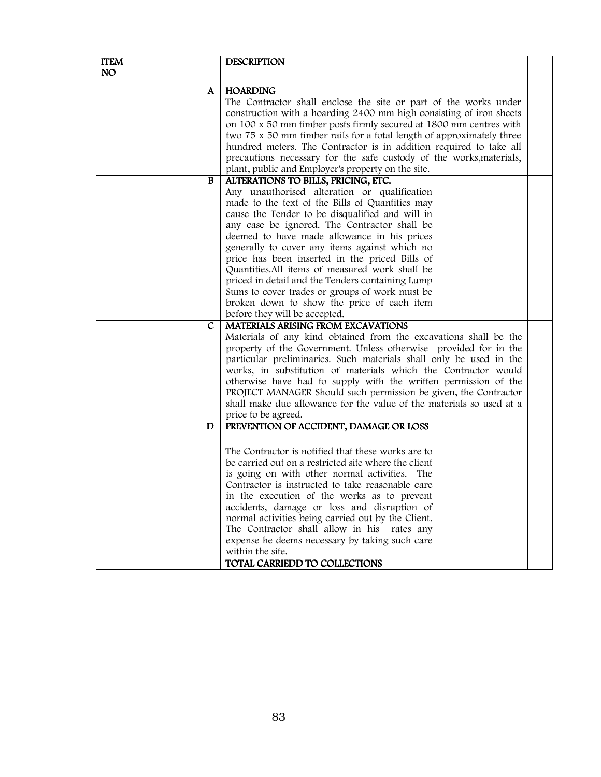| <b>ITEM</b>  | <b>DESCRIPTION</b>                                                    |  |
|--------------|-----------------------------------------------------------------------|--|
| <b>NO</b>    |                                                                       |  |
| A            | <b>HOARDING</b>                                                       |  |
|              | The Contractor shall enclose the site or part of the works under      |  |
|              | construction with a hoarding 2400 mm high consisting of iron sheets   |  |
|              | on 100 x 50 mm timber posts firmly secured at 1800 mm centres with    |  |
|              | two 75 x 50 mm timber rails for a total length of approximately three |  |
|              | hundred meters. The Contractor is in addition required to take all    |  |
|              | precautions necessary for the safe custody of the works, materials,   |  |
|              | plant, public and Employer's property on the site.                    |  |
| $\, {\bf B}$ | ALTERATIONS TO BILLS, PRICING, ETC.                                   |  |
|              | Any unauthorised alteration or qualification                          |  |
|              | made to the text of the Bills of Quantities may                       |  |
|              | cause the Tender to be disqualified and will in                       |  |
|              | any case be ignored. The Contractor shall be                          |  |
|              | deemed to have made allowance in his prices                           |  |
|              | generally to cover any items against which no                         |  |
|              | price has been inserted in the priced Bills of                        |  |
|              | Quantities. All items of measured work shall be                       |  |
|              | priced in detail and the Tenders containing Lump                      |  |
|              | Sums to cover trades or groups of work must be                        |  |
|              | broken down to show the price of each item                            |  |
|              | before they will be accepted.                                         |  |
| C            | MATERIALS ARISING FROM EXCAVATIONS                                    |  |
|              | Materials of any kind obtained from the excavations shall be the      |  |
|              | property of the Government. Unless otherwise provided for in the      |  |
|              | particular preliminaries. Such materials shall only be used in the    |  |
|              | works, in substitution of materials which the Contractor would        |  |
|              | otherwise have had to supply with the written permission of the       |  |
|              | PROJECT MANAGER Should such permission be given, the Contractor       |  |
|              | shall make due allowance for the value of the materials so used at a  |  |
|              | price to be agreed.                                                   |  |
| D            | PREVENTION OF ACCIDENT, DAMAGE OR LOSS                                |  |
|              |                                                                       |  |
|              | The Contractor is notified that these works are to                    |  |
|              | be carried out on a restricted site where the client                  |  |
|              | is going on with other normal activities. The                         |  |
|              | Contractor is instructed to take reasonable care                      |  |
|              | in the execution of the works as to prevent                           |  |
|              | accidents, damage or loss and disruption of                           |  |
|              | normal activities being carried out by the Client.                    |  |
|              | The Contractor shall allow in his rates any                           |  |
|              | expense he deems necessary by taking such care                        |  |
|              | within the site.                                                      |  |
|              | TOTAL CARRIEDD TO COLLECTIONS                                         |  |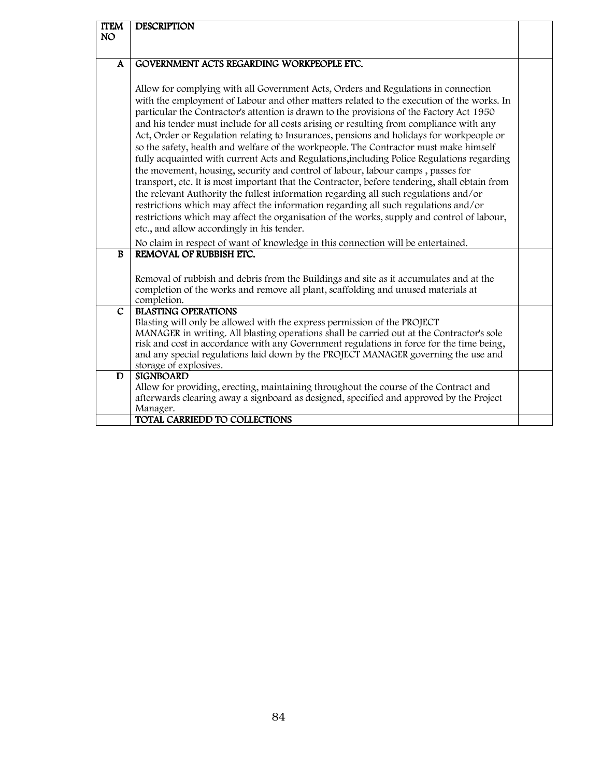| <b>ITEM</b><br><b>NO</b> | <b>DESCRIPTION</b>                                                                                                                                                                                                                                                                                                                                                                                                                                                                                                                                                                                                                                                                                                                                                                                                                                                                                                                                                                                                                                                                                                                                                                                                                                           |  |
|--------------------------|--------------------------------------------------------------------------------------------------------------------------------------------------------------------------------------------------------------------------------------------------------------------------------------------------------------------------------------------------------------------------------------------------------------------------------------------------------------------------------------------------------------------------------------------------------------------------------------------------------------------------------------------------------------------------------------------------------------------------------------------------------------------------------------------------------------------------------------------------------------------------------------------------------------------------------------------------------------------------------------------------------------------------------------------------------------------------------------------------------------------------------------------------------------------------------------------------------------------------------------------------------------|--|
| $\mathbf{A}$             | GOVERNMENT ACTS REGARDING WORKPEOPLE ETC.                                                                                                                                                                                                                                                                                                                                                                                                                                                                                                                                                                                                                                                                                                                                                                                                                                                                                                                                                                                                                                                                                                                                                                                                                    |  |
|                          | Allow for complying with all Government Acts, Orders and Regulations in connection<br>with the employment of Labour and other matters related to the execution of the works. In<br>particular the Contractor's attention is drawn to the provisions of the Factory Act 1950<br>and his tender must include for all costs arising or resulting from compliance with any<br>Act, Order or Regulation relating to Insurances, pensions and holidays for workpeople or<br>so the safety, health and welfare of the workpeople. The Contractor must make himself<br>fully acquainted with current Acts and Regulations, including Police Regulations regarding<br>the movement, housing, security and control of labour, labour camps, passes for<br>transport, etc. It is most important that the Contractor, before tendering, shall obtain from<br>the relevant Authority the fullest information regarding all such regulations and/or<br>restrictions which may affect the information regarding all such regulations and/or<br>restrictions which may affect the organisation of the works, supply and control of labour,<br>etc., and allow accordingly in his tender.<br>No claim in respect of want of knowledge in this connection will be entertained. |  |
| <b>B</b>                 | REMOVAL OF RUBBISH ETC.                                                                                                                                                                                                                                                                                                                                                                                                                                                                                                                                                                                                                                                                                                                                                                                                                                                                                                                                                                                                                                                                                                                                                                                                                                      |  |
|                          | Removal of rubbish and debris from the Buildings and site as it accumulates and at the<br>completion of the works and remove all plant, scaffolding and unused materials at<br>completion.                                                                                                                                                                                                                                                                                                                                                                                                                                                                                                                                                                                                                                                                                                                                                                                                                                                                                                                                                                                                                                                                   |  |
| $\mathsf{C}$             | <b>BLASTING OPERATIONS</b><br>Blasting will only be allowed with the express permission of the PROJECT<br>MANAGER in writing. All blasting operations shall be carried out at the Contractor's sole<br>risk and cost in accordance with any Government regulations in force for the time being,<br>and any special regulations laid down by the PROJECT MANAGER governing the use and<br>storage of explosives.                                                                                                                                                                                                                                                                                                                                                                                                                                                                                                                                                                                                                                                                                                                                                                                                                                              |  |
| D                        | <b>SIGNBOARD</b><br>Allow for providing, erecting, maintaining throughout the course of the Contract and<br>afterwards clearing away a signboard as designed, specified and approved by the Project<br>Manager.                                                                                                                                                                                                                                                                                                                                                                                                                                                                                                                                                                                                                                                                                                                                                                                                                                                                                                                                                                                                                                              |  |
|                          | TOTAL CARRIEDD TO COLLECTIONS                                                                                                                                                                                                                                                                                                                                                                                                                                                                                                                                                                                                                                                                                                                                                                                                                                                                                                                                                                                                                                                                                                                                                                                                                                |  |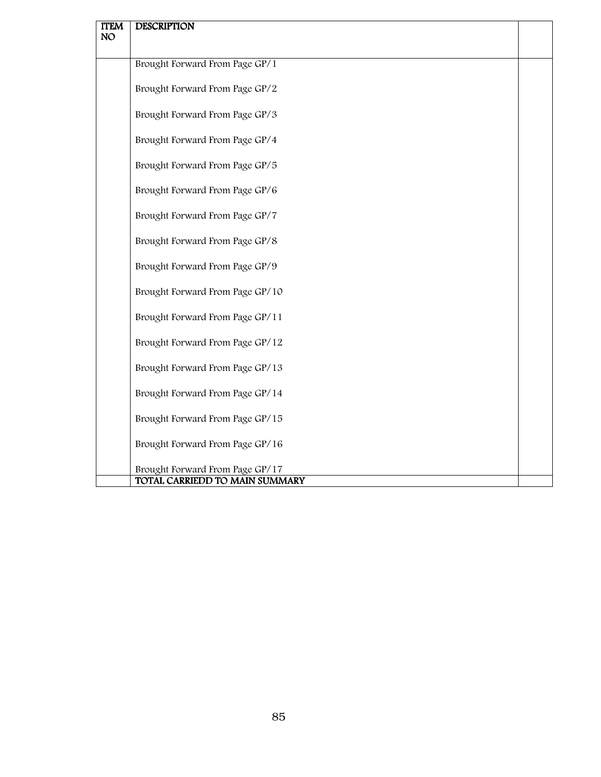| <b>ITEM</b> | <b>DESCRIPTION</b>                                                |  |
|-------------|-------------------------------------------------------------------|--|
| <b>NO</b>   |                                                                   |  |
|             | Brought Forward From Page GP/1                                    |  |
|             | Brought Forward From Page GP/2                                    |  |
|             | Brought Forward From Page GP/3                                    |  |
|             | Brought Forward From Page GP/4                                    |  |
|             | Brought Forward From Page GP/5                                    |  |
|             | Brought Forward From Page GP/6                                    |  |
|             | Brought Forward From Page GP/7                                    |  |
|             | Brought Forward From Page GP/8                                    |  |
|             | Brought Forward From Page GP/9                                    |  |
|             | Brought Forward From Page GP/10                                   |  |
|             | Brought Forward From Page GP/11                                   |  |
|             | Brought Forward From Page GP/12                                   |  |
|             | Brought Forward From Page GP/13                                   |  |
|             | Brought Forward From Page GP/14                                   |  |
|             | Brought Forward From Page GP/15                                   |  |
|             | Brought Forward From Page GP/16                                   |  |
|             | Brought Forward From Page GP/17<br>TOTAL CARRIEDD TO MAIN SUMMARY |  |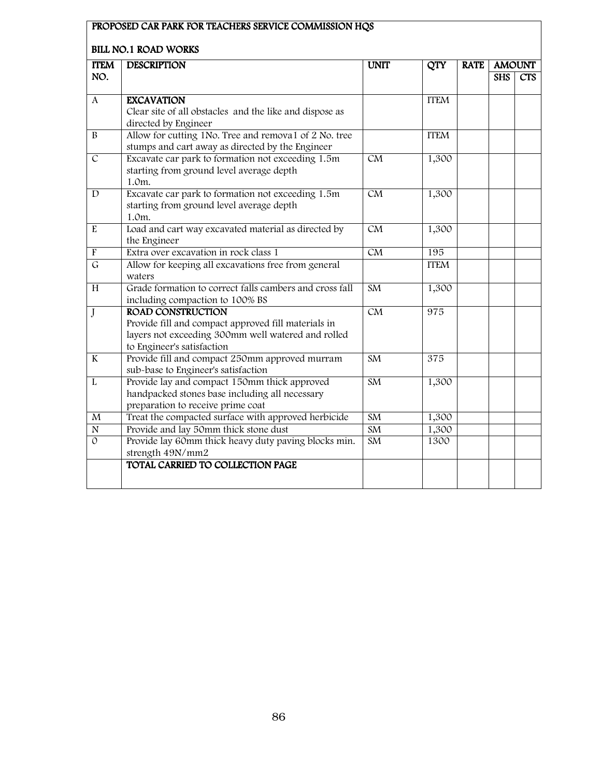|                    | DILLINU.I NUALI WUNNO                                                                                     |                        |                  |             |               |            |
|--------------------|-----------------------------------------------------------------------------------------------------------|------------------------|------------------|-------------|---------------|------------|
| <b>ITEM</b><br>NO. | <b>DESCRIPTION</b>                                                                                        | <b>UNIT</b>            | $\overline{QTY}$ | <b>RATE</b> | <b>AMOUNT</b> |            |
|                    |                                                                                                           |                        |                  |             | <b>SHS</b>    | <b>CTS</b> |
| A                  | <b>EXCAVATION</b>                                                                                         |                        | <b>ITEM</b>      |             |               |            |
|                    | Clear site of all obstacles and the like and dispose as                                                   |                        |                  |             |               |            |
|                    | directed by Engineer                                                                                      |                        |                  |             |               |            |
| $\bf{B}$           | Allow for cutting 1No. Tree and remova1 of 2 No. tree                                                     |                        | <b>ITEM</b>      |             |               |            |
|                    | stumps and cart away as directed by the Engineer                                                          |                        |                  |             |               |            |
| $\overline{C}$     | Excavate car park to formation not exceeding 1.5m                                                         | CM                     | 1,300            |             |               |            |
|                    | starting from ground level average depth                                                                  |                        |                  |             |               |            |
|                    | 1.0m.                                                                                                     |                        |                  |             |               |            |
| D                  | Excavate car park to formation not exceeding 1.5m                                                         | $\overline{\text{CM}}$ | 1,300            |             |               |            |
|                    | starting from ground level average depth                                                                  |                        |                  |             |               |            |
|                    | 1.0m.                                                                                                     |                        |                  |             |               |            |
| E                  | Load and cart way excavated material as directed by                                                       | CM                     | 1,300            |             |               |            |
|                    | the Engineer                                                                                              |                        |                  |             |               |            |
| $\overline{F}$     | Extra over excavation in rock class 1                                                                     | CM                     | 195              |             |               |            |
| $\overline{G}$     | Allow for keeping all excavations free from general                                                       |                        | <b>ITEM</b>      |             |               |            |
|                    | waters                                                                                                    |                        |                  |             |               |            |
| H                  | Grade formation to correct falls cambers and cross fall                                                   | $\overline{\text{SM}}$ | 1,300            |             |               |            |
|                    | including compaction to 100% BS                                                                           |                        |                  |             |               |            |
| $\mathbf{J}$       | <b>ROAD CONSTRUCTION</b>                                                                                  | CM                     | 975              |             |               |            |
|                    | Provide fill and compact approved fill materials in<br>layers not exceeding 300mm well watered and rolled |                        |                  |             |               |            |
|                    | to Engineer's satisfaction                                                                                |                        |                  |             |               |            |
| K                  | Provide fill and compact 250mm approved murram                                                            | <b>SM</b>              | 375              |             |               |            |
|                    | sub-base to Engineer's satisfaction                                                                       |                        |                  |             |               |            |
| L                  | Provide lay and compact 150mm thick approved                                                              | $\overline{\text{SM}}$ | 1,300            |             |               |            |
|                    | handpacked stones base including all necessary                                                            |                        |                  |             |               |            |
|                    | preparation to receive prime coat                                                                         |                        |                  |             |               |            |
| $\mathbf M$        | Treat the compacted surface with approved herbicide                                                       | SM                     | 1,300            |             |               |            |
| $\overline{N}$     | Provide and lay 50mm thick stone dust                                                                     | SM                     | 1,300            |             |               |            |
| $\Omega$           | Provide lay 60mm thick heavy duty paving blocks min.                                                      | $\overline{\text{SM}}$ | 1300             |             |               |            |
|                    | strength 49N/mm2                                                                                          |                        |                  |             |               |            |
|                    | TOTAL CARRIED TO COLLECTION PAGE                                                                          |                        |                  |             |               |            |
|                    |                                                                                                           |                        |                  |             |               |            |
|                    |                                                                                                           |                        |                  |             |               |            |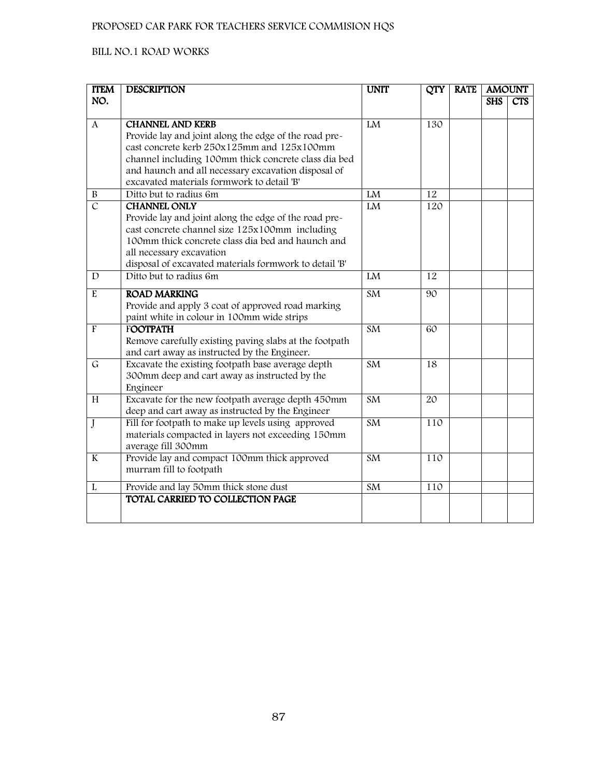| <b>ITEM</b>              | <b>DESCRIPTION</b>                                                                                     | <b>UNIT</b>            | <b>QTY</b> | <b>RATE</b> |            | <b>AMOUNT</b> |
|--------------------------|--------------------------------------------------------------------------------------------------------|------------------------|------------|-------------|------------|---------------|
| NO.                      |                                                                                                        |                        |            |             | <b>SHS</b> | <b>CTS</b>    |
|                          |                                                                                                        |                        |            |             |            |               |
| $\mathbf{A}$             | <b>CHANNEL AND KERB</b>                                                                                | LM                     | 130        |             |            |               |
|                          | Provide lay and joint along the edge of the road pre-                                                  |                        |            |             |            |               |
|                          | cast concrete kerb 250x125mm and 125x100mm                                                             |                        |            |             |            |               |
|                          | channel including 100mm thick concrete class dia bed                                                   |                        |            |             |            |               |
|                          | and haunch and all necessary excavation disposal of<br>excavated materials formwork to detail 'B'      |                        |            |             |            |               |
| B                        | Ditto but to radius 6m                                                                                 | LM                     | 12         |             |            |               |
| $\overline{\mathcal{C}}$ | <b>CHANNEL ONLY</b>                                                                                    | LM                     | 120        |             |            |               |
|                          | Provide lay and joint along the edge of the road pre-                                                  |                        |            |             |            |               |
|                          | cast concrete channel size 125x100mm including                                                         |                        |            |             |            |               |
|                          | 100mm thick concrete class dia bed and haunch and                                                      |                        |            |             |            |               |
|                          | all necessary excavation                                                                               |                        |            |             |            |               |
|                          | disposal of excavated materials formwork to detail 'B'                                                 |                        |            |             |            |               |
| D                        | Ditto but to radius 6m                                                                                 | LM                     | 12         |             |            |               |
| $\mathbf E$              | <b>ROAD MARKING</b>                                                                                    | SM                     | 90         |             |            |               |
|                          | Provide and apply 3 coat of approved road marking                                                      |                        |            |             |            |               |
|                          | paint white in colour in 100mm wide strips                                                             |                        |            |             |            |               |
| $\overline{F}$           | <b>FOOTPATH</b>                                                                                        | <b>SM</b>              | 60         |             |            |               |
|                          | Remove carefully existing paving slabs at the footpath                                                 |                        |            |             |            |               |
|                          | and cart away as instructed by the Engineer.                                                           |                        |            |             |            |               |
| $\mathsf G$              | Excavate the existing footpath base average depth                                                      | <b>SM</b>              | 18         |             |            |               |
|                          | 300mm deep and cart away as instructed by the                                                          |                        |            |             |            |               |
|                          | Engineer                                                                                               |                        |            |             |            |               |
| H                        | Excavate for the new footpath average depth 450mm                                                      | SM                     | 20         |             |            |               |
|                          | deep and cart away as instructed by the Engineer<br>Fill for footpath to make up levels using approved | SM                     | 110        |             |            |               |
| J                        | materials compacted in layers not exceeding 150mm                                                      |                        |            |             |            |               |
|                          | average fill 300mm                                                                                     |                        |            |             |            |               |
| $\bf K$                  | Provide lay and compact 100mm thick approved                                                           | <b>SM</b>              | 110        |             |            |               |
|                          | murram fill to footpath                                                                                |                        |            |             |            |               |
|                          |                                                                                                        |                        |            |             |            |               |
| L                        | Provide and lay 50mm thick stone dust                                                                  | $\overline{\text{SM}}$ | 110        |             |            |               |
|                          | TOTAL CARRIED TO COLLECTION PAGE                                                                       |                        |            |             |            |               |
|                          |                                                                                                        |                        |            |             |            |               |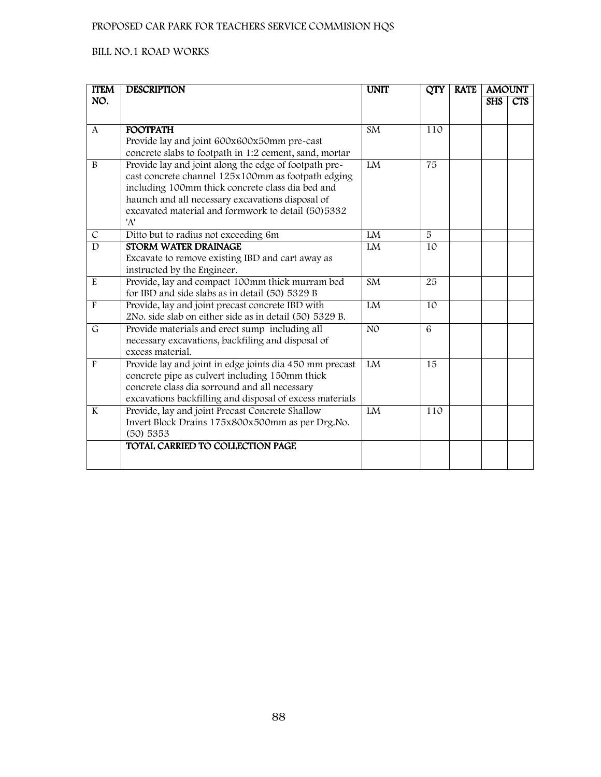| <b>ITEM</b>      | <b>DESCRIPTION</b>                                                                                  | <b>UNIT</b>            | <b>QTY</b> | <b>RATE</b> |            | <b>AMOUNT</b> |
|------------------|-----------------------------------------------------------------------------------------------------|------------------------|------------|-------------|------------|---------------|
| NO.              |                                                                                                     |                        |            |             | <b>SHS</b> | <b>CTS</b>    |
|                  |                                                                                                     |                        |            |             |            |               |
| $\boldsymbol{A}$ | <b>FOOTPATH</b>                                                                                     | SM                     | 110        |             |            |               |
|                  | Provide lay and joint 600x600x50mm pre-cast                                                         |                        |            |             |            |               |
|                  | concrete slabs to footpath in 1:2 cement, sand, mortar                                              |                        |            |             |            |               |
| $\bf{B}$         | Provide lay and joint along the edge of footpath pre-                                               | LM                     | 75         |             |            |               |
|                  | cast concrete channel 125x100mm as footpath edging                                                  |                        |            |             |            |               |
|                  | including 100mm thick concrete class dia bed and                                                    |                        |            |             |            |               |
|                  | haunch and all necessary excavations disposal of                                                    |                        |            |             |            |               |
|                  | excavated material and formwork to detail (50) 5332<br>'A'                                          |                        |            |             |            |               |
| $\overline{C}$   | Ditto but to radius not exceeding 6m                                                                | LM                     | 5          |             |            |               |
| $\mathbf{D}$     | <b>STORM WATER DRAINAGE</b>                                                                         | ${\rm LM}$             | 10         |             |            |               |
|                  | Excavate to remove existing IBD and cart away as                                                    |                        |            |             |            |               |
|                  | instructed by the Engineer.                                                                         |                        |            |             |            |               |
| $\rm E$          | Provide, lay and compact 100mm thick murram bed                                                     | $\overline{\text{SM}}$ | 25         |             |            |               |
|                  | for IBD and side slabs as in detail (50) 5329 B                                                     |                        |            |             |            |               |
| $\overline{F}$   | Provide, lay and joint precast concrete IBD with                                                    | LM                     | 10         |             |            |               |
|                  | 2No. side slab on either side as in detail (50) 5329 B.                                             |                        |            |             |            |               |
| $\mathsf{G}$     | Provide materials and erect sump including all                                                      | N <sub>O</sub>         | 6          |             |            |               |
|                  | necessary excavations, backfiling and disposal of                                                   |                        |            |             |            |               |
|                  | excess material.                                                                                    |                        |            |             |            |               |
| $\mathbf{F}$     | Provide lay and joint in edge joints dia 450 mm precast                                             | LM                     | 15         |             |            |               |
|                  | concrete pipe as culvert including 150mm thick                                                      |                        |            |             |            |               |
|                  | concrete class dia sorround and all necessary                                                       |                        |            |             |            |               |
|                  | excavations backfilling and disposal of excess materials                                            |                        |            |             |            |               |
| $\bf K$          | Provide, lay and joint Precast Concrete Shallow<br>Invert Block Drains 175x800x500mm as per Drg.No. | ${\rm LM}$             | 110        |             |            |               |
|                  | (50) 5353                                                                                           |                        |            |             |            |               |
|                  | TOTAL CARRIED TO COLLECTION PAGE                                                                    |                        |            |             |            |               |
|                  |                                                                                                     |                        |            |             |            |               |
|                  |                                                                                                     |                        |            |             |            |               |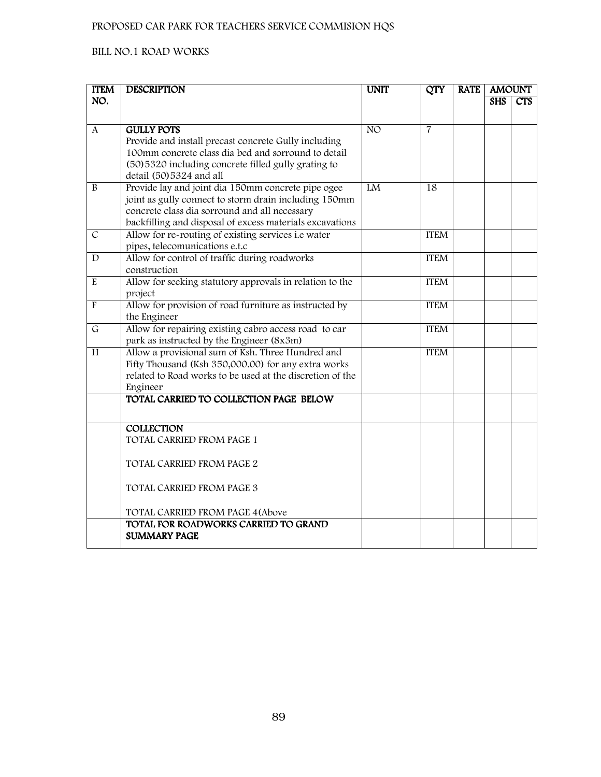| <b>ITEM</b>    | <b>DESCRIPTION</b>                                                       | <b>UNIT</b>     | <b>QTY</b>     | <b>RATE</b> | <b>AMOUNT</b> |     |
|----------------|--------------------------------------------------------------------------|-----------------|----------------|-------------|---------------|-----|
| NO.            |                                                                          |                 |                |             | <b>SHS</b>    | CTS |
|                |                                                                          |                 |                |             |               |     |
| A              | <b>GULLY POTS</b>                                                        | NO <sub>1</sub> | $\overline{7}$ |             |               |     |
|                | Provide and install precast concrete Gully including                     |                 |                |             |               |     |
|                | 100mm concrete class dia bed and sorround to detail                      |                 |                |             |               |     |
|                | (50) 5320 including concrete filled gully grating to                     |                 |                |             |               |     |
|                | detail (50)5324 and all                                                  |                 |                |             |               |     |
| $\bf{B}$       | Provide lay and joint dia 150mm concrete pipe ogee                       | LM              | 18             |             |               |     |
|                | joint as gully connect to storm drain including 150mm                    |                 |                |             |               |     |
|                | concrete class dia sorround and all necessary                            |                 |                |             |               |     |
|                | backfilling and disposal of excess materials excavations                 |                 |                |             |               |     |
| $\mathcal{C}$  | Allow for re-routing of existing services i.e water                      |                 | <b>ITEM</b>    |             |               |     |
|                | pipes, telecomunications e.t.c                                           |                 |                |             |               |     |
| $\mathbf D$    | Allow for control of traffic during roadworks                            |                 | <b>ITEM</b>    |             |               |     |
| $\overline{E}$ | construction<br>Allow for seeking statutory approvals in relation to the |                 | <b>ITEM</b>    |             |               |     |
|                | project                                                                  |                 |                |             |               |     |
| $\overline{F}$ | Allow for provision of road furniture as instructed by                   |                 | <b>ITEM</b>    |             |               |     |
|                | the Engineer                                                             |                 |                |             |               |     |
| $\overline{G}$ | Allow for repairing existing cabro access road to car                    |                 | <b>ITEM</b>    |             |               |     |
|                | park as instructed by the Engineer (8x3m)                                |                 |                |             |               |     |
| $\overline{H}$ | Allow a provisional sum of Ksh. Three Hundred and                        |                 | <b>ITEM</b>    |             |               |     |
|                | Fifty Thousand (Ksh 350,000.00) for any extra works                      |                 |                |             |               |     |
|                | related to Road works to be used at the discretion of the                |                 |                |             |               |     |
|                | Engineer                                                                 |                 |                |             |               |     |
|                | TOTAL CARRIED TO COLLECTION PAGE BELOW                                   |                 |                |             |               |     |
|                |                                                                          |                 |                |             |               |     |
|                | <b>COLLECTION</b>                                                        |                 |                |             |               |     |
|                | TOTAL CARRIED FROM PAGE 1                                                |                 |                |             |               |     |
|                |                                                                          |                 |                |             |               |     |
|                | TOTAL CARRIED FROM PAGE 2                                                |                 |                |             |               |     |
|                |                                                                          |                 |                |             |               |     |
|                | TOTAL CARRIED FROM PAGE 3                                                |                 |                |             |               |     |
|                |                                                                          |                 |                |             |               |     |
|                | TOTAL CARRIED FROM PAGE 4 (Above                                         |                 |                |             |               |     |
|                | TOTAL FOR ROADWORKS CARRIED TO GRAND                                     |                 |                |             |               |     |
|                | <b>SUMMARY PAGE</b>                                                      |                 |                |             |               |     |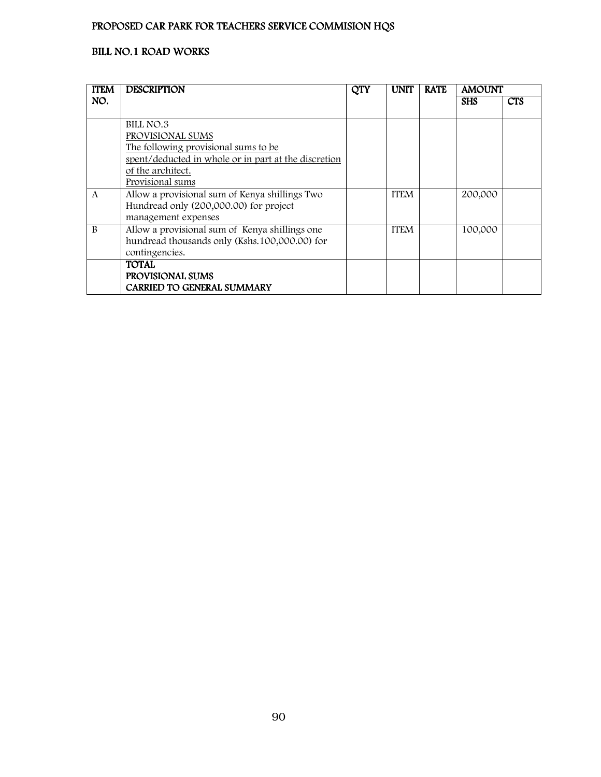| <b>ITEM</b>  | <b>DESCRIPTION</b>                                   | <b>QTY</b> | <b>UNIT</b> | <b>RATE</b> | <b>AMOUNT</b> |            |
|--------------|------------------------------------------------------|------------|-------------|-------------|---------------|------------|
| NO.          |                                                      |            |             |             | <b>SHS</b>    | <b>CTS</b> |
|              |                                                      |            |             |             |               |            |
|              | BILL NO.3                                            |            |             |             |               |            |
|              | PROVISIONAL SUMS                                     |            |             |             |               |            |
|              | The following provisional sums to be                 |            |             |             |               |            |
|              | spent/deducted in whole or in part at the discretion |            |             |             |               |            |
|              | of the architect.                                    |            |             |             |               |            |
|              | Provisional sums                                     |            |             |             |               |            |
| A            | Allow a provisional sum of Kenya shillings Two       |            | <b>ITEM</b> |             | 200,000       |            |
|              | Hundread only (200,000.00) for project               |            |             |             |               |            |
|              | management expenses                                  |            |             |             |               |            |
| <sub>R</sub> | Allow a provisional sum of Kenya shillings one       |            | <b>ITEM</b> |             | 100,000       |            |
|              | hundread thousands only (Kshs.100,000.00) for        |            |             |             |               |            |
|              | contingencies.                                       |            |             |             |               |            |
|              | <b>TOTAL</b>                                         |            |             |             |               |            |
|              | PROVISIONAL SUMS                                     |            |             |             |               |            |
|              | <b>CARRIED TO GENERAL SUMMARY</b>                    |            |             |             |               |            |